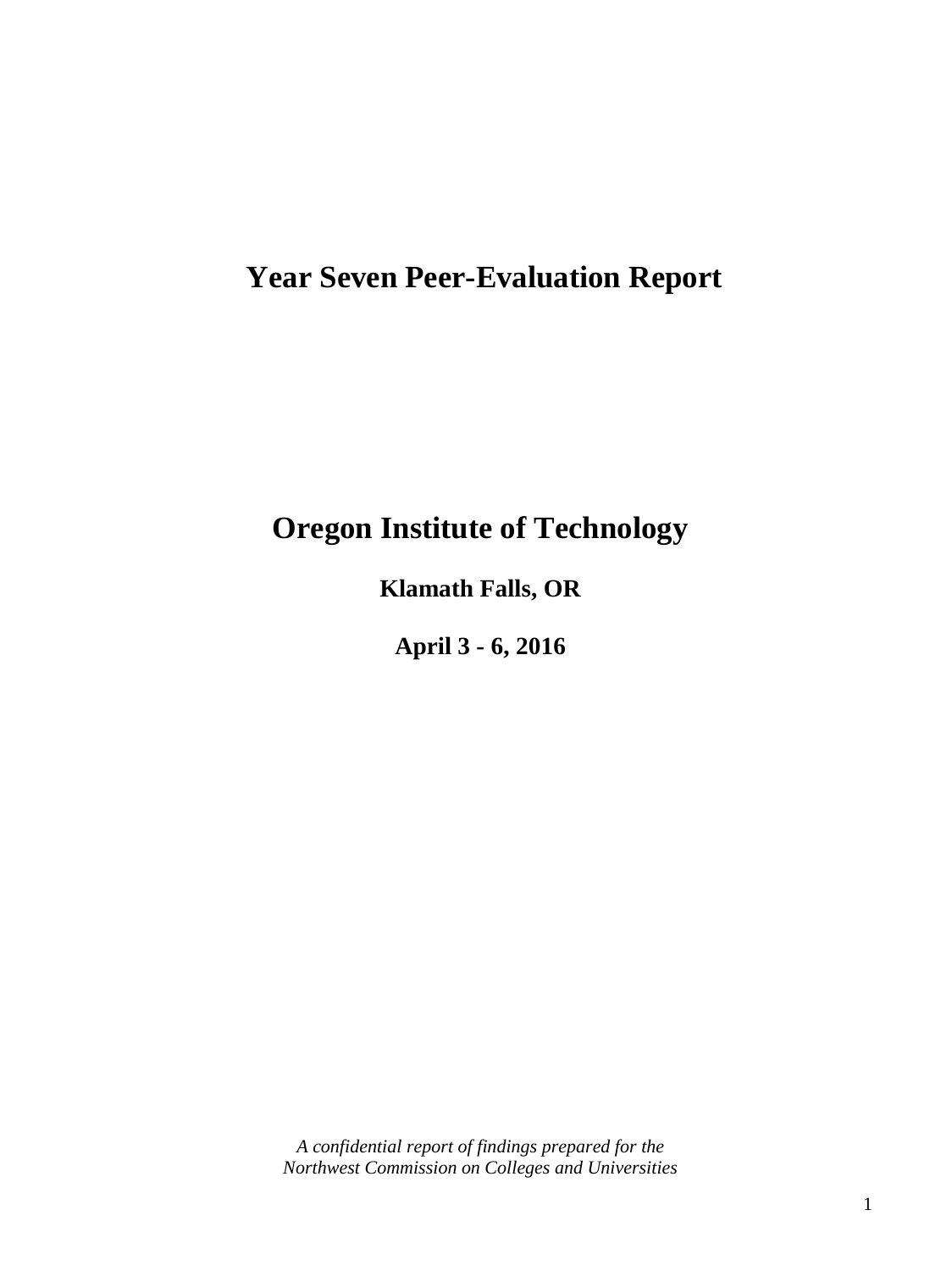# **Year Seven Peer-Evaluation Report**

# **Oregon Institute of Technology**

**Klamath Falls, OR**

**April 3 - 6, 2016**

*A confidential report of findings prepared for the Northwest Commission on Colleges and Universities*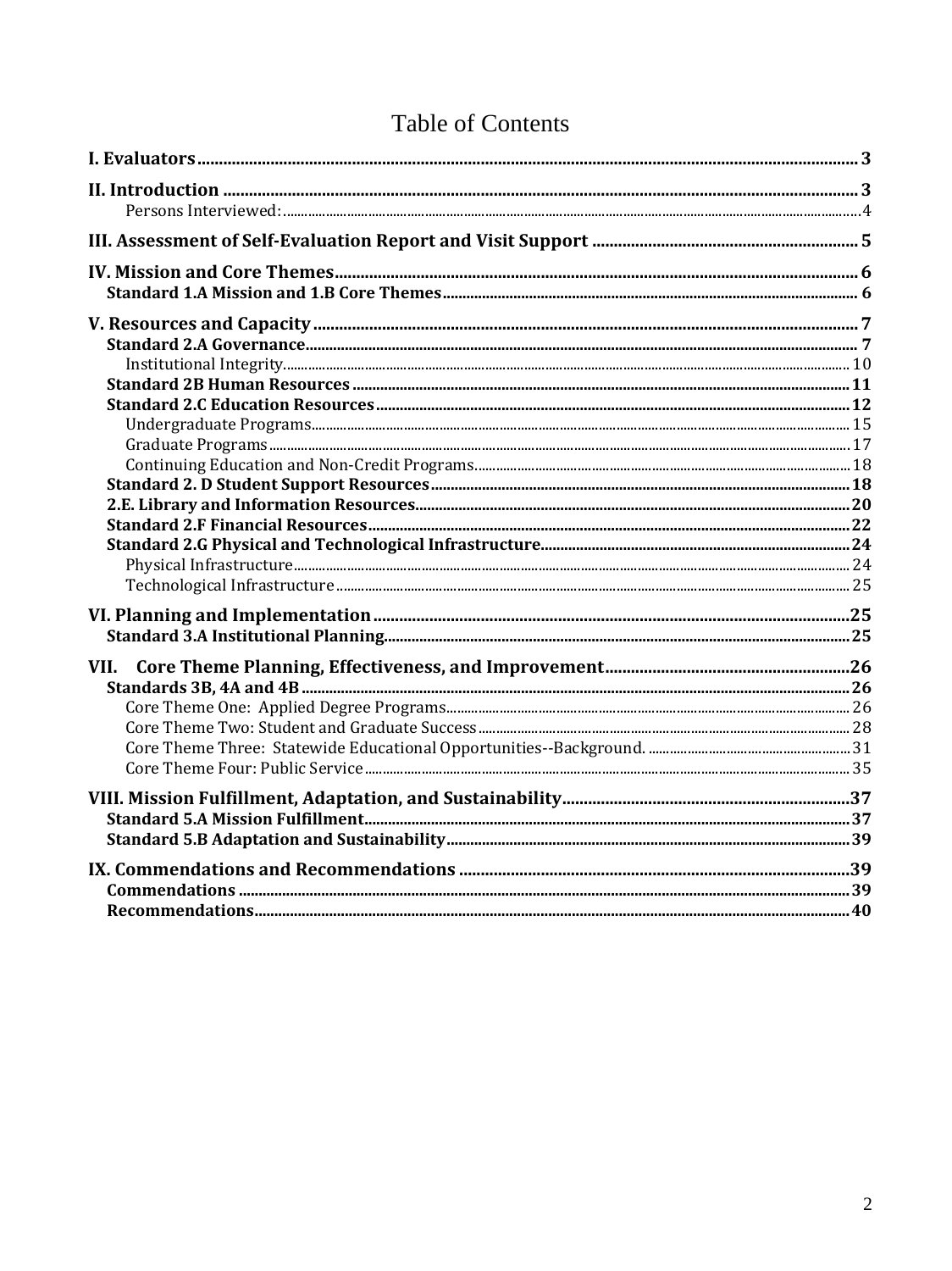# **Table of Contents**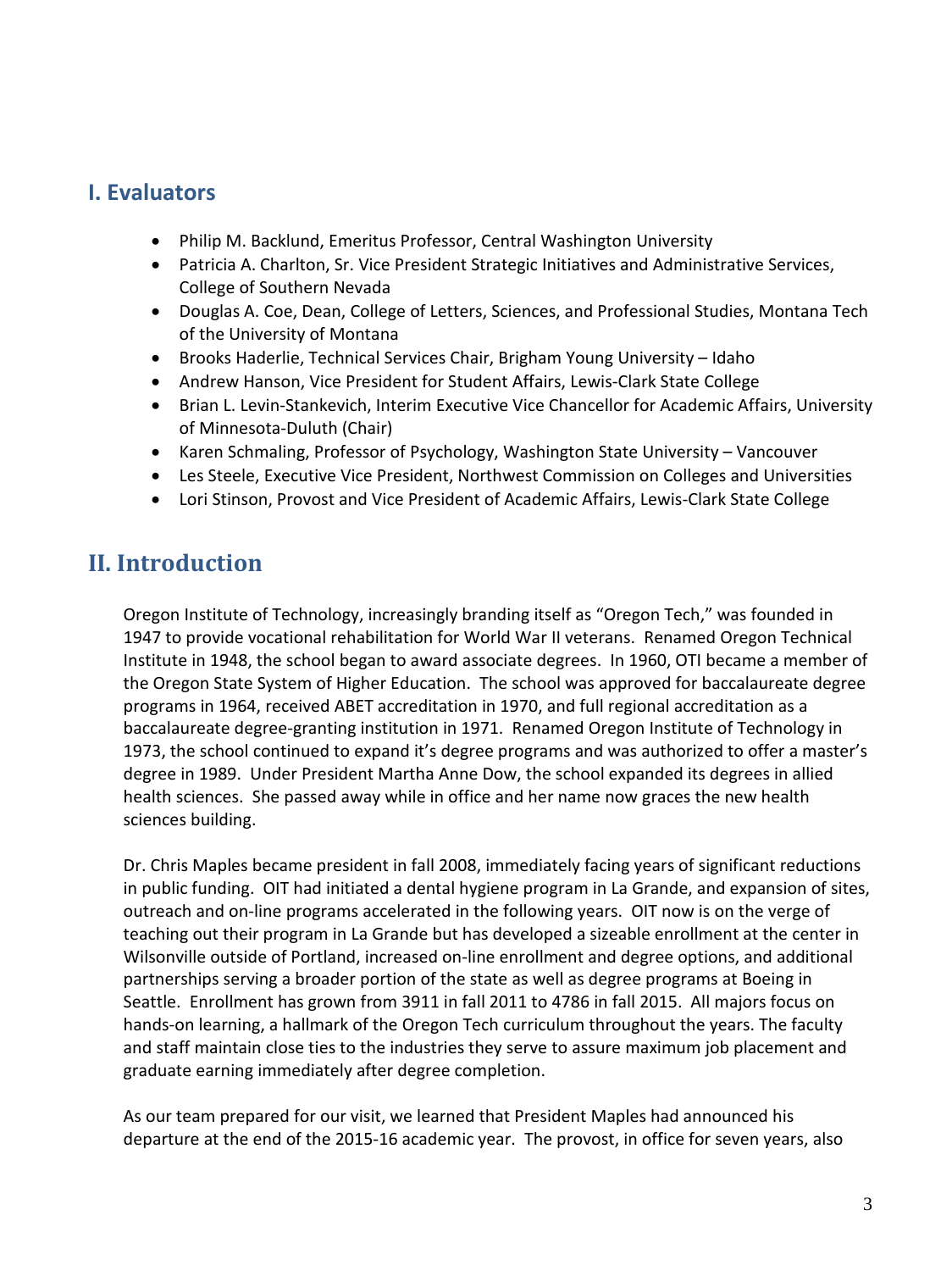# **I. Evaluators**

- Philip M. Backlund, Emeritus Professor, Central Washington University
- Patricia A. Charlton, Sr. Vice President Strategic Initiatives and Administrative Services, College of Southern Nevada
- Douglas A. Coe, Dean, College of Letters, Sciences, and Professional Studies, Montana Tech of the University of Montana
- Brooks Haderlie, Technical Services Chair, Brigham Young University Idaho
- Andrew Hanson, Vice President for Student Affairs, Lewis-Clark State College
- Brian L. Levin-Stankevich, Interim Executive Vice Chancellor for Academic Affairs, University of Minnesota-Duluth (Chair)
- Karen Schmaling, Professor of Psychology, Washington State University Vancouver
- Les Steele, Executive Vice President, Northwest Commission on Colleges and Universities
- Lori Stinson, Provost and Vice President of Academic Affairs, Lewis-Clark State College

# **II. Introduction**

Oregon Institute of Technology, increasingly branding itself as "Oregon Tech," was founded in 1947 to provide vocational rehabilitation for World War II veterans. Renamed Oregon Technical Institute in 1948, the school began to award associate degrees. In 1960, OTI became a member of the Oregon State System of Higher Education. The school was approved for baccalaureate degree programs in 1964, received ABET accreditation in 1970, and full regional accreditation as a baccalaureate degree-granting institution in 1971. Renamed Oregon Institute of Technology in 1973, the school continued to expand it's degree programs and was authorized to offer a master's degree in 1989. Under President Martha Anne Dow, the school expanded its degrees in allied health sciences. She passed away while in office and her name now graces the new health sciences building.

Dr. Chris Maples became president in fall 2008, immediately facing years of significant reductions in public funding. OIT had initiated a dental hygiene program in La Grande, and expansion of sites, outreach and on-line programs accelerated in the following years. OIT now is on the verge of teaching out their program in La Grande but has developed a sizeable enrollment at the center in Wilsonville outside of Portland, increased on-line enrollment and degree options, and additional partnerships serving a broader portion of the state as well as degree programs at Boeing in Seattle. Enrollment has grown from 3911 in fall 2011 to 4786 in fall 2015. All majors focus on hands-on learning, a hallmark of the Oregon Tech curriculum throughout the years. The faculty and staff maintain close ties to the industries they serve to assure maximum job placement and graduate earning immediately after degree completion.

As our team prepared for our visit, we learned that President Maples had announced his departure at the end of the 2015-16 academic year. The provost, in office for seven years, also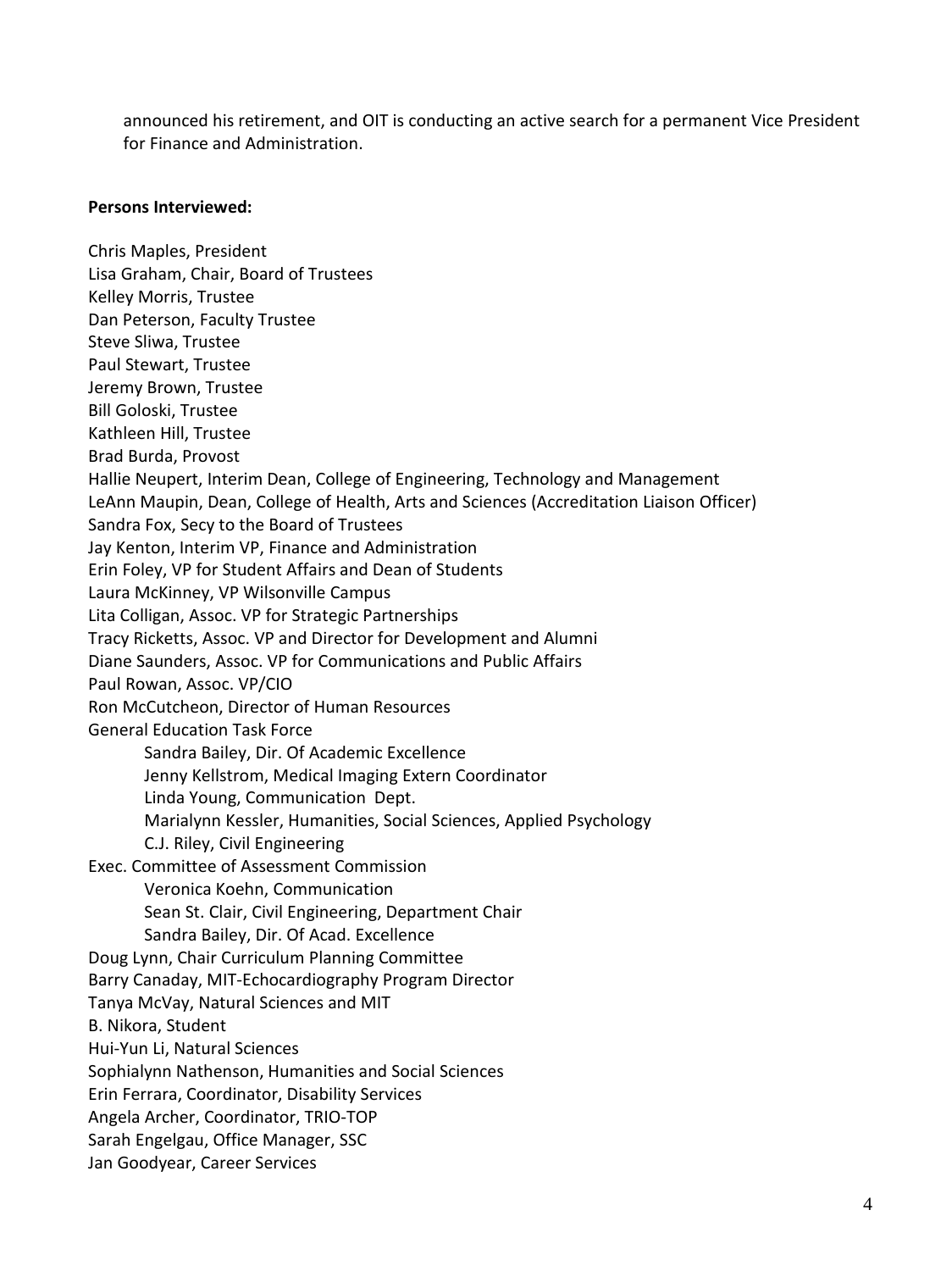announced his retirement, and OIT is conducting an active search for a permanent Vice President for Finance and Administration.

#### **Persons Interviewed:**

Chris Maples, President Lisa Graham, Chair, Board of Trustees Kelley Morris, Trustee Dan Peterson, Faculty Trustee Steve Sliwa, Trustee Paul Stewart, Trustee Jeremy Brown, Trustee Bill Goloski, Trustee Kathleen Hill, Trustee Brad Burda, Provost Hallie Neupert, Interim Dean, College of Engineering, Technology and Management LeAnn Maupin, Dean, College of Health, Arts and Sciences (Accreditation Liaison Officer) Sandra Fox, Secy to the Board of Trustees Jay Kenton, Interim VP, Finance and Administration Erin Foley, VP for Student Affairs and Dean of Students Laura McKinney, VP Wilsonville Campus Lita Colligan, Assoc. VP for Strategic Partnerships Tracy Ricketts, Assoc. VP and Director for Development and Alumni Diane Saunders, Assoc. VP for Communications and Public Affairs Paul Rowan, Assoc. VP/CIO Ron McCutcheon, Director of Human Resources General Education Task Force Sandra Bailey, Dir. Of Academic Excellence Jenny Kellstrom, Medical Imaging Extern Coordinator Linda Young, Communication Dept. Marialynn Kessler, Humanities, Social Sciences, Applied Psychology C.J. Riley, Civil Engineering Exec. Committee of Assessment Commission Veronica Koehn, Communication Sean St. Clair, Civil Engineering, Department Chair Sandra Bailey, Dir. Of Acad. Excellence Doug Lynn, Chair Curriculum Planning Committee Barry Canaday, MIT-Echocardiography Program Director Tanya McVay, Natural Sciences and MIT B. Nikora, Student Hui-Yun Li, Natural Sciences Sophialynn Nathenson, Humanities and Social Sciences Erin Ferrara, Coordinator, Disability Services Angela Archer, Coordinator, TRIO-TOP Sarah Engelgau, Office Manager, SSC Jan Goodyear, Career Services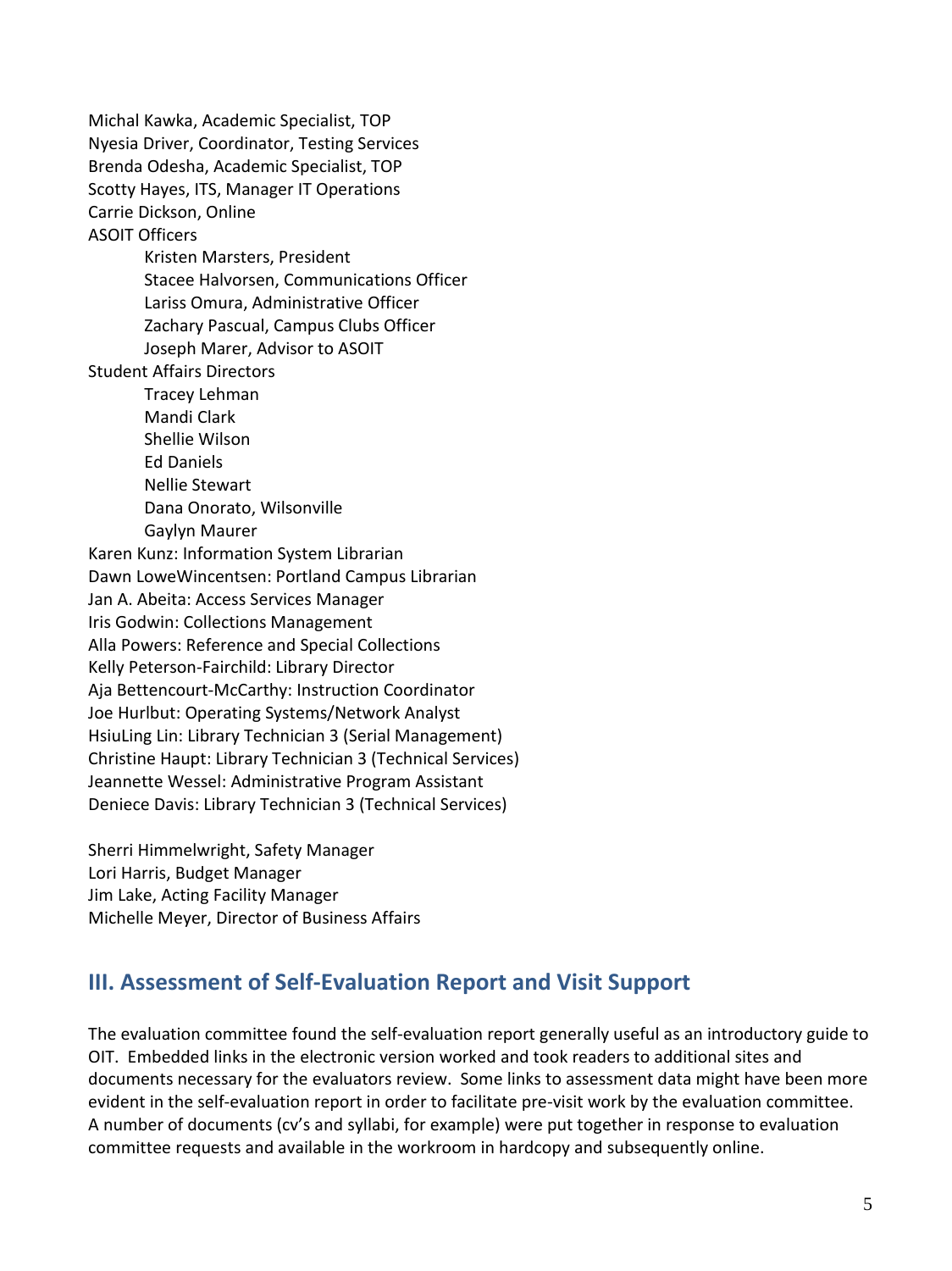Michal Kawka, Academic Specialist, TOP Nyesia Driver, Coordinator, Testing Services Brenda Odesha, Academic Specialist, TOP Scotty Hayes, ITS, Manager IT Operations Carrie Dickson, Online ASOIT Officers Kristen Marsters, President Stacee Halvorsen, Communications Officer Lariss Omura, Administrative Officer Zachary Pascual, Campus Clubs Officer Joseph Marer, Advisor to ASOIT Student Affairs Directors Tracey Lehman Mandi Clark Shellie Wilson Ed Daniels Nellie Stewart Dana Onorato, Wilsonville Gaylyn Maurer Karen Kunz: Information System Librarian Dawn LoweWincentsen: Portland Campus Librarian Jan A. Abeita: Access Services Manager Iris Godwin: Collections Management Alla Powers: Reference and Special Collections Kelly Peterson-Fairchild: Library Director Aja Bettencourt-McCarthy: Instruction Coordinator Joe Hurlbut: Operating Systems/Network Analyst HsiuLing Lin: Library Technician 3 (Serial Management) Christine Haupt: Library Technician 3 (Technical Services) Jeannette Wessel: Administrative Program Assistant Deniece Davis: Library Technician 3 (Technical Services)

Sherri Himmelwright, Safety Manager Lori Harris, Budget Manager Jim Lake, Acting Facility Manager Michelle Meyer, Director of Business Affairs

# **III. Assessment of Self-Evaluation Report and Visit Support**

The evaluation committee found the self-evaluation report generally useful as an introductory guide to OIT. Embedded links in the electronic version worked and took readers to additional sites and documents necessary for the evaluators review. Some links to assessment data might have been more evident in the self-evaluation report in order to facilitate pre-visit work by the evaluation committee. A number of documents (cv's and syllabi, for example) were put together in response to evaluation committee requests and available in the workroom in hardcopy and subsequently online.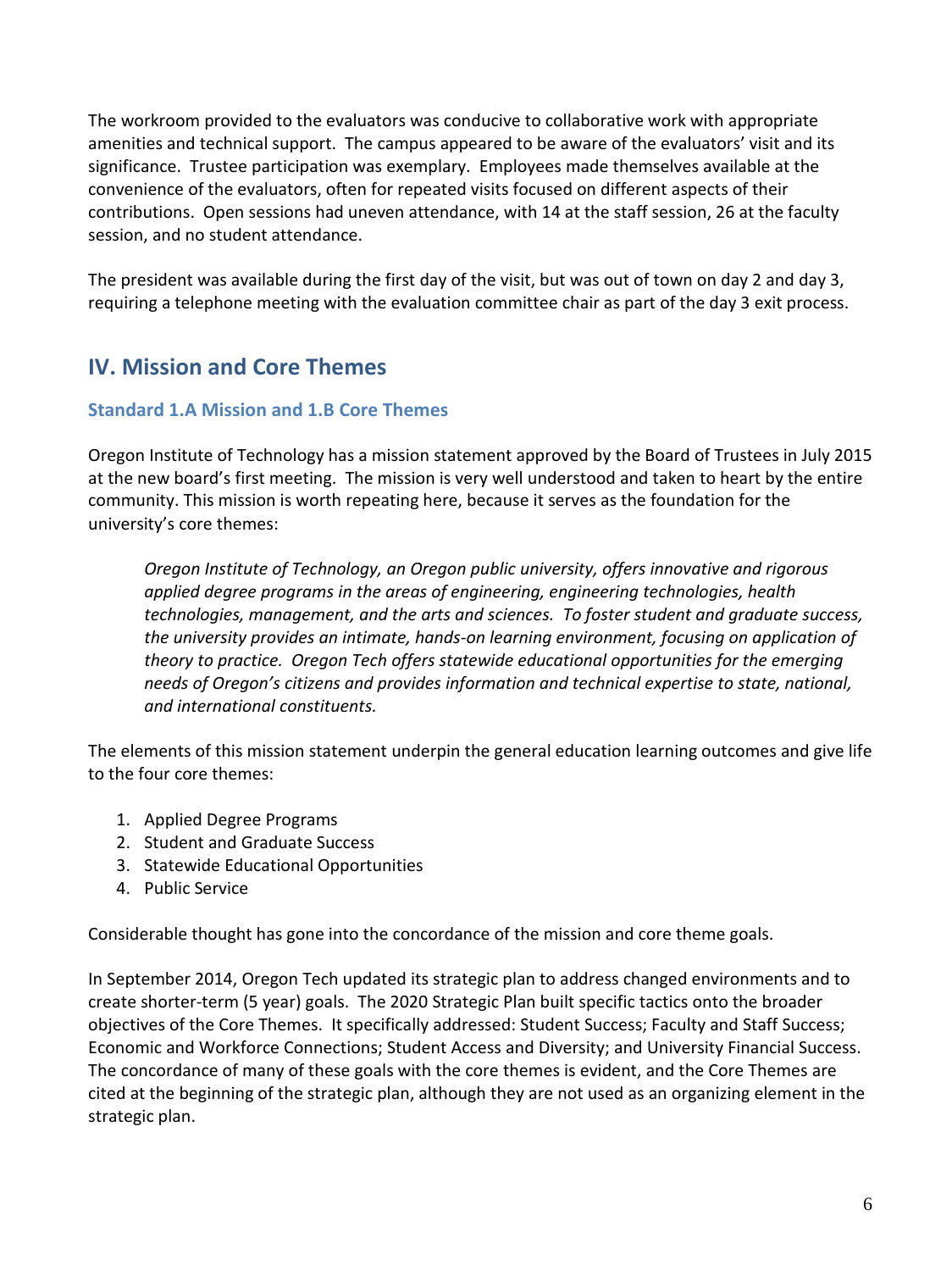The workroom provided to the evaluators was conducive to collaborative work with appropriate amenities and technical support. The campus appeared to be aware of the evaluators' visit and its significance. Trustee participation was exemplary. Employees made themselves available at the convenience of the evaluators, often for repeated visits focused on different aspects of their contributions. Open sessions had uneven attendance, with 14 at the staff session, 26 at the faculty session, and no student attendance.

The president was available during the first day of the visit, but was out of town on day 2 and day 3, requiring a telephone meeting with the evaluation committee chair as part of the day 3 exit process.

# **IV. Mission and Core Themes**

# **Standard 1.A Mission and 1.B Core Themes**

Oregon Institute of Technology has a mission statement approved by the Board of Trustees in July 2015 at the new board's first meeting. The mission is very well understood and taken to heart by the entire community. This mission is worth repeating here, because it serves as the foundation for the university's core themes:

*Oregon Institute of Technology, an Oregon public university, offers innovative and rigorous applied degree programs in the areas of engineering, engineering technologies, health technologies, management, and the arts and sciences. To foster student and graduate success, the university provides an intimate, hands-on learning environment, focusing on application of theory to practice. Oregon Tech offers statewide educational opportunities for the emerging needs of Oregon's citizens and provides information and technical expertise to state, national, and international constituents.*

The elements of this mission statement underpin the general education learning outcomes and give life to the four core themes:

- 1. Applied Degree Programs
- 2. Student and Graduate Success
- 3. Statewide Educational Opportunities
- 4. Public Service

Considerable thought has gone into the concordance of the mission and core theme goals.

In September 2014, Oregon Tech updated its strategic plan to address changed environments and to create shorter-term (5 year) goals. The 2020 Strategic Plan built specific tactics onto the broader objectives of the Core Themes. It specifically addressed: Student Success; Faculty and Staff Success; Economic and Workforce Connections; Student Access and Diversity; and University Financial Success. The concordance of many of these goals with the core themes is evident, and the Core Themes are cited at the beginning of the strategic plan, although they are not used as an organizing element in the strategic plan.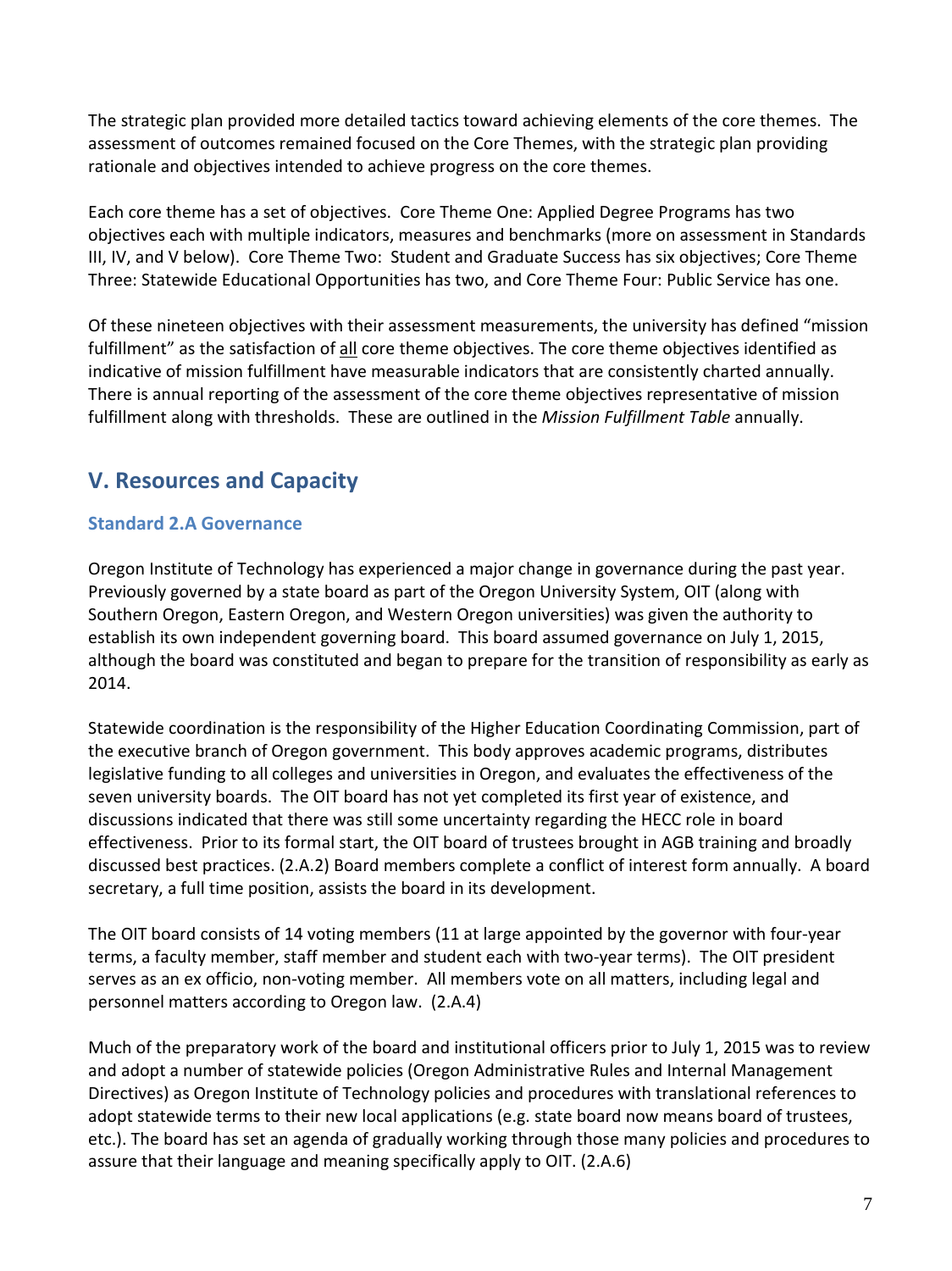The strategic plan provided more detailed tactics toward achieving elements of the core themes. The assessment of outcomes remained focused on the Core Themes, with the strategic plan providing rationale and objectives intended to achieve progress on the core themes.

Each core theme has a set of objectives. Core Theme One: Applied Degree Programs has two objectives each with multiple indicators, measures and benchmarks (more on assessment in Standards III, IV, and V below). Core Theme Two: Student and Graduate Success has six objectives; Core Theme Three: Statewide Educational Opportunities has two, and Core Theme Four: Public Service has one.

Of these nineteen objectives with their assessment measurements, the university has defined "mission fulfillment" as the satisfaction of all core theme objectives. The core theme objectives identified as indicative of mission fulfillment have measurable indicators that are consistently charted annually. There is annual reporting of the assessment of the core theme objectives representative of mission fulfillment along with thresholds. These are outlined in the *Mission Fulfillment Table* annually.

# **V. Resources and Capacity**

# **Standard 2.A Governance**

Oregon Institute of Technology has experienced a major change in governance during the past year. Previously governed by a state board as part of the Oregon University System, OIT (along with Southern Oregon, Eastern Oregon, and Western Oregon universities) was given the authority to establish its own independent governing board. This board assumed governance on July 1, 2015, although the board was constituted and began to prepare for the transition of responsibility as early as 2014.

Statewide coordination is the responsibility of the Higher Education Coordinating Commission, part of the executive branch of Oregon government. This body approves academic programs, distributes legislative funding to all colleges and universities in Oregon, and evaluates the effectiveness of the seven university boards. The OIT board has not yet completed its first year of existence, and discussions indicated that there was still some uncertainty regarding the HECC role in board effectiveness. Prior to its formal start, the OIT board of trustees brought in AGB training and broadly discussed best practices. (2.A.2) Board members complete a conflict of interest form annually. A board secretary, a full time position, assists the board in its development.

The OIT board consists of 14 voting members (11 at large appointed by the governor with four-year terms, a faculty member, staff member and student each with two-year terms). The OIT president serves as an ex officio, non-voting member. All members vote on all matters, including legal and personnel matters according to Oregon law. (2.A.4)

Much of the preparatory work of the board and institutional officers prior to July 1, 2015 was to review and adopt a number of statewide policies (Oregon Administrative Rules and Internal Management Directives) as Oregon Institute of Technology policies and procedures with translational references to adopt statewide terms to their new local applications (e.g. state board now means board of trustees, etc.). The board has set an agenda of gradually working through those many policies and procedures to assure that their language and meaning specifically apply to OIT. (2.A.6)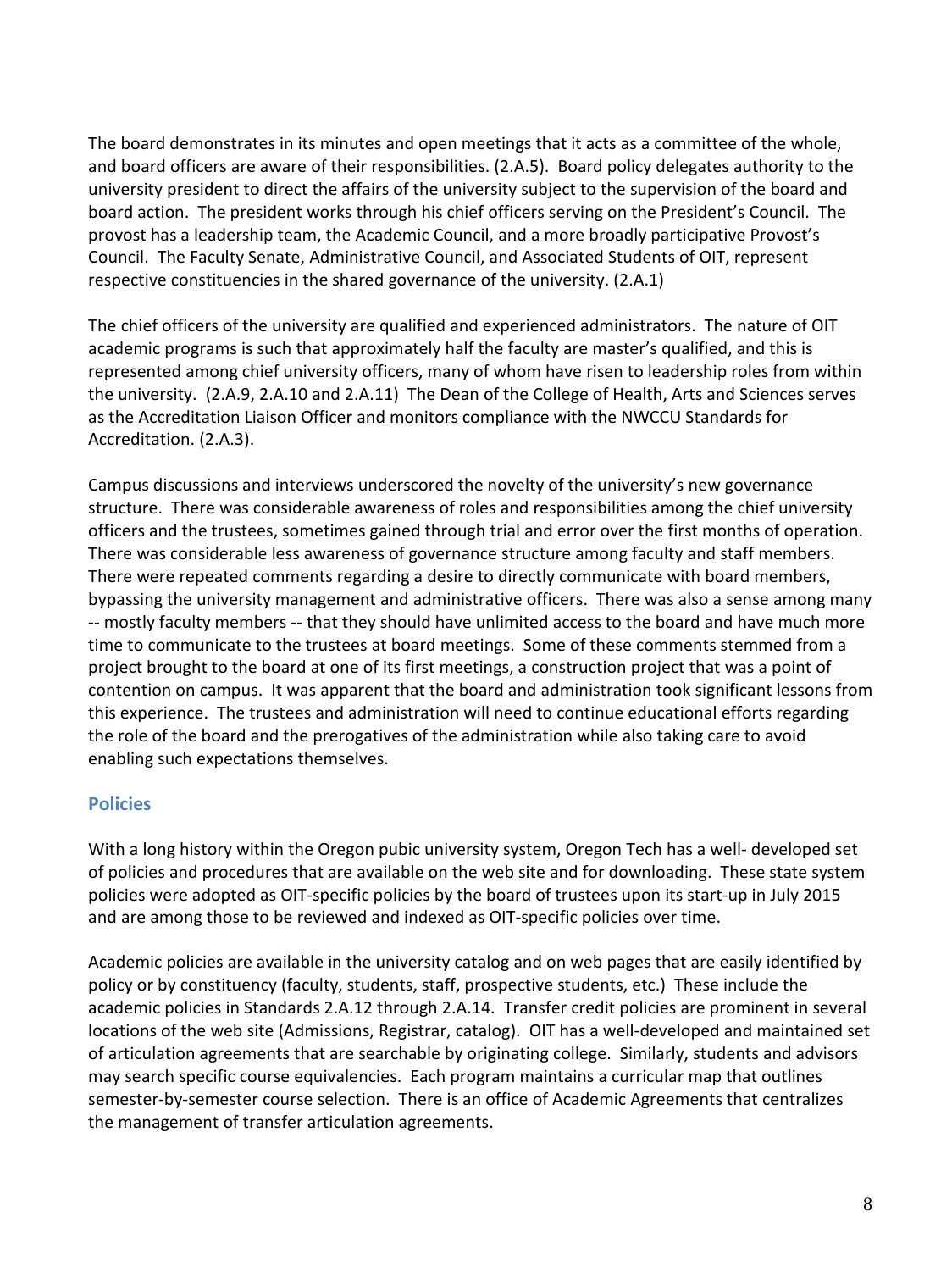The board demonstrates in its minutes and open meetings that it acts as a committee of the whole, and board officers are aware of their responsibilities. (2.A.5). Board policy delegates authority to the university president to direct the affairs of the university subject to the supervision of the board and board action. The president works through his chief officers serving on the President's Council. The provost has a leadership team, the Academic Council, and a more broadly participative Provost's Council. The Faculty Senate, Administrative Council, and Associated Students of OIT, represent respective constituencies in the shared governance of the university. (2.A.1)

The chief officers of the university are qualified and experienced administrators. The nature of OIT academic programs is such that approximately half the faculty are master's qualified, and this is represented among chief university officers, many of whom have risen to leadership roles from within the university. (2.A.9, 2.A.10 and 2.A.11) The Dean of the College of Health, Arts and Sciences serves as the Accreditation Liaison Officer and monitors compliance with the NWCCU Standards for Accreditation. (2.A.3).

Campus discussions and interviews underscored the novelty of the university's new governance structure. There was considerable awareness of roles and responsibilities among the chief university officers and the trustees, sometimes gained through trial and error over the first months of operation. There was considerable less awareness of governance structure among faculty and staff members. There were repeated comments regarding a desire to directly communicate with board members, bypassing the university management and administrative officers. There was also a sense among many -- mostly faculty members -- that they should have unlimited access to the board and have much more time to communicate to the trustees at board meetings. Some of these comments stemmed from a project brought to the board at one of its first meetings, a construction project that was a point of contention on campus. It was apparent that the board and administration took significant lessons from this experience. The trustees and administration will need to continue educational efforts regarding the role of the board and the prerogatives of the administration while also taking care to avoid enabling such expectations themselves.

# **Policies**

With a long history within the Oregon pubic university system, Oregon Tech has a well- developed set of policies and procedures that are available on the web site and for downloading. These state system policies were adopted as OIT-specific policies by the board of trustees upon its start-up in July 2015 and are among those to be reviewed and indexed as OIT-specific policies over time.

Academic policies are available in the university catalog and on web pages that are easily identified by policy or by constituency (faculty, students, staff, prospective students, etc.) These include the academic policies in Standards 2.A.12 through 2.A.14. Transfer credit policies are prominent in several locations of the web site (Admissions, Registrar, catalog). OIT has a well-developed and maintained set of articulation agreements that are searchable by originating college. Similarly, students and advisors may search specific course equivalencies. Each program maintains a curricular map that outlines semester-by-semester course selection. There is an office of Academic Agreements that centralizes the management of transfer articulation agreements.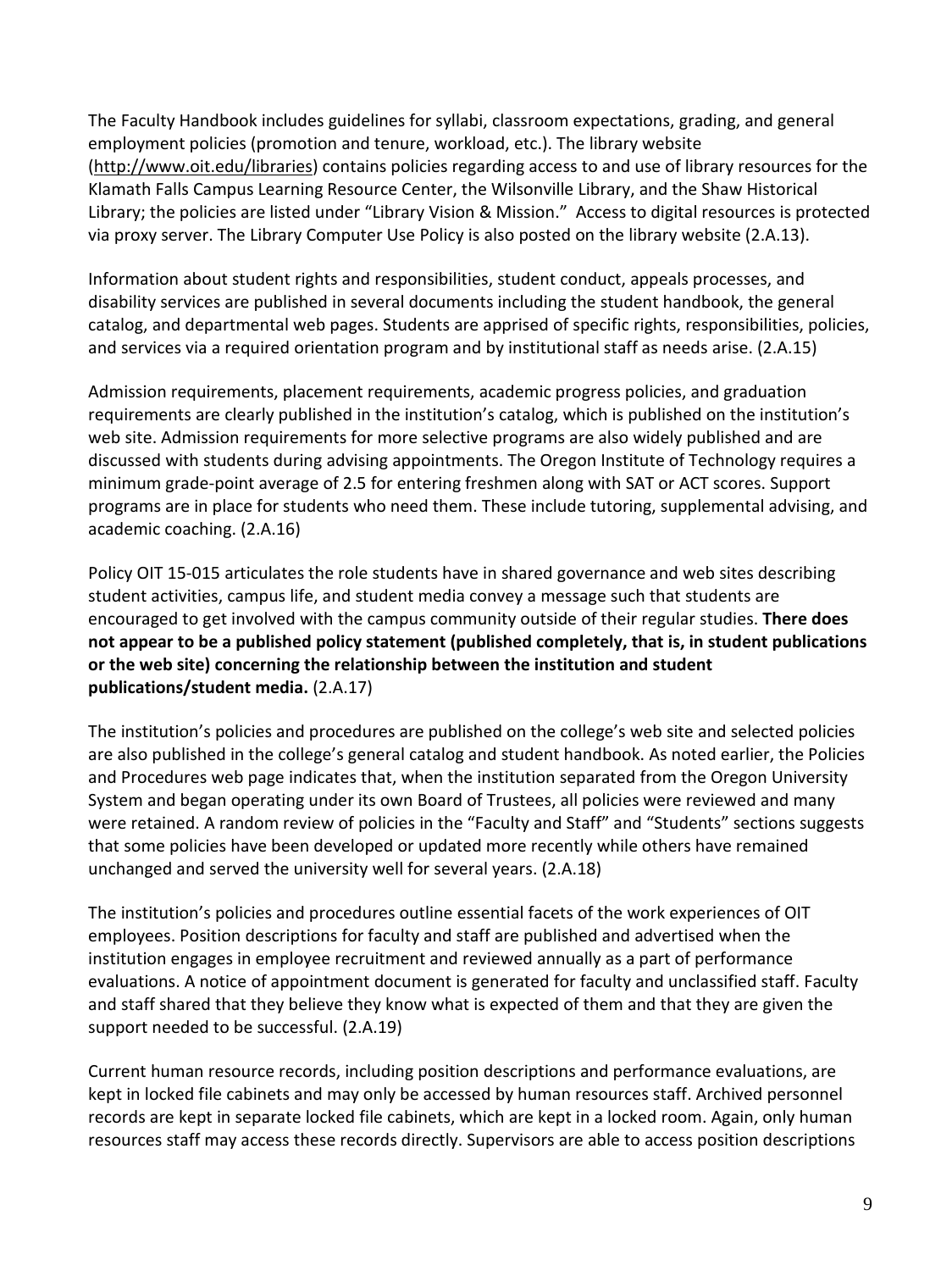The Faculty Handbook includes guidelines for syllabi, classroom expectations, grading, and general employment policies (promotion and tenure, workload, etc.). The library website [\(http://www.oit.edu/libraries\)](http://www.oit.edu/libraries) contains policies regarding access to and use of library resources for the Klamath Falls Campus Learning Resource Center, the Wilsonville Library, and the Shaw Historical Library; the policies are listed under "Library Vision & Mission." Access to digital resources is protected via proxy server. The Library Computer Use Policy is also posted on the library website (2.A.13).

Information about student rights and responsibilities, student conduct, appeals processes, and disability services are published in several documents including the student handbook, the general catalog, and departmental web pages. Students are apprised of specific rights, responsibilities, policies, and services via a required orientation program and by institutional staff as needs arise. (2.A.15)

Admission requirements, placement requirements, academic progress policies, and graduation requirements are clearly published in the institution's catalog, which is published on the institution's web site. Admission requirements for more selective programs are also widely published and are discussed with students during advising appointments. The Oregon Institute of Technology requires a minimum grade-point average of 2.5 for entering freshmen along with SAT or ACT scores. Support programs are in place for students who need them. These include tutoring, supplemental advising, and academic coaching. (2.A.16)

Policy OIT 15-015 articulates the role students have in shared governance and web sites describing student activities, campus life, and student media convey a message such that students are encouraged to get involved with the campus community outside of their regular studies. **There does not appear to be a published policy statement (published completely, that is, in student publications or the web site) concerning the relationship between the institution and student publications/student media.** (2.A.17)

The institution's policies and procedures are published on the college's web site and selected policies are also published in the college's general catalog and student handbook. As noted earlier, the Policies and Procedures web page indicates that, when the institution separated from the Oregon University System and began operating under its own Board of Trustees, all policies were reviewed and many were retained. A random review of policies in the "Faculty and Staff" and "Students" sections suggests that some policies have been developed or updated more recently while others have remained unchanged and served the university well for several years. (2.A.18)

The institution's policies and procedures outline essential facets of the work experiences of OIT employees. Position descriptions for faculty and staff are published and advertised when the institution engages in employee recruitment and reviewed annually as a part of performance evaluations. A notice of appointment document is generated for faculty and unclassified staff. Faculty and staff shared that they believe they know what is expected of them and that they are given the support needed to be successful. (2.A.19)

Current human resource records, including position descriptions and performance evaluations, are kept in locked file cabinets and may only be accessed by human resources staff. Archived personnel records are kept in separate locked file cabinets, which are kept in a locked room. Again, only human resources staff may access these records directly. Supervisors are able to access position descriptions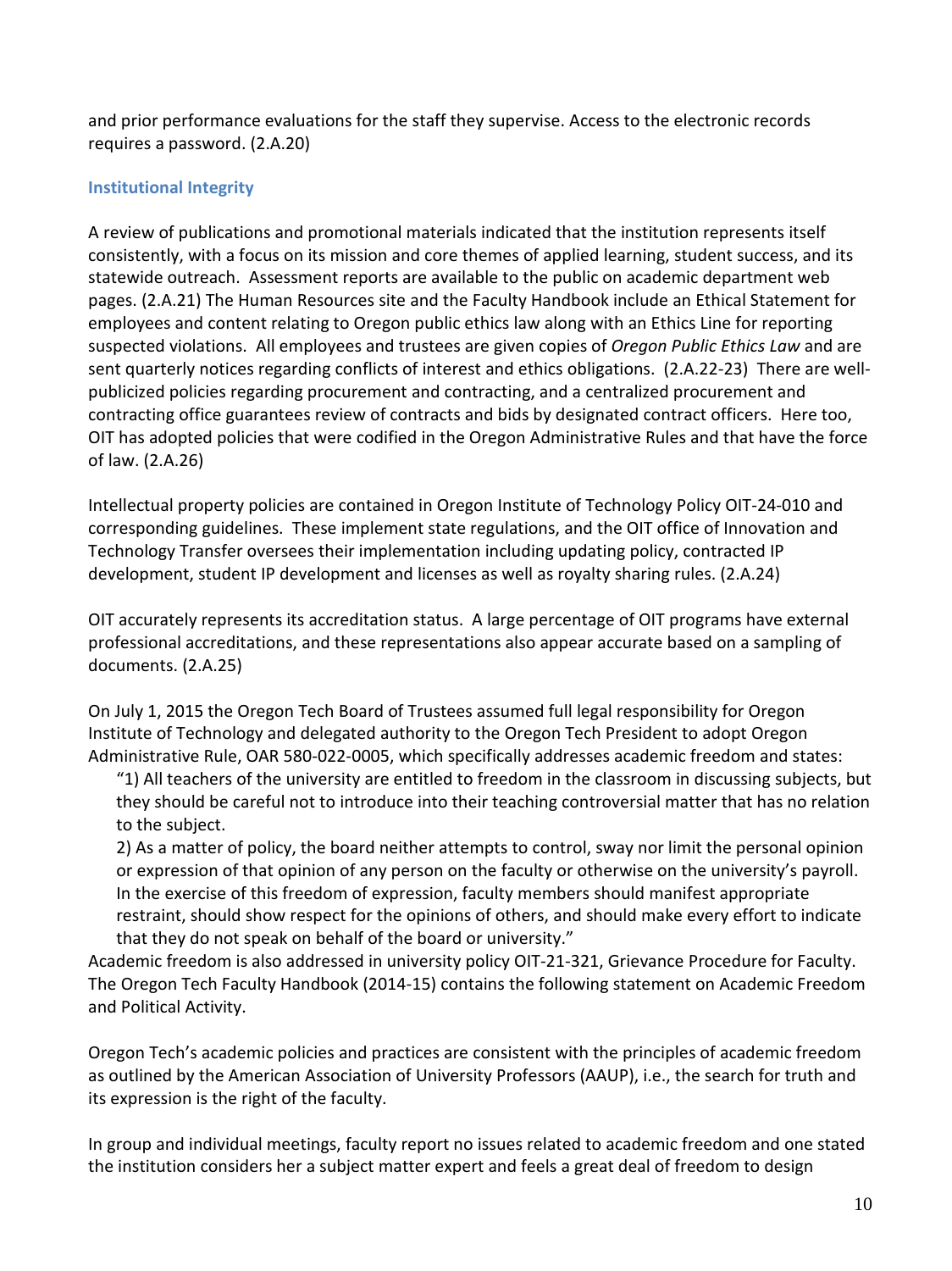and prior performance evaluations for the staff they supervise. Access to the electronic records requires a password. (2.A.20)

#### **Institutional Integrity**

A review of publications and promotional materials indicated that the institution represents itself consistently, with a focus on its mission and core themes of applied learning, student success, and its statewide outreach. Assessment reports are available to the public on academic department web pages. (2.A.21) The Human Resources site and the Faculty Handbook include an Ethical Statement for employees and content relating to Oregon public ethics law along with an Ethics Line for reporting suspected violations. All employees and trustees are given copies of *Oregon Public Ethics Law* and are sent quarterly notices regarding conflicts of interest and ethics obligations. (2.A.22-23) There are wellpublicized policies regarding procurement and contracting, and a centralized procurement and contracting office guarantees review of contracts and bids by designated contract officers. Here too, OIT has adopted policies that were codified in the Oregon Administrative Rules and that have the force of law. (2.A.26)

Intellectual property policies are contained in Oregon Institute of Technology Policy OIT-24-010 and corresponding guidelines. These implement state regulations, and the OIT office of Innovation and Technology Transfer oversees their implementation including updating policy, contracted IP development, student IP development and licenses as well as royalty sharing rules. (2.A.24)

OIT accurately represents its accreditation status. A large percentage of OIT programs have external professional accreditations, and these representations also appear accurate based on a sampling of documents. (2.A.25)

On July 1, 2015 the Oregon Tech Board of Trustees assumed full legal responsibility for Oregon Institute of Technology and delegated authority to the Oregon Tech President to adopt Oregon Administrative Rule, OAR 580-022-0005, which specifically addresses academic freedom and states:

"1) All teachers of the university are entitled to freedom in the classroom in discussing subjects, but they should be careful not to introduce into their teaching controversial matter that has no relation to the subject.

2) As a matter of policy, the board neither attempts to control, sway nor limit the personal opinion or expression of that opinion of any person on the faculty or otherwise on the university's payroll. In the exercise of this freedom of expression, faculty members should manifest appropriate restraint, should show respect for the opinions of others, and should make every effort to indicate that they do not speak on behalf of the board or university."

Academic freedom is also addressed in university policy OIT-21-321, Grievance Procedure for Faculty. The Oregon Tech Faculty Handbook (2014-15) contains the following statement on Academic Freedom and Political Activity.

Oregon Tech's academic policies and practices are consistent with the principles of academic freedom as outlined by the American Association of University Professors (AAUP), i.e., the search for truth and its expression is the right of the faculty.

In group and individual meetings, faculty report no issues related to academic freedom and one stated the institution considers her a subject matter expert and feels a great deal of freedom to design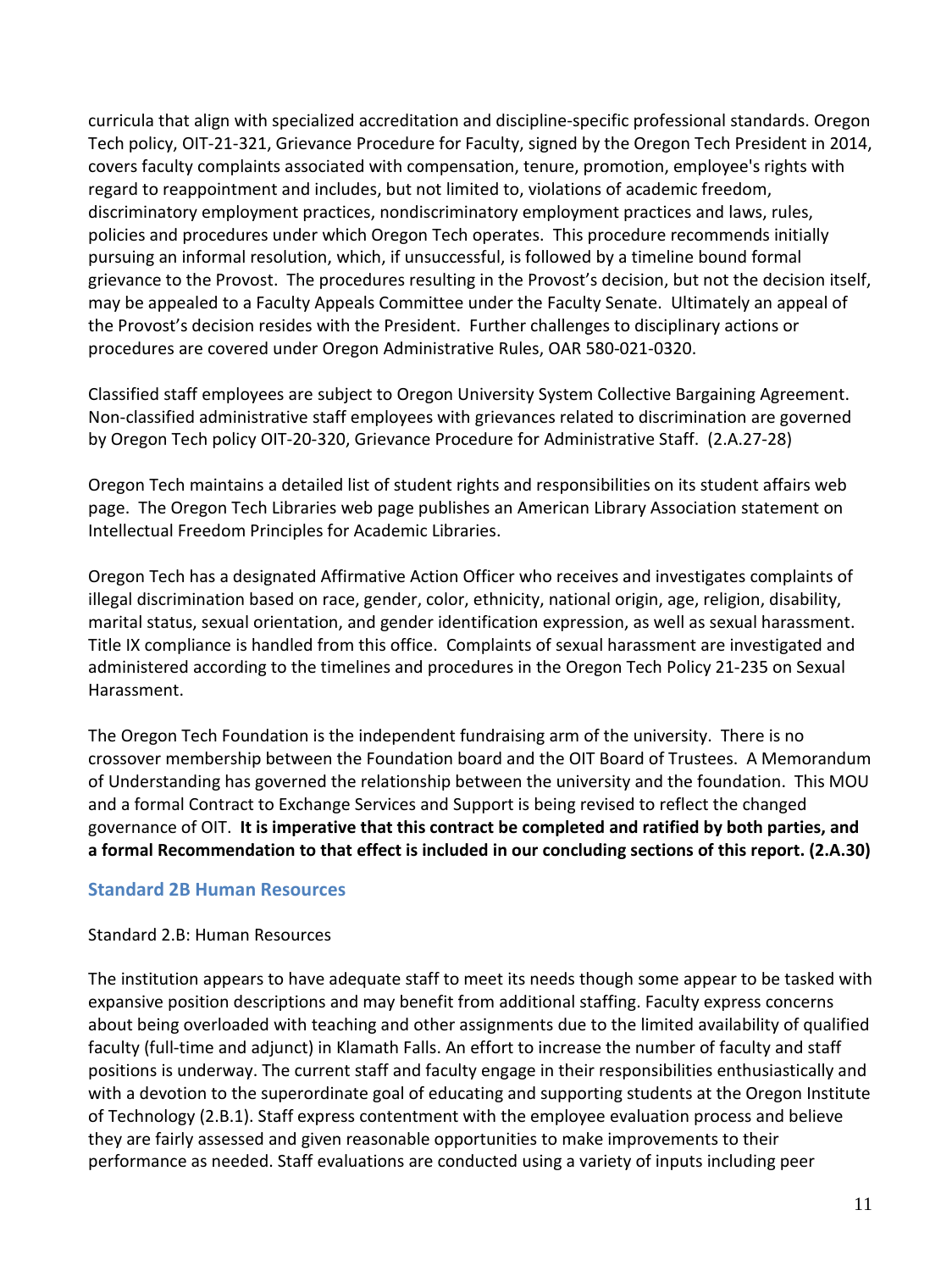curricula that align with specialized accreditation and discipline-specific professional standards. Oregon Tech policy, OIT-21-321, Grievance Procedure for Faculty, signed by the Oregon Tech President in 2014, covers faculty complaints associated with compensation, tenure, promotion, employee's rights with regard to reappointment and includes, but not limited to, violations of academic freedom, discriminatory employment practices, nondiscriminatory employment practices and laws, rules, policies and procedures under which Oregon Tech operates. This procedure recommends initially pursuing an informal resolution, which, if unsuccessful, is followed by a timeline bound formal grievance to the Provost. The procedures resulting in the Provost's decision, but not the decision itself, may be appealed to a Faculty Appeals Committee under the Faculty Senate. Ultimately an appeal of the Provost's decision resides with the President. Further challenges to disciplinary actions or procedures are covered under Oregon Administrative Rules, OAR 580-021-0320.

Classified staff employees are subject to Oregon University System Collective Bargaining Agreement. Non-classified administrative staff employees with grievances related to discrimination are governed by Oregon Tech policy OIT-20-320, Grievance Procedure for Administrative Staff. (2.A.27-28)

Oregon Tech maintains a detailed list of student rights and responsibilities on its student affairs web page. The Oregon Tech Libraries web page publishes an American Library Association statement on Intellectual Freedom Principles for Academic Libraries.

Oregon Tech has a designated Affirmative Action Officer who receives and investigates complaints of illegal discrimination based on race, gender, color, ethnicity, national origin, age, religion, disability, marital status, sexual orientation, and gender identification expression, as well as sexual harassment. Title IX compliance is handled from this office. Complaints of sexual harassment are investigated and administered according to the timelines and procedures in the Oregon Tech Policy 21-235 on Sexual Harassment.

The Oregon Tech Foundation is the independent fundraising arm of the university. There is no crossover membership between the Foundation board and the OIT Board of Trustees. A Memorandum of Understanding has governed the relationship between the university and the foundation. This MOU and a formal Contract to Exchange Services and Support is being revised to reflect the changed governance of OIT. **It is imperative that this contract be completed and ratified by both parties, and a formal Recommendation to that effect is included in our concluding sections of this report. (2.A.30)**

# **Standard 2B Human Resources**

#### Standard 2.B: Human Resources

The institution appears to have adequate staff to meet its needs though some appear to be tasked with expansive position descriptions and may benefit from additional staffing. Faculty express concerns about being overloaded with teaching and other assignments due to the limited availability of qualified faculty (full-time and adjunct) in Klamath Falls. An effort to increase the number of faculty and staff positions is underway. The current staff and faculty engage in their responsibilities enthusiastically and with a devotion to the superordinate goal of educating and supporting students at the Oregon Institute of Technology (2.B.1). Staff express contentment with the employee evaluation process and believe they are fairly assessed and given reasonable opportunities to make improvements to their performance as needed. Staff evaluations are conducted using a variety of inputs including peer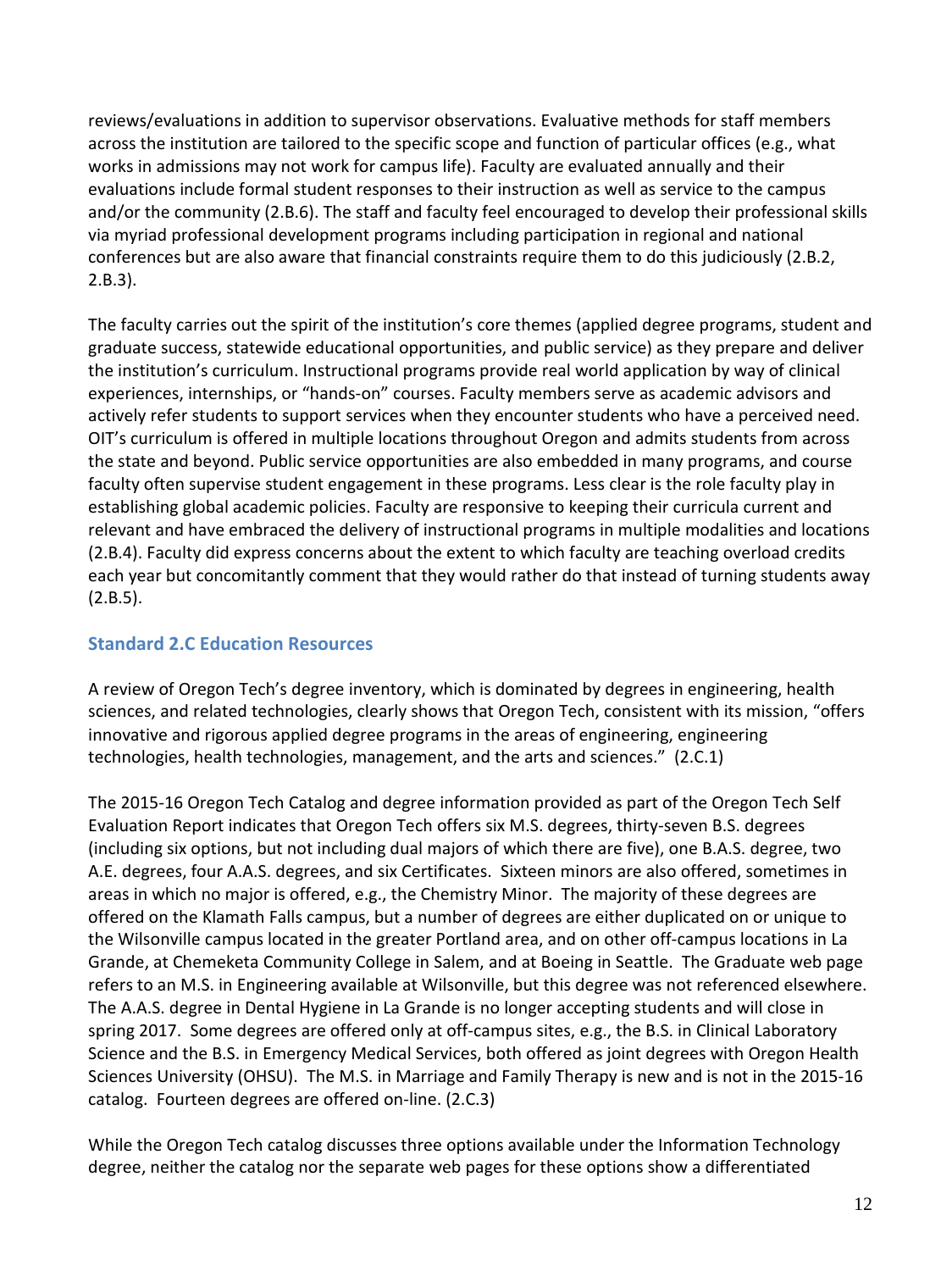reviews/evaluations in addition to supervisor observations. Evaluative methods for staff members across the institution are tailored to the specific scope and function of particular offices (e.g., what works in admissions may not work for campus life). Faculty are evaluated annually and their evaluations include formal student responses to their instruction as well as service to the campus and/or the community (2.B.6). The staff and faculty feel encouraged to develop their professional skills via myriad professional development programs including participation in regional and national conferences but are also aware that financial constraints require them to do this judiciously (2.B.2, 2.B.3).

The faculty carries out the spirit of the institution's core themes (applied degree programs, student and graduate success, statewide educational opportunities, and public service) as they prepare and deliver the institution's curriculum. Instructional programs provide real world application by way of clinical experiences, internships, or "hands-on" courses. Faculty members serve as academic advisors and actively refer students to support services when they encounter students who have a perceived need. OIT's curriculum is offered in multiple locations throughout Oregon and admits students from across the state and beyond. Public service opportunities are also embedded in many programs, and course faculty often supervise student engagement in these programs. Less clear is the role faculty play in establishing global academic policies. Faculty are responsive to keeping their curricula current and relevant and have embraced the delivery of instructional programs in multiple modalities and locations (2.B.4). Faculty did express concerns about the extent to which faculty are teaching overload credits each year but concomitantly comment that they would rather do that instead of turning students away  $(2.B.5).$ 

# **Standard 2.C Education Resources**

A review of Oregon Tech's degree inventory, which is dominated by degrees in engineering, health sciences, and related technologies, clearly shows that Oregon Tech, consistent with its mission, "offers innovative and rigorous applied degree programs in the areas of engineering, engineering technologies, health technologies, management, and the arts and sciences." (2.C.1)

The 2015-16 Oregon Tech Catalog and degree information provided as part of the Oregon Tech Self Evaluation Report indicates that Oregon Tech offers six M.S. degrees, thirty-seven B.S. degrees (including six options, but not including dual majors of which there are five), one B.A.S. degree, two A.E. degrees, four A.A.S. degrees, and six Certificates. Sixteen minors are also offered, sometimes in areas in which no major is offered, e.g., the Chemistry Minor. The majority of these degrees are offered on the Klamath Falls campus, but a number of degrees are either duplicated on or unique to the Wilsonville campus located in the greater Portland area, and on other off-campus locations in La Grande, at Chemeketa Community College in Salem, and at Boeing in Seattle. The Graduate web page refers to an M.S. in Engineering available at Wilsonville, but this degree was not referenced elsewhere. The A.A.S. degree in Dental Hygiene in La Grande is no longer accepting students and will close in spring 2017. Some degrees are offered only at off-campus sites, e.g., the B.S. in Clinical Laboratory Science and the B.S. in Emergency Medical Services, both offered as joint degrees with Oregon Health Sciences University (OHSU). The M.S. in Marriage and Family Therapy is new and is not in the 2015-16 catalog. Fourteen degrees are offered on-line. (2.C.3)

While the Oregon Tech catalog discusses three options available under the Information Technology degree, neither the catalog nor the separate web pages for these options show a differentiated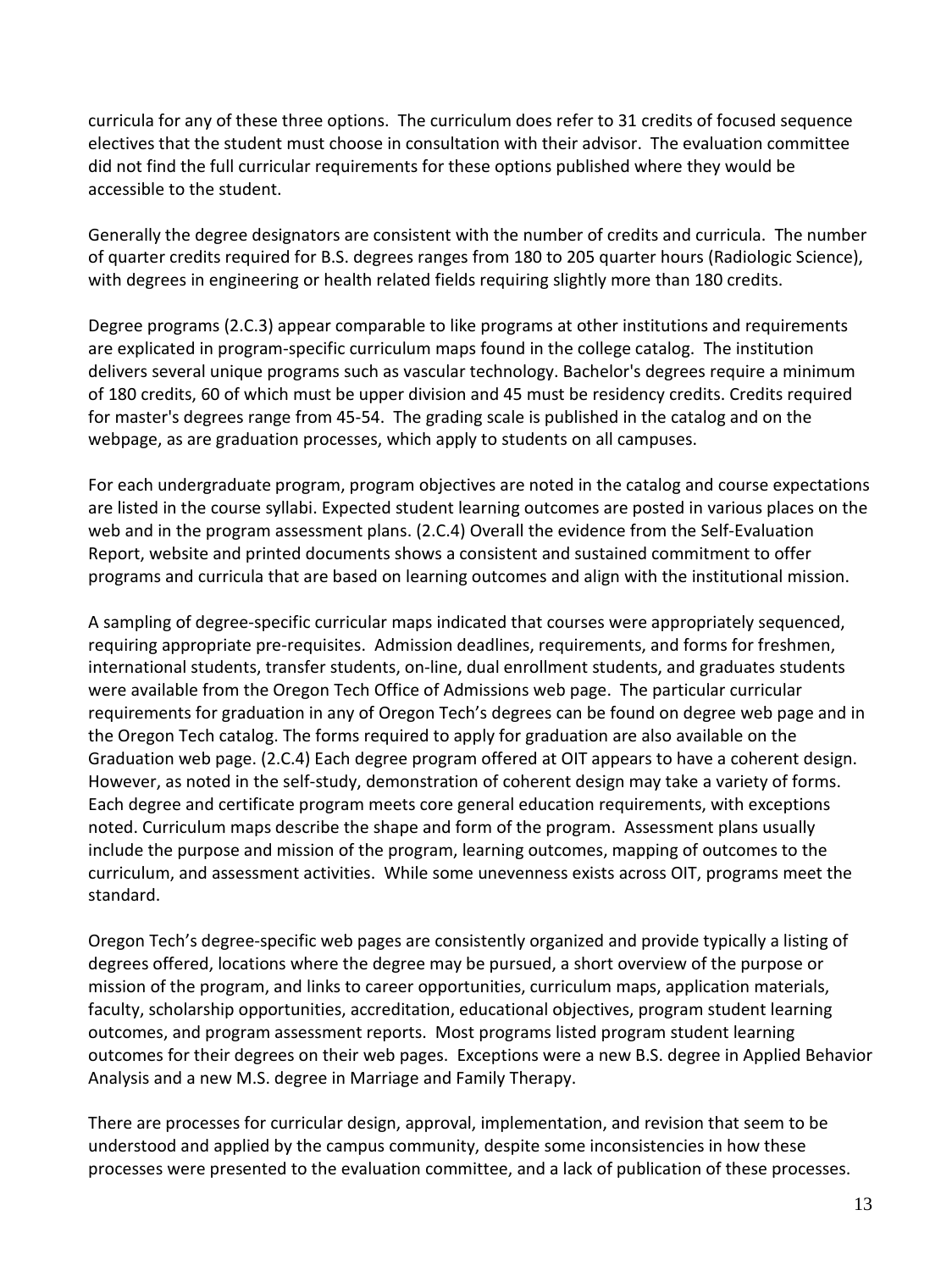curricula for any of these three options. The curriculum does refer to 31 credits of focused sequence electives that the student must choose in consultation with their advisor. The evaluation committee did not find the full curricular requirements for these options published where they would be accessible to the student.

Generally the degree designators are consistent with the number of credits and curricula. The number of quarter credits required for B.S. degrees ranges from 180 to 205 quarter hours (Radiologic Science), with degrees in engineering or health related fields requiring slightly more than 180 credits.

Degree programs (2.C.3) appear comparable to like programs at other institutions and requirements are explicated in program-specific curriculum maps found in the college catalog. The institution delivers several unique programs such as vascular technology. Bachelor's degrees require a minimum of 180 credits, 60 of which must be upper division and 45 must be residency credits. Credits required for master's degrees range from 45-54. The grading scale is published in the catalog and on the webpage, as are graduation processes, which apply to students on all campuses.

For each undergraduate program, program objectives are noted in the catalog and course expectations are listed in the course syllabi. Expected student learning outcomes are posted in various places on the web and in the program assessment plans. (2.C.4) Overall the evidence from the Self-Evaluation Report, website and printed documents shows a consistent and sustained commitment to offer programs and curricula that are based on learning outcomes and align with the institutional mission.

A sampling of degree-specific curricular maps indicated that courses were appropriately sequenced, requiring appropriate pre-requisites. Admission deadlines, requirements, and forms for freshmen, international students, transfer students, on-line, dual enrollment students, and graduates students were available from the Oregon Tech Office of Admissions web page. The particular curricular requirements for graduation in any of Oregon Tech's degrees can be found on degree web page and in the Oregon Tech catalog. The forms required to apply for graduation are also available on the Graduation web page. (2.C.4) Each degree program offered at OIT appears to have a coherent design. However, as noted in the self-study, demonstration of coherent design may take a variety of forms. Each degree and certificate program meets core general education requirements, with exceptions noted. Curriculum maps describe the shape and form of the program. Assessment plans usually include the purpose and mission of the program, learning outcomes, mapping of outcomes to the curriculum, and assessment activities. While some unevenness exists across OIT, programs meet the standard.

Oregon Tech's degree-specific web pages are consistently organized and provide typically a listing of degrees offered, locations where the degree may be pursued, a short overview of the purpose or mission of the program, and links to career opportunities, curriculum maps, application materials, faculty, scholarship opportunities, accreditation, educational objectives, program student learning outcomes, and program assessment reports. Most programs listed program student learning outcomes for their degrees on their web pages. Exceptions were a new B.S. degree in Applied Behavior Analysis and a new M.S. degree in Marriage and Family Therapy.

There are processes for curricular design, approval, implementation, and revision that seem to be understood and applied by the campus community, despite some inconsistencies in how these processes were presented to the evaluation committee, and a lack of publication of these processes.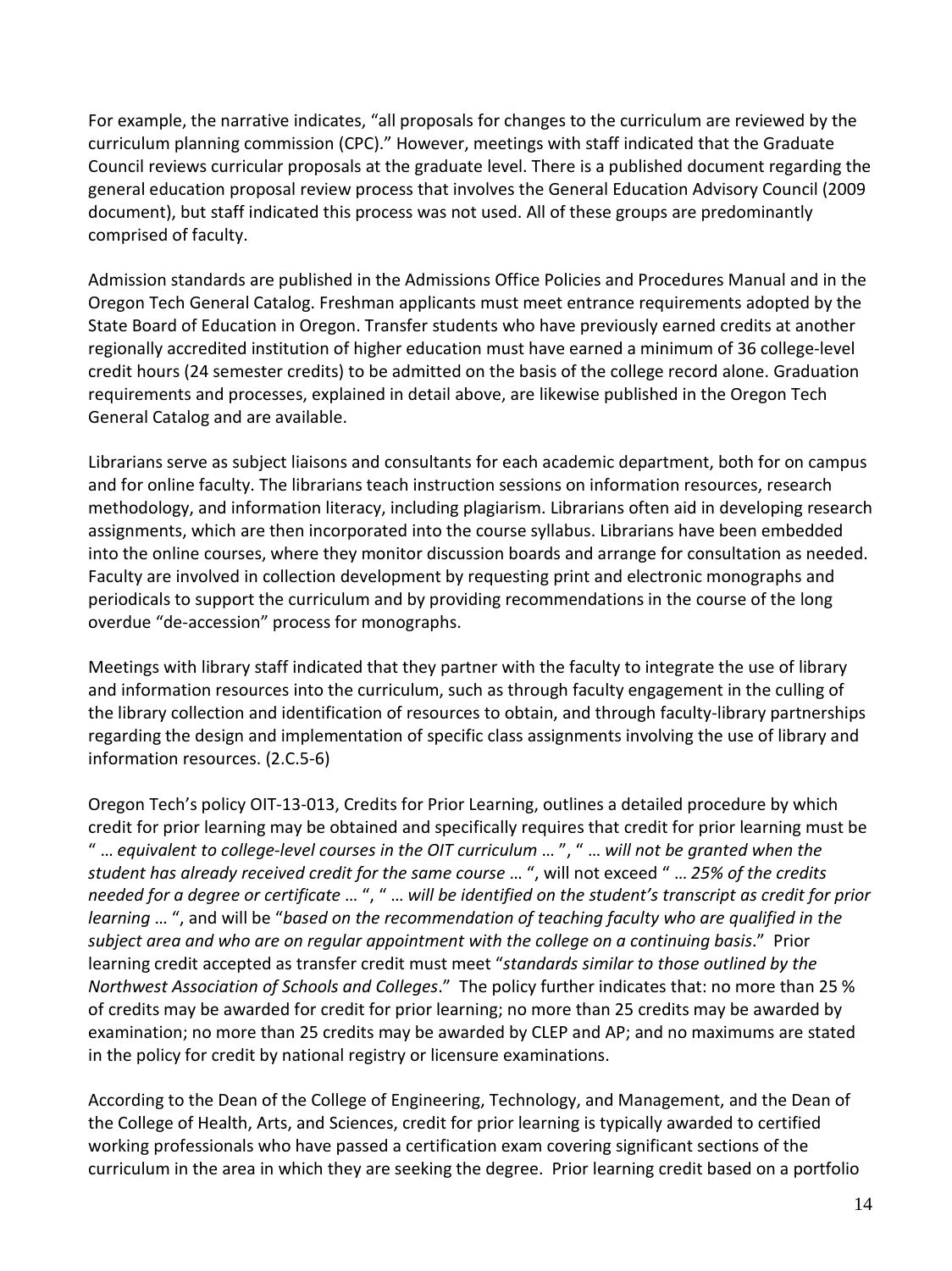For example, the narrative indicates, "all proposals for changes to the curriculum are reviewed by the curriculum planning commission (CPC)." However, meetings with staff indicated that the Graduate Council reviews curricular proposals at the graduate level. There is a published document regarding the general education proposal review process that involves the General Education Advisory Council (2009 document), but staff indicated this process was not used. All of these groups are predominantly comprised of faculty.

Admission standards are published in the Admissions Office Policies and Procedures Manual and in the Oregon Tech General Catalog. Freshman applicants must meet entrance requirements adopted by the State Board of Education in Oregon. Transfer students who have previously earned credits at another regionally accredited institution of higher education must have earned a minimum of 36 college-level credit hours (24 semester credits) to be admitted on the basis of the college record alone. Graduation requirements and processes, explained in detail above, are likewise published in the Oregon Tech General Catalog and are available.

Librarians serve as subject liaisons and consultants for each academic department, both for on campus and for online faculty. The librarians teach instruction sessions on information resources, research methodology, and information literacy, including plagiarism. Librarians often aid in developing research assignments, which are then incorporated into the course syllabus. Librarians have been embedded into the online courses, where they monitor discussion boards and arrange for consultation as needed. Faculty are involved in collection development by requesting print and electronic monographs and periodicals to support the curriculum and by providing recommendations in the course of the long overdue "de-accession" process for monographs.

Meetings with library staff indicated that they partner with the faculty to integrate the use of library and information resources into the curriculum, such as through faculty engagement in the culling of the library collection and identification of resources to obtain, and through faculty-library partnerships regarding the design and implementation of specific class assignments involving the use of library and information resources. (2.C.5-6)

Oregon Tech's policy OIT-13-013, Credits for Prior Learning, outlines a detailed procedure by which credit for prior learning may be obtained and specifically requires that credit for prior learning must be " … *equivalent to college-level courses in the OIT curriculum* … ", " … *will not be granted when the student has already received credit for the same course* … ", will not exceed " … *25% of the credits needed for a degree or certificate* … ", " … *will be identified on the student's transcript as credit for prior learning* … ", and will be "*based on the recommendation of teaching faculty who are qualified in the subject area and who are on regular appointment with the college on a continuing basis*." Prior learning credit accepted as transfer credit must meet "*standards similar to those outlined by the Northwest Association of Schools and Colleges*." The policy further indicates that: no more than 25 % of credits may be awarded for credit for prior learning; no more than 25 credits may be awarded by examination; no more than 25 credits may be awarded by CLEP and AP; and no maximums are stated in the policy for credit by national registry or licensure examinations.

According to the Dean of the College of Engineering, Technology, and Management, and the Dean of the College of Health, Arts, and Sciences, credit for prior learning is typically awarded to certified working professionals who have passed a certification exam covering significant sections of the curriculum in the area in which they are seeking the degree. Prior learning credit based on a portfolio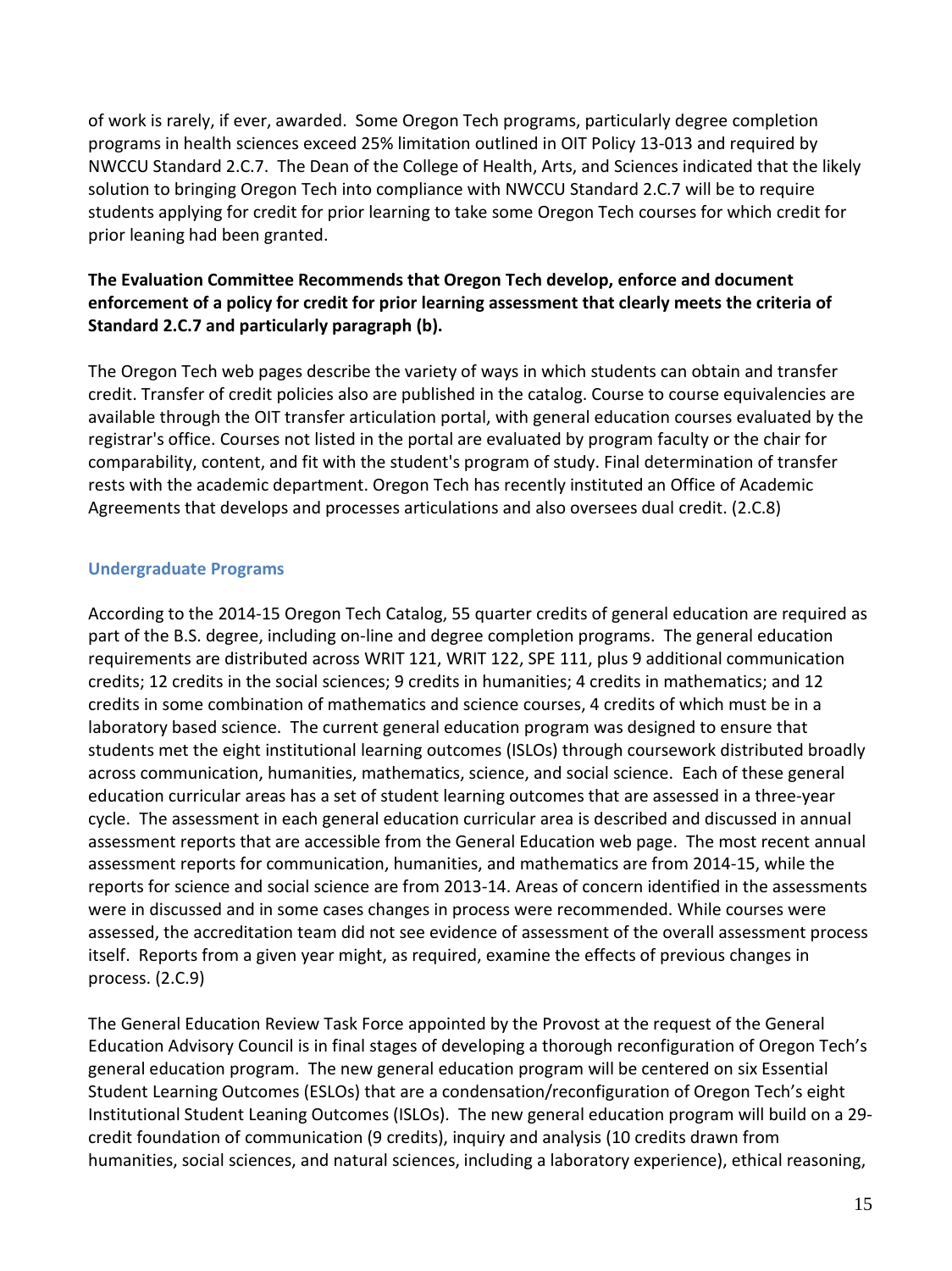of work is rarely, if ever, awarded. Some Oregon Tech programs, particularly degree completion programs in health sciences exceed 25% limitation outlined in OIT Policy 13-013 and required by NWCCU Standard 2.C.7. The Dean of the College of Health, Arts, and Sciences indicated that the likely solution to bringing Oregon Tech into compliance with NWCCU Standard 2.C.7 will be to require students applying for credit for prior learning to take some Oregon Tech courses for which credit for prior leaning had been granted.

# **The Evaluation Committee Recommends that Oregon Tech develop, enforce and document enforcement of a policy for credit for prior learning assessment that clearly meets the criteria of Standard 2.C.7 and particularly paragraph (b).**

The Oregon Tech web pages describe the variety of ways in which students can obtain and transfer credit. Transfer of credit policies also are published in the catalog. Course to course equivalencies are available through the OIT transfer articulation portal, with general education courses evaluated by the registrar's office. Courses not listed in the portal are evaluated by program faculty or the chair for comparability, content, and fit with the student's program of study. Final determination of transfer rests with the academic department. Oregon Tech has recently instituted an Office of Academic Agreements that develops and processes articulations and also oversees dual credit. (2.C.8)

# **Undergraduate Programs**

According to the 2014-15 Oregon Tech Catalog, 55 quarter credits of general education are required as part of the B.S. degree, including on-line and degree completion programs. The general education requirements are distributed across WRIT 121, WRIT 122, SPE 111, plus 9 additional communication credits; 12 credits in the social sciences; 9 credits in humanities; 4 credits in mathematics; and 12 credits in some combination of mathematics and science courses, 4 credits of which must be in a laboratory based science. The current general education program was designed to ensure that students met the eight institutional learning outcomes (ISLOs) through coursework distributed broadly across communication, humanities, mathematics, science, and social science. Each of these general education curricular areas has a set of student learning outcomes that are assessed in a three-year cycle. The assessment in each general education curricular area is described and discussed in annual assessment reports that are accessible from the General Education web page. The most recent annual assessment reports for communication, humanities, and mathematics are from 2014-15, while the reports for science and social science are from 2013-14. Areas of concern identified in the assessments were in discussed and in some cases changes in process were recommended. While courses were assessed, the accreditation team did not see evidence of assessment of the overall assessment process itself. Reports from a given year might, as required, examine the effects of previous changes in process. (2.C.9)

The General Education Review Task Force appointed by the Provost at the request of the General Education Advisory Council is in final stages of developing a thorough reconfiguration of Oregon Tech's general education program. The new general education program will be centered on six Essential Student Learning Outcomes (ESLOs) that are a condensation/reconfiguration of Oregon Tech's eight Institutional Student Leaning Outcomes (ISLOs). The new general education program will build on a 29 credit foundation of communication (9 credits), inquiry and analysis (10 credits drawn from humanities, social sciences, and natural sciences, including a laboratory experience), ethical reasoning,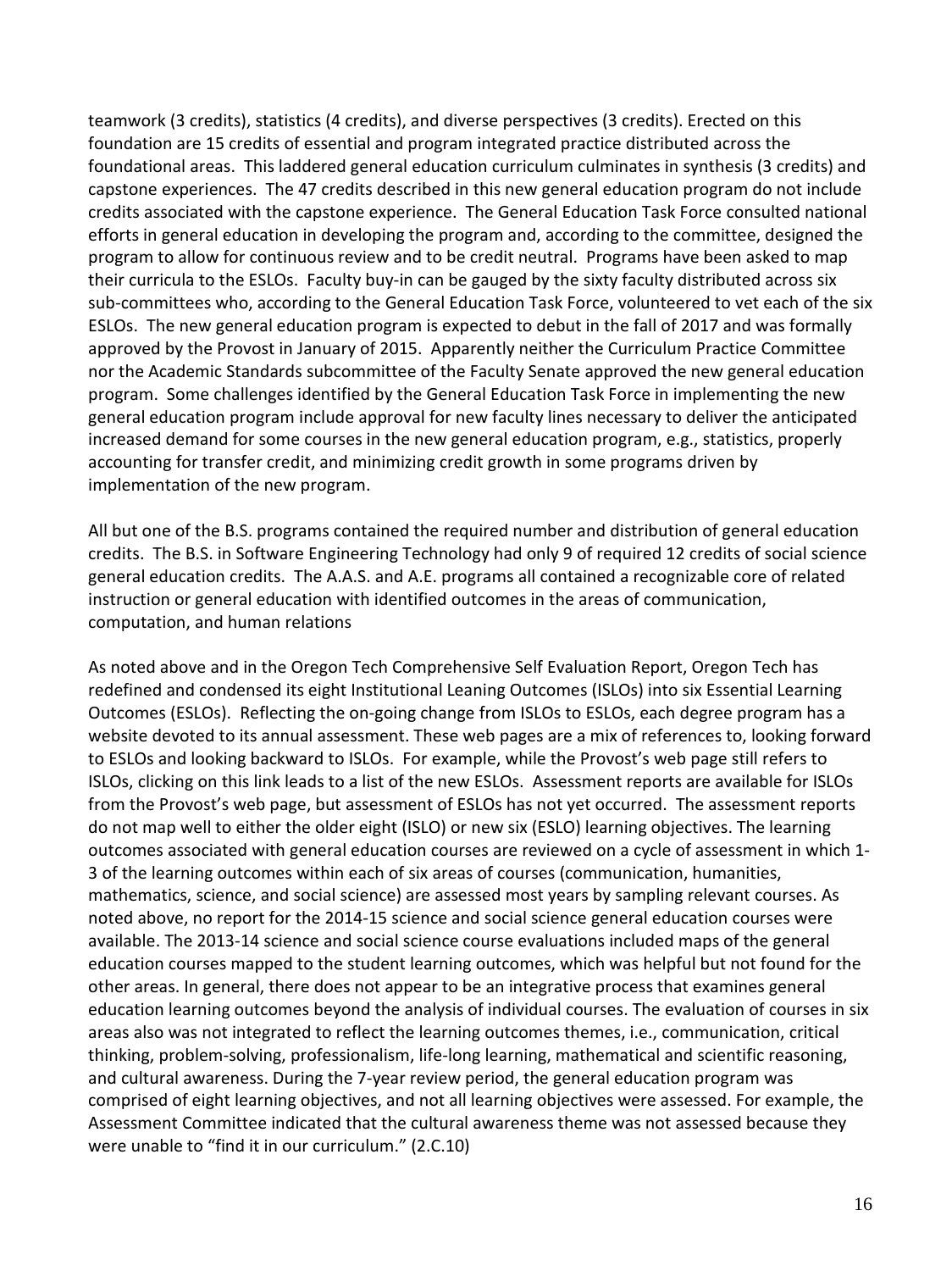teamwork (3 credits), statistics (4 credits), and diverse perspectives (3 credits). Erected on this foundation are 15 credits of essential and program integrated practice distributed across the foundational areas. This laddered general education curriculum culminates in synthesis (3 credits) and capstone experiences. The 47 credits described in this new general education program do not include credits associated with the capstone experience. The General Education Task Force consulted national efforts in general education in developing the program and, according to the committee, designed the program to allow for continuous review and to be credit neutral. Programs have been asked to map their curricula to the ESLOs. Faculty buy-in can be gauged by the sixty faculty distributed across six sub-committees who, according to the General Education Task Force, volunteered to vet each of the six ESLOs. The new general education program is expected to debut in the fall of 2017 and was formally approved by the Provost in January of 2015. Apparently neither the Curriculum Practice Committee nor the Academic Standards subcommittee of the Faculty Senate approved the new general education program. Some challenges identified by the General Education Task Force in implementing the new general education program include approval for new faculty lines necessary to deliver the anticipated increased demand for some courses in the new general education program, e.g., statistics, properly accounting for transfer credit, and minimizing credit growth in some programs driven by implementation of the new program.

All but one of the B.S. programs contained the required number and distribution of general education credits. The B.S. in Software Engineering Technology had only 9 of required 12 credits of social science general education credits. The A.A.S. and A.E. programs all contained a recognizable core of related instruction or general education with identified outcomes in the areas of communication, computation, and human relations

As noted above and in the Oregon Tech Comprehensive Self Evaluation Report, Oregon Tech has redefined and condensed its eight Institutional Leaning Outcomes (ISLOs) into six Essential Learning Outcomes (ESLOs). Reflecting the on-going change from ISLOs to ESLOs, each degree program has a website devoted to its annual assessment. These web pages are a mix of references to, looking forward to ESLOs and looking backward to ISLOs. For example, while the Provost's web page still refers to ISLOs, clicking on this link leads to a list of the new ESLOs. Assessment reports are available for ISLOs from the Provost's web page, but assessment of ESLOs has not yet occurred. The assessment reports do not map well to either the older eight (ISLO) or new six (ESLO) learning objectives. The learning outcomes associated with general education courses are reviewed on a cycle of assessment in which 1- 3 of the learning outcomes within each of six areas of courses (communication, humanities, mathematics, science, and social science) are assessed most years by sampling relevant courses. As noted above, no report for the 2014-15 science and social science general education courses were available. The 2013-14 science and social science course evaluations included maps of the general education courses mapped to the student learning outcomes, which was helpful but not found for the other areas. In general, there does not appear to be an integrative process that examines general education learning outcomes beyond the analysis of individual courses. The evaluation of courses in six areas also was not integrated to reflect the learning outcomes themes, i.e., communication, critical thinking, problem-solving, professionalism, life-long learning, mathematical and scientific reasoning, and cultural awareness. During the 7-year review period, the general education program was comprised of eight learning objectives, and not all learning objectives were assessed. For example, the Assessment Committee indicated that the cultural awareness theme was not assessed because they were unable to "find it in our curriculum." (2.C.10)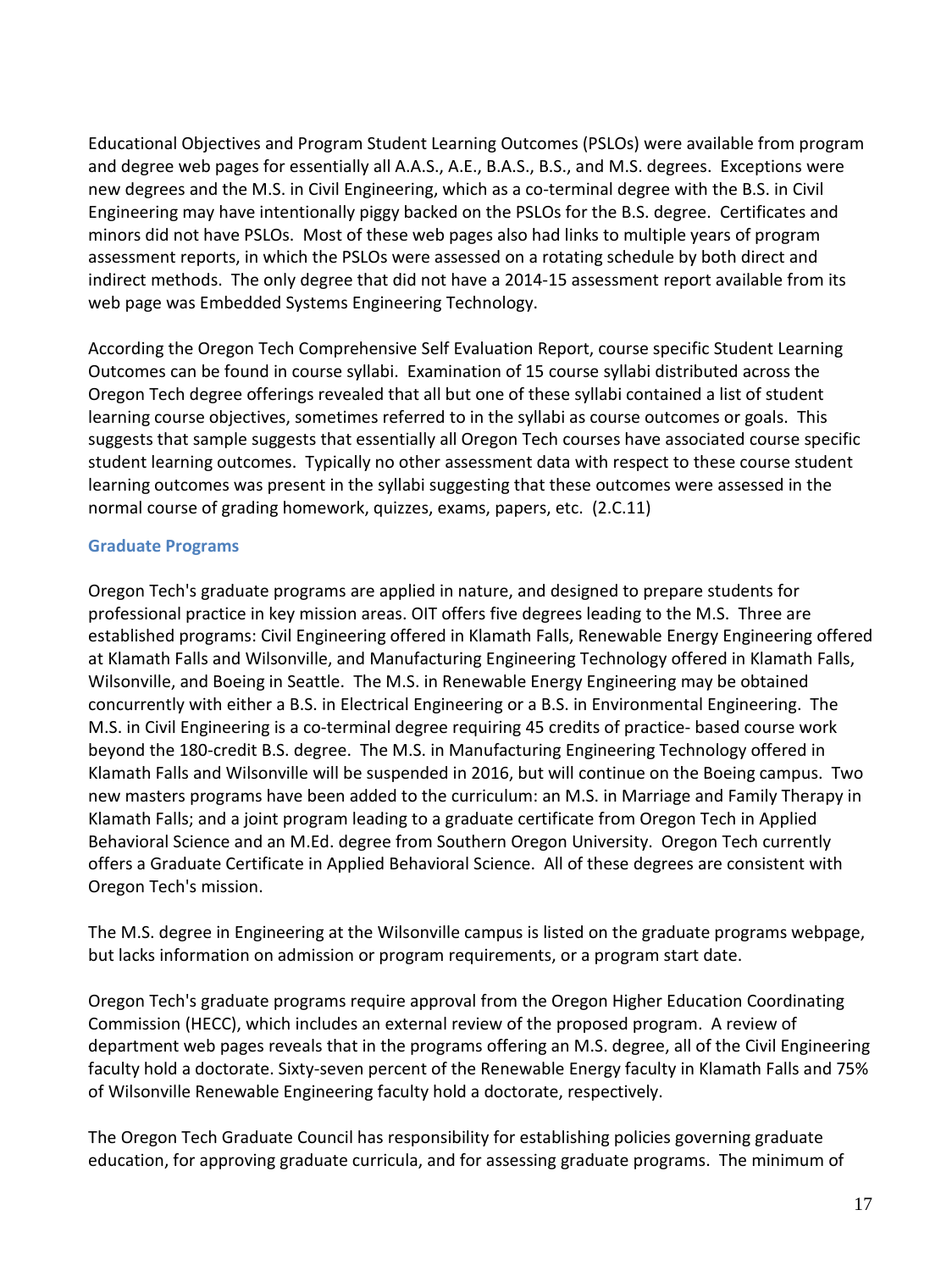Educational Objectives and Program Student Learning Outcomes (PSLOs) were available from program and degree web pages for essentially all A.A.S., A.E., B.A.S., B.S., and M.S. degrees. Exceptions were new degrees and the M.S. in Civil Engineering, which as a co-terminal degree with the B.S. in Civil Engineering may have intentionally piggy backed on the PSLOs for the B.S. degree. Certificates and minors did not have PSLOs. Most of these web pages also had links to multiple years of program assessment reports, in which the PSLOs were assessed on a rotating schedule by both direct and indirect methods. The only degree that did not have a 2014-15 assessment report available from its web page was Embedded Systems Engineering Technology.

According the Oregon Tech Comprehensive Self Evaluation Report, course specific Student Learning Outcomes can be found in course syllabi. Examination of 15 course syllabi distributed across the Oregon Tech degree offerings revealed that all but one of these syllabi contained a list of student learning course objectives, sometimes referred to in the syllabi as course outcomes or goals. This suggests that sample suggests that essentially all Oregon Tech courses have associated course specific student learning outcomes. Typically no other assessment data with respect to these course student learning outcomes was present in the syllabi suggesting that these outcomes were assessed in the normal course of grading homework, quizzes, exams, papers, etc. (2.C.11)

#### **Graduate Programs**

Oregon Tech's graduate programs are applied in nature, and designed to prepare students for professional practice in key mission areas. OIT offers five degrees leading to the M.S. Three are established programs: Civil Engineering offered in Klamath Falls, Renewable Energy Engineering offered at Klamath Falls and Wilsonville, and Manufacturing Engineering Technology offered in Klamath Falls, Wilsonville, and Boeing in Seattle. The M.S. in Renewable Energy Engineering may be obtained concurrently with either a B.S. in Electrical Engineering or a B.S. in Environmental Engineering. The M.S. in Civil Engineering is a co-terminal degree requiring 45 credits of practice- based course work beyond the 180-credit B.S. degree. The M.S. in Manufacturing Engineering Technology offered in Klamath Falls and Wilsonville will be suspended in 2016, but will continue on the Boeing campus. Two new masters programs have been added to the curriculum: an M.S. in Marriage and Family Therapy in Klamath Falls; and a joint program leading to a graduate certificate from Oregon Tech in Applied Behavioral Science and an M.Ed. degree from Southern Oregon University. Oregon Tech currently offers a Graduate Certificate in Applied Behavioral Science. All of these degrees are consistent with Oregon Tech's mission.

The M.S. degree in Engineering at the Wilsonville campus is listed on the graduate programs webpage, but lacks information on admission or program requirements, or a program start date.

Oregon Tech's graduate programs require approval from the Oregon Higher Education Coordinating Commission (HECC), which includes an external review of the proposed program. A review of department web pages reveals that in the programs offering an M.S. degree, all of the Civil Engineering faculty hold a doctorate. Sixty-seven percent of the Renewable Energy faculty in Klamath Falls and 75% of Wilsonville Renewable Engineering faculty hold a doctorate, respectively.

The Oregon Tech Graduate Council has responsibility for establishing policies governing graduate education, for approving graduate curricula, and for assessing graduate programs. The minimum of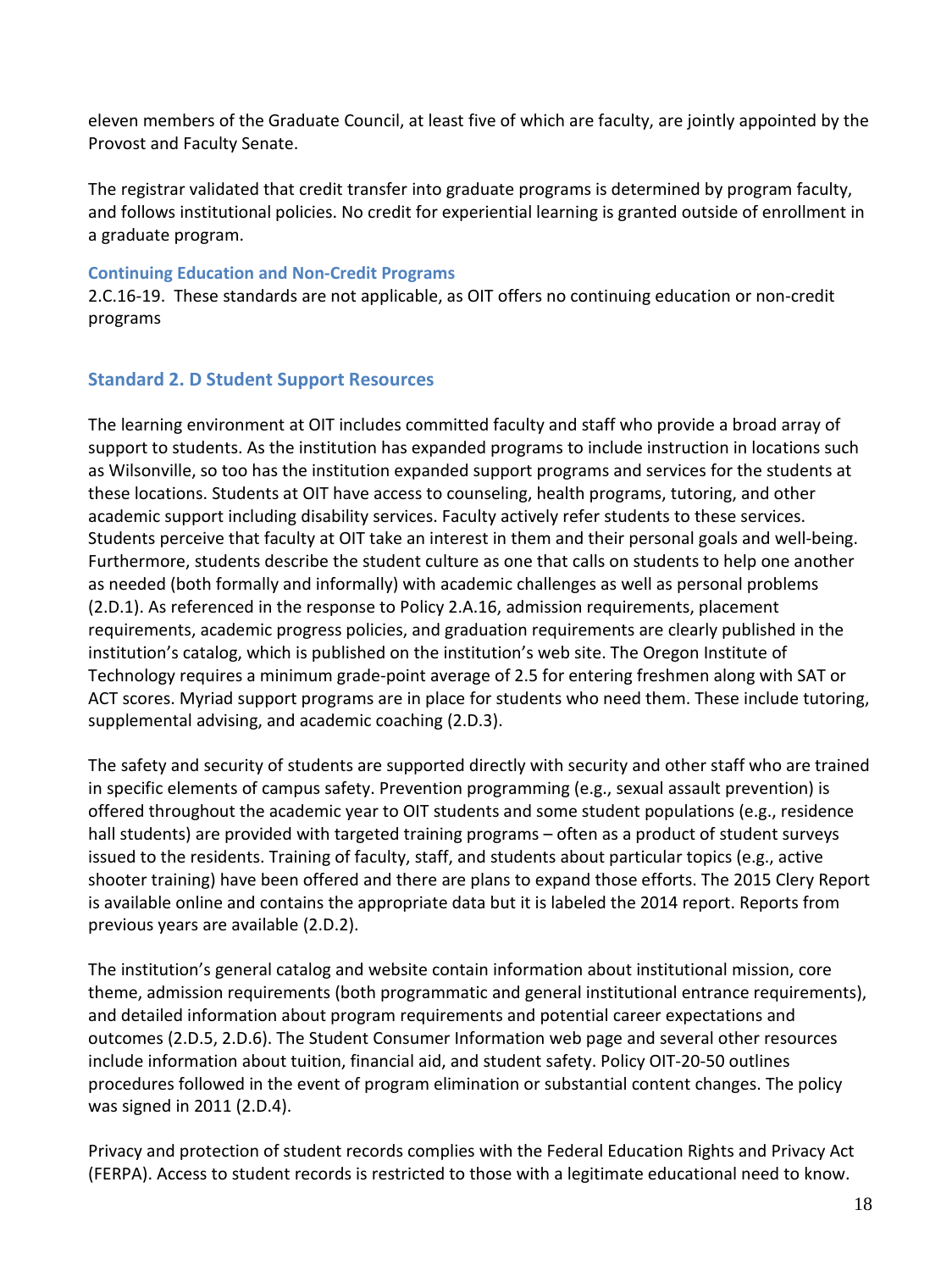eleven members of the Graduate Council, at least five of which are faculty, are jointly appointed by the Provost and Faculty Senate.

The registrar validated that credit transfer into graduate programs is determined by program faculty, and follows institutional policies. No credit for experiential learning is granted outside of enrollment in a graduate program.

#### **Continuing Education and Non-Credit Programs**

2.C.16-19. These standards are not applicable, as OIT offers no continuing education or non-credit programs

#### **Standard 2. D Student Support Resources**

The learning environment at OIT includes committed faculty and staff who provide a broad array of support to students. As the institution has expanded programs to include instruction in locations such as Wilsonville, so too has the institution expanded support programs and services for the students at these locations. Students at OIT have access to counseling, health programs, tutoring, and other academic support including disability services. Faculty actively refer students to these services. Students perceive that faculty at OIT take an interest in them and their personal goals and well-being. Furthermore, students describe the student culture as one that calls on students to help one another as needed (both formally and informally) with academic challenges as well as personal problems (2.D.1). As referenced in the response to Policy 2.A.16, admission requirements, placement requirements, academic progress policies, and graduation requirements are clearly published in the institution's catalog, which is published on the institution's web site. The Oregon Institute of Technology requires a minimum grade-point average of 2.5 for entering freshmen along with SAT or ACT scores. Myriad support programs are in place for students who need them. These include tutoring, supplemental advising, and academic coaching (2.D.3).

The safety and security of students are supported directly with security and other staff who are trained in specific elements of campus safety. Prevention programming (e.g., sexual assault prevention) is offered throughout the academic year to OIT students and some student populations (e.g., residence hall students) are provided with targeted training programs – often as a product of student surveys issued to the residents. Training of faculty, staff, and students about particular topics (e.g., active shooter training) have been offered and there are plans to expand those efforts. The 2015 Clery Report is available online and contains the appropriate data but it is labeled the 2014 report. Reports from previous years are available (2.D.2).

The institution's general catalog and website contain information about institutional mission, core theme, admission requirements (both programmatic and general institutional entrance requirements), and detailed information about program requirements and potential career expectations and outcomes (2.D.5, 2.D.6). The Student Consumer Information web page and several other resources include information about tuition, financial aid, and student safety. Policy OIT-20-50 outlines procedures followed in the event of program elimination or substantial content changes. The policy was signed in 2011 (2.D.4).

Privacy and protection of student records complies with the Federal Education Rights and Privacy Act (FERPA). Access to student records is restricted to those with a legitimate educational need to know.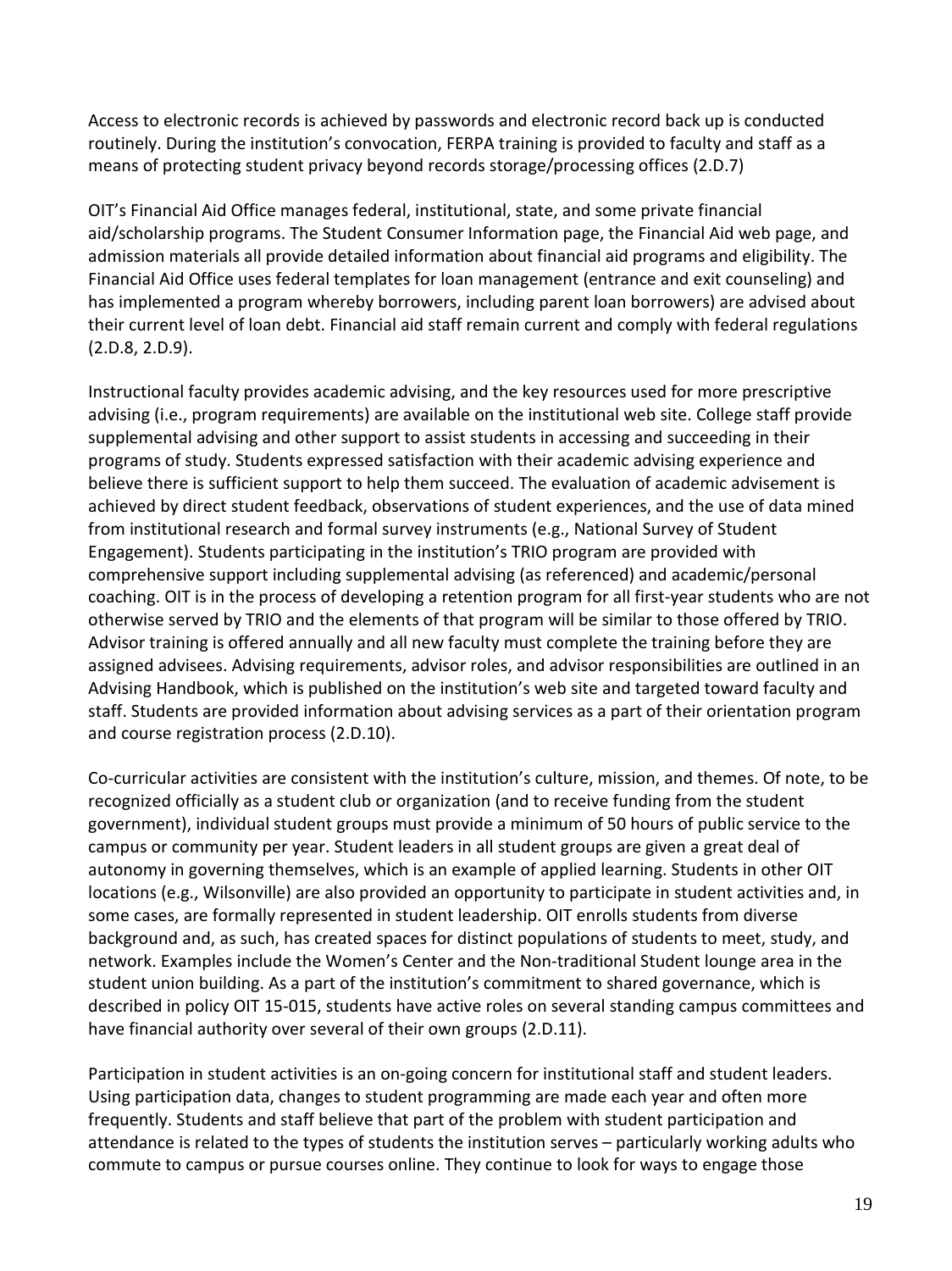Access to electronic records is achieved by passwords and electronic record back up is conducted routinely. During the institution's convocation, FERPA training is provided to faculty and staff as a means of protecting student privacy beyond records storage/processing offices (2.D.7)

OIT's Financial Aid Office manages federal, institutional, state, and some private financial aid/scholarship programs. The Student Consumer Information page, the Financial Aid web page, and admission materials all provide detailed information about financial aid programs and eligibility. The Financial Aid Office uses federal templates for loan management (entrance and exit counseling) and has implemented a program whereby borrowers, including parent loan borrowers) are advised about their current level of loan debt. Financial aid staff remain current and comply with federal regulations (2.D.8, 2.D.9).

Instructional faculty provides academic advising, and the key resources used for more prescriptive advising (i.e., program requirements) are available on the institutional web site. College staff provide supplemental advising and other support to assist students in accessing and succeeding in their programs of study. Students expressed satisfaction with their academic advising experience and believe there is sufficient support to help them succeed. The evaluation of academic advisement is achieved by direct student feedback, observations of student experiences, and the use of data mined from institutional research and formal survey instruments (e.g., National Survey of Student Engagement). Students participating in the institution's TRIO program are provided with comprehensive support including supplemental advising (as referenced) and academic/personal coaching. OIT is in the process of developing a retention program for all first-year students who are not otherwise served by TRIO and the elements of that program will be similar to those offered by TRIO. Advisor training is offered annually and all new faculty must complete the training before they are assigned advisees. Advising requirements, advisor roles, and advisor responsibilities are outlined in an Advising Handbook, which is published on the institution's web site and targeted toward faculty and staff. Students are provided information about advising services as a part of their orientation program and course registration process (2.D.10).

Co-curricular activities are consistent with the institution's culture, mission, and themes. Of note, to be recognized officially as a student club or organization (and to receive funding from the student government), individual student groups must provide a minimum of 50 hours of public service to the campus or community per year. Student leaders in all student groups are given a great deal of autonomy in governing themselves, which is an example of applied learning. Students in other OIT locations (e.g., Wilsonville) are also provided an opportunity to participate in student activities and, in some cases, are formally represented in student leadership. OIT enrolls students from diverse background and, as such, has created spaces for distinct populations of students to meet, study, and network. Examples include the Women's Center and the Non-traditional Student lounge area in the student union building. As a part of the institution's commitment to shared governance, which is described in policy OIT 15-015, students have active roles on several standing campus committees and have financial authority over several of their own groups (2.D.11).

Participation in student activities is an on-going concern for institutional staff and student leaders. Using participation data, changes to student programming are made each year and often more frequently. Students and staff believe that part of the problem with student participation and attendance is related to the types of students the institution serves – particularly working adults who commute to campus or pursue courses online. They continue to look for ways to engage those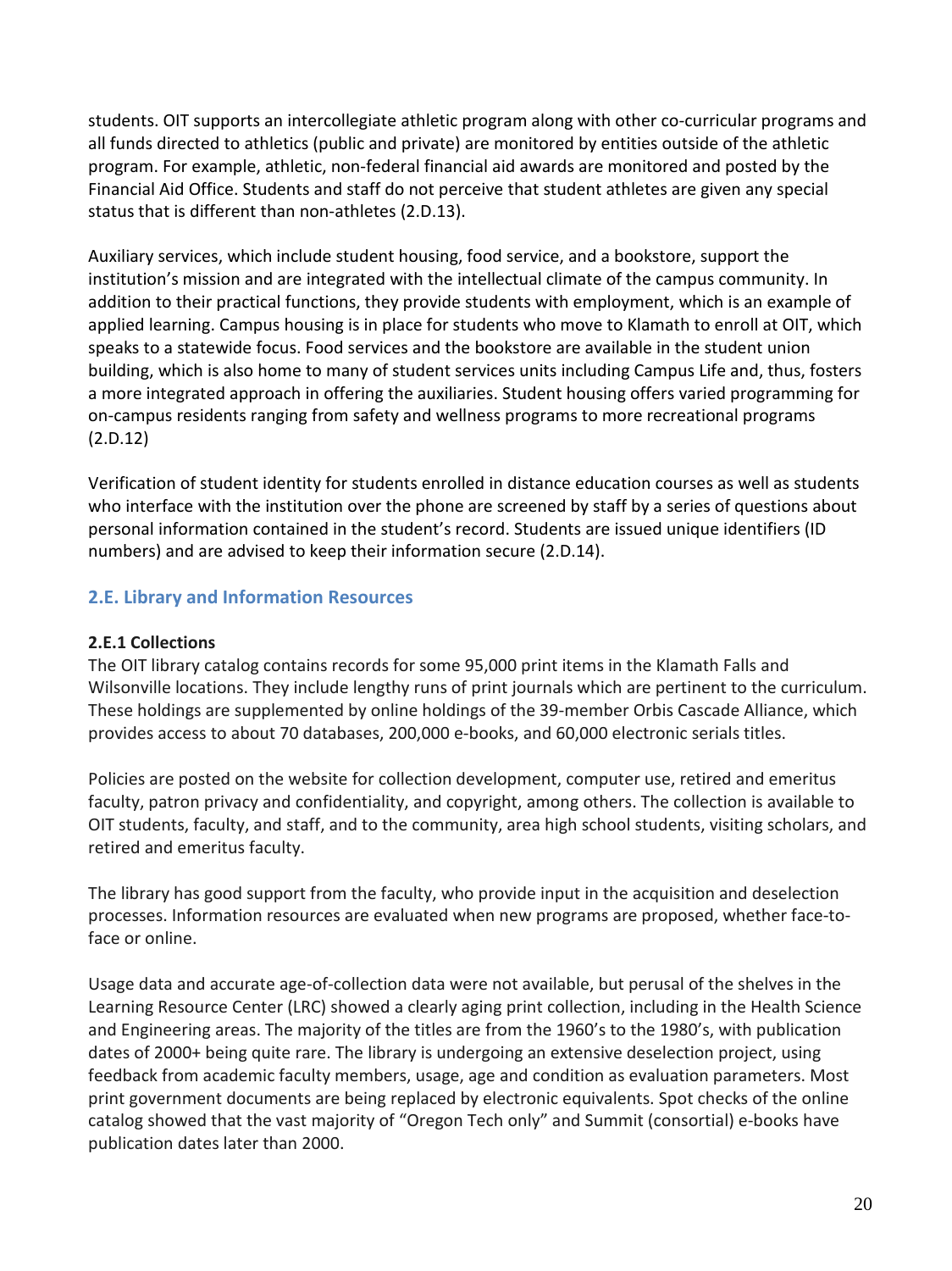students. OIT supports an intercollegiate athletic program along with other co-curricular programs and all funds directed to athletics (public and private) are monitored by entities outside of the athletic program. For example, athletic, non-federal financial aid awards are monitored and posted by the Financial Aid Office. Students and staff do not perceive that student athletes are given any special status that is different than non-athletes (2.D.13).

Auxiliary services, which include student housing, food service, and a bookstore, support the institution's mission and are integrated with the intellectual climate of the campus community. In addition to their practical functions, they provide students with employment, which is an example of applied learning. Campus housing is in place for students who move to Klamath to enroll at OIT, which speaks to a statewide focus. Food services and the bookstore are available in the student union building, which is also home to many of student services units including Campus Life and, thus, fosters a more integrated approach in offering the auxiliaries. Student housing offers varied programming for on-campus residents ranging from safety and wellness programs to more recreational programs (2.D.12)

Verification of student identity for students enrolled in distance education courses as well as students who interface with the institution over the phone are screened by staff by a series of questions about personal information contained in the student's record. Students are issued unique identifiers (ID numbers) and are advised to keep their information secure (2.D.14).

# **2.E. Library and Information Resources**

### **2.E.1 Collections**

The OIT library catalog contains records for some 95,000 print items in the Klamath Falls and Wilsonville locations. They include lengthy runs of print journals which are pertinent to the curriculum. These holdings are supplemented by online holdings of the 39-member Orbis Cascade Alliance, which provides access to about 70 databases, 200,000 e-books, and 60,000 electronic serials titles.

Policies are posted on the website for collection development, computer use, retired and emeritus faculty, patron privacy and confidentiality, and copyright, among others. The collection is available to OIT students, faculty, and staff, and to the community, area high school students, visiting scholars, and retired and emeritus faculty.

The library has good support from the faculty, who provide input in the acquisition and deselection processes. Information resources are evaluated when new programs are proposed, whether face-toface or online.

Usage data and accurate age-of-collection data were not available, but perusal of the shelves in the Learning Resource Center (LRC) showed a clearly aging print collection, including in the Health Science and Engineering areas. The majority of the titles are from the 1960's to the 1980's, with publication dates of 2000+ being quite rare. The library is undergoing an extensive deselection project, using feedback from academic faculty members, usage, age and condition as evaluation parameters. Most print government documents are being replaced by electronic equivalents. Spot checks of the online catalog showed that the vast majority of "Oregon Tech only" and Summit (consortial) e-books have publication dates later than 2000.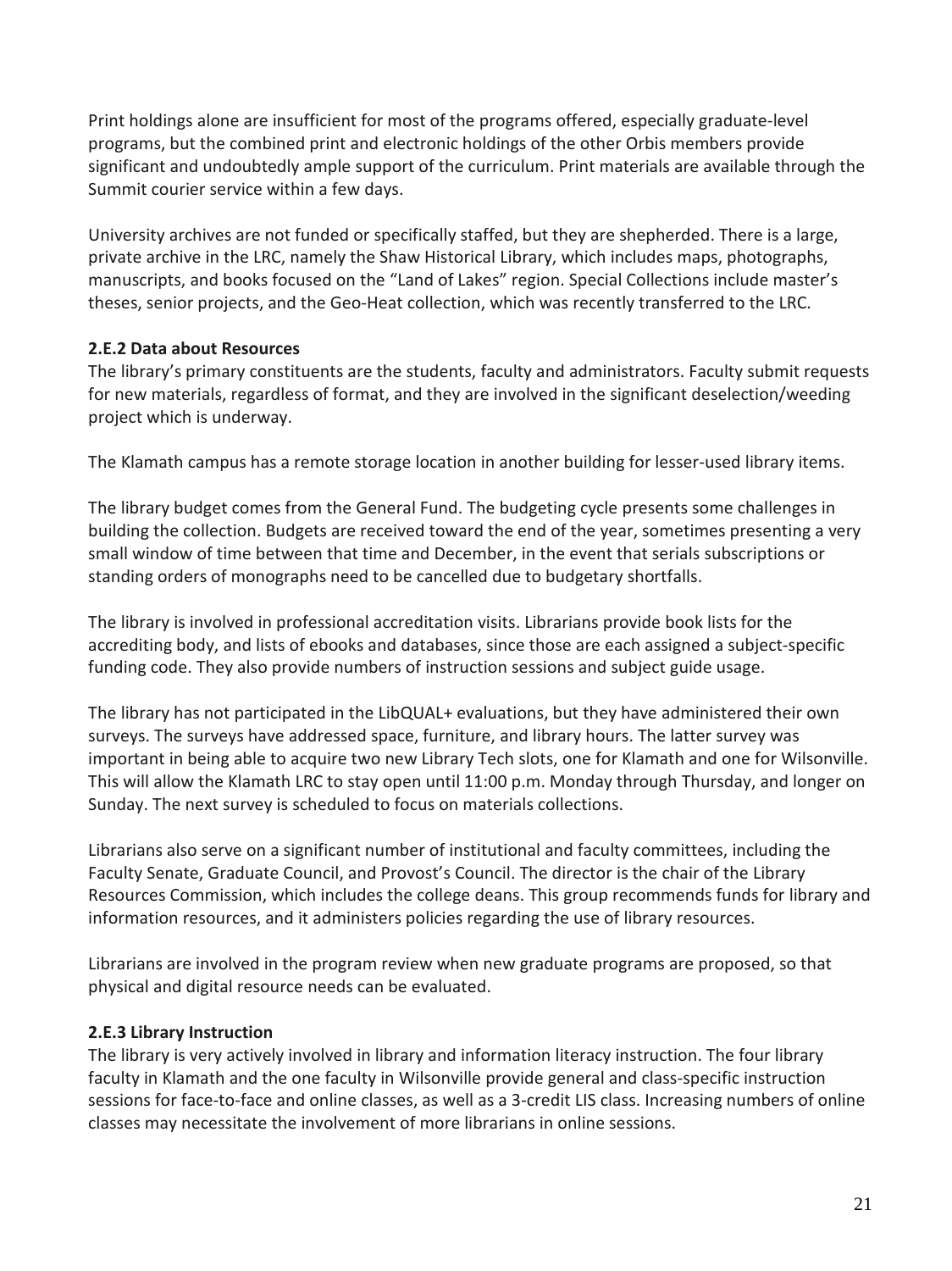Print holdings alone are insufficient for most of the programs offered, especially graduate-level programs, but the combined print and electronic holdings of the other Orbis members provide significant and undoubtedly ample support of the curriculum. Print materials are available through the Summit courier service within a few days.

University archives are not funded or specifically staffed, but they are shepherded. There is a large, private archive in the LRC, namely the Shaw Historical Library, which includes maps, photographs, manuscripts, and books focused on the "Land of Lakes" region. Special Collections include master's theses, senior projects, and the Geo-Heat collection, which was recently transferred to the LRC.

#### **2.E.2 Data about Resources**

The library's primary constituents are the students, faculty and administrators. Faculty submit requests for new materials, regardless of format, and they are involved in the significant deselection/weeding project which is underway.

The Klamath campus has a remote storage location in another building for lesser-used library items.

The library budget comes from the General Fund. The budgeting cycle presents some challenges in building the collection. Budgets are received toward the end of the year, sometimes presenting a very small window of time between that time and December, in the event that serials subscriptions or standing orders of monographs need to be cancelled due to budgetary shortfalls.

The library is involved in professional accreditation visits. Librarians provide book lists for the accrediting body, and lists of ebooks and databases, since those are each assigned a subject-specific funding code. They also provide numbers of instruction sessions and subject guide usage.

The library has not participated in the LibQUAL+ evaluations, but they have administered their own surveys. The surveys have addressed space, furniture, and library hours. The latter survey was important in being able to acquire two new Library Tech slots, one for Klamath and one for Wilsonville. This will allow the Klamath LRC to stay open until 11:00 p.m. Monday through Thursday, and longer on Sunday. The next survey is scheduled to focus on materials collections.

Librarians also serve on a significant number of institutional and faculty committees, including the Faculty Senate, Graduate Council, and Provost's Council. The director is the chair of the Library Resources Commission, which includes the college deans. This group recommends funds for library and information resources, and it administers policies regarding the use of library resources.

Librarians are involved in the program review when new graduate programs are proposed, so that physical and digital resource needs can be evaluated.

# **2.E.3 Library Instruction**

The library is very actively involved in library and information literacy instruction. The four library faculty in Klamath and the one faculty in Wilsonville provide general and class-specific instruction sessions for face-to-face and online classes, as well as a 3-credit LIS class. Increasing numbers of online classes may necessitate the involvement of more librarians in online sessions.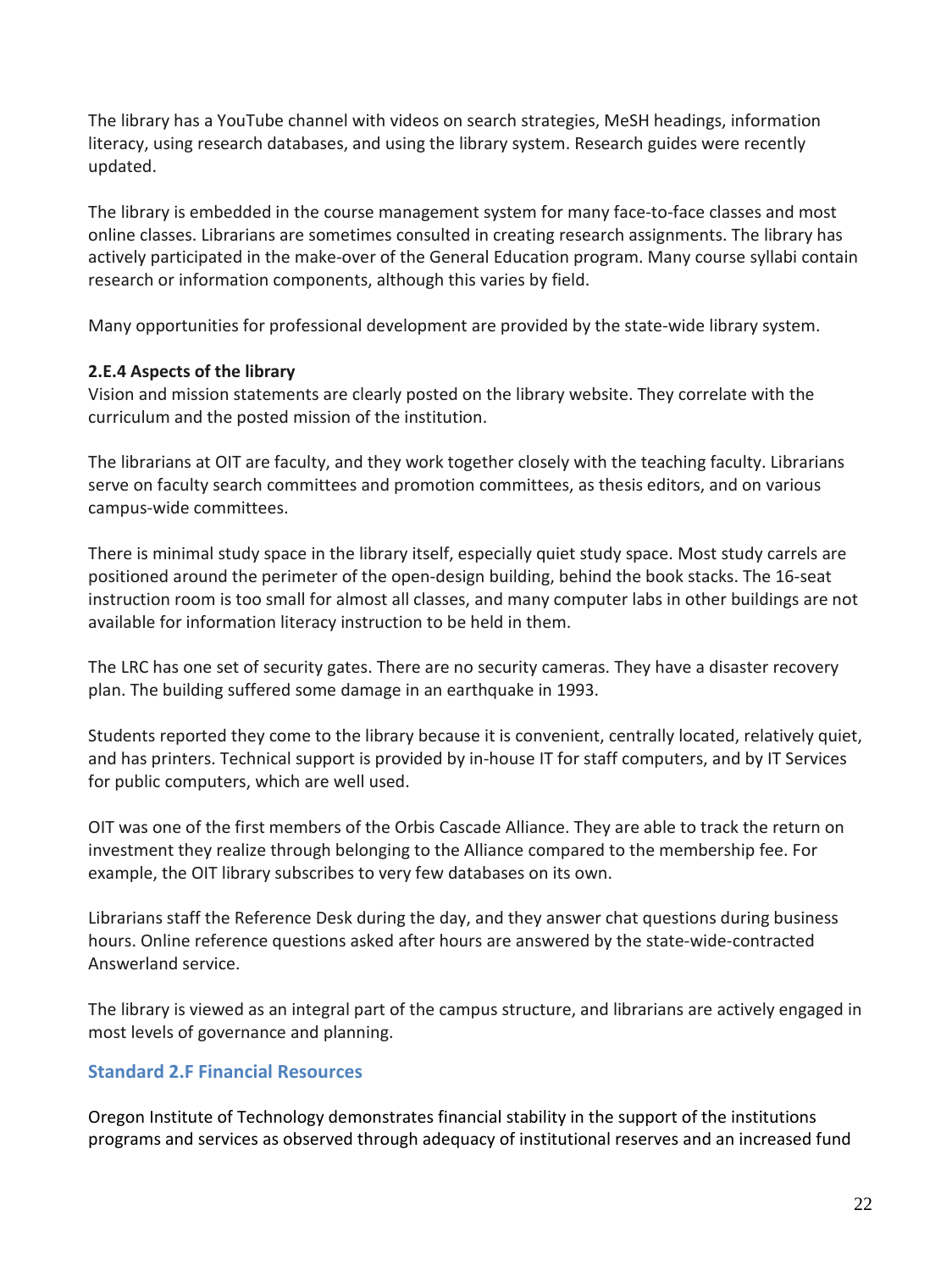The library has a YouTube channel with videos on search strategies, MeSH headings, information literacy, using research databases, and using the library system. Research guides were recently updated.

The library is embedded in the course management system for many face-to-face classes and most online classes. Librarians are sometimes consulted in creating research assignments. The library has actively participated in the make-over of the General Education program. Many course syllabi contain research or information components, although this varies by field.

Many opportunities for professional development are provided by the state-wide library system.

#### **2.E.4 Aspects of the library**

Vision and mission statements are clearly posted on the library website. They correlate with the curriculum and the posted mission of the institution.

The librarians at OIT are faculty, and they work together closely with the teaching faculty. Librarians serve on faculty search committees and promotion committees, as thesis editors, and on various campus-wide committees.

There is minimal study space in the library itself, especially quiet study space. Most study carrels are positioned around the perimeter of the open-design building, behind the book stacks. The 16-seat instruction room is too small for almost all classes, and many computer labs in other buildings are not available for information literacy instruction to be held in them.

The LRC has one set of security gates. There are no security cameras. They have a disaster recovery plan. The building suffered some damage in an earthquake in 1993.

Students reported they come to the library because it is convenient, centrally located, relatively quiet, and has printers. Technical support is provided by in-house IT for staff computers, and by IT Services for public computers, which are well used.

OIT was one of the first members of the Orbis Cascade Alliance. They are able to track the return on investment they realize through belonging to the Alliance compared to the membership fee. For example, the OIT library subscribes to very few databases on its own.

Librarians staff the Reference Desk during the day, and they answer chat questions during business hours. Online reference questions asked after hours are answered by the state-wide-contracted Answerland service.

The library is viewed as an integral part of the campus structure, and librarians are actively engaged in most levels of governance and planning.

# **Standard 2.F Financial Resources**

Oregon Institute of Technology demonstrates financial stability in the support of the institutions programs and services as observed through adequacy of institutional reserves and an increased fund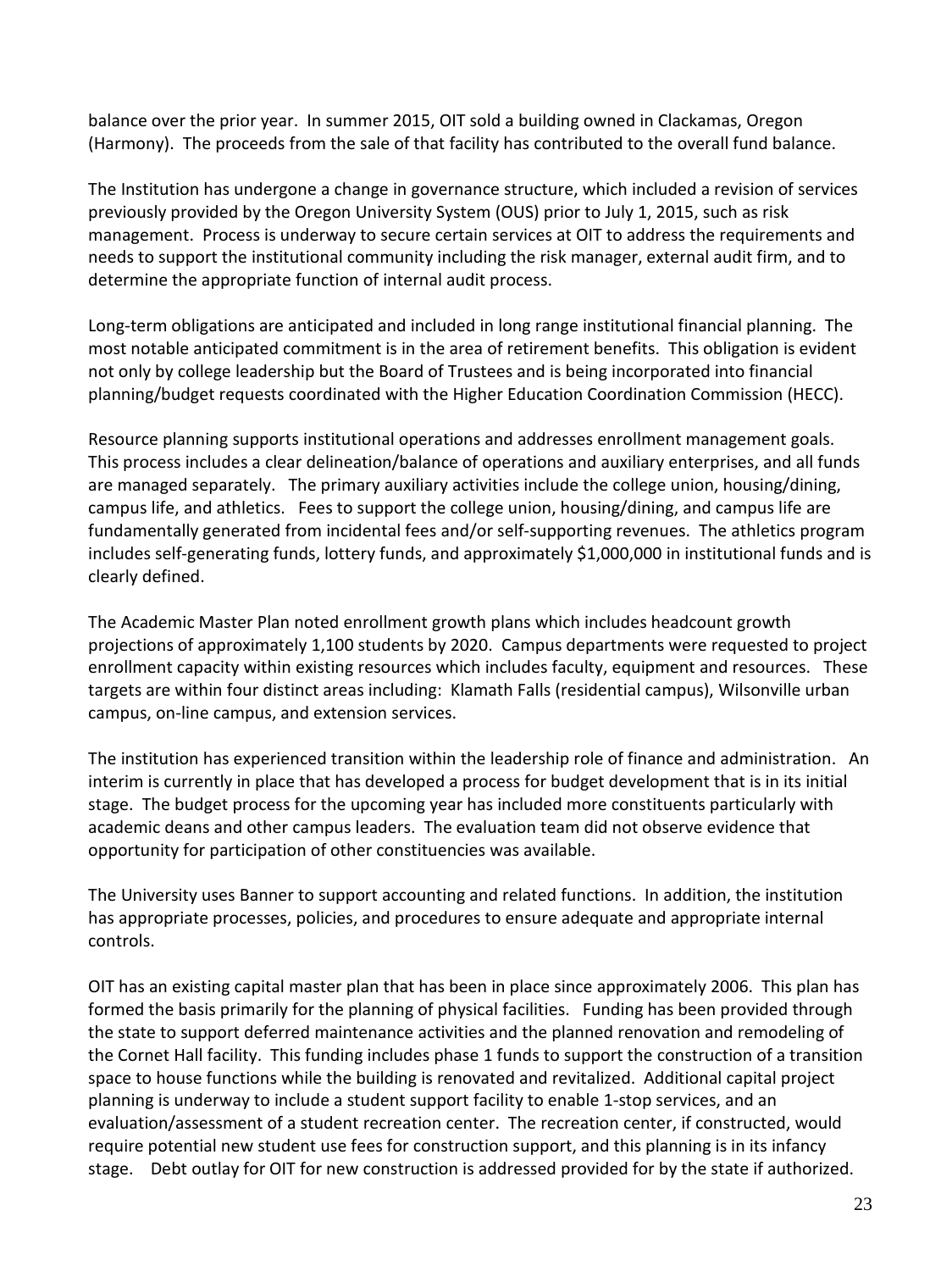balance over the prior year. In summer 2015, OIT sold a building owned in Clackamas, Oregon (Harmony). The proceeds from the sale of that facility has contributed to the overall fund balance.

The Institution has undergone a change in governance structure, which included a revision of services previously provided by the Oregon University System (OUS) prior to July 1, 2015, such as risk management. Process is underway to secure certain services at OIT to address the requirements and needs to support the institutional community including the risk manager, external audit firm, and to determine the appropriate function of internal audit process.

Long-term obligations are anticipated and included in long range institutional financial planning. The most notable anticipated commitment is in the area of retirement benefits. This obligation is evident not only by college leadership but the Board of Trustees and is being incorporated into financial planning/budget requests coordinated with the Higher Education Coordination Commission (HECC).

Resource planning supports institutional operations and addresses enrollment management goals. This process includes a clear delineation/balance of operations and auxiliary enterprises, and all funds are managed separately. The primary auxiliary activities include the college union, housing/dining, campus life, and athletics. Fees to support the college union, housing/dining, and campus life are fundamentally generated from incidental fees and/or self-supporting revenues. The athletics program includes self-generating funds, lottery funds, and approximately \$1,000,000 in institutional funds and is clearly defined.

The Academic Master Plan noted enrollment growth plans which includes headcount growth projections of approximately 1,100 students by 2020. Campus departments were requested to project enrollment capacity within existing resources which includes faculty, equipment and resources. These targets are within four distinct areas including: Klamath Falls (residential campus), Wilsonville urban campus, on-line campus, and extension services.

The institution has experienced transition within the leadership role of finance and administration. An interim is currently in place that has developed a process for budget development that is in its initial stage. The budget process for the upcoming year has included more constituents particularly with academic deans and other campus leaders. The evaluation team did not observe evidence that opportunity for participation of other constituencies was available.

The University uses Banner to support accounting and related functions. In addition, the institution has appropriate processes, policies, and procedures to ensure adequate and appropriate internal controls.

OIT has an existing capital master plan that has been in place since approximately 2006. This plan has formed the basis primarily for the planning of physical facilities. Funding has been provided through the state to support deferred maintenance activities and the planned renovation and remodeling of the Cornet Hall facility. This funding includes phase 1 funds to support the construction of a transition space to house functions while the building is renovated and revitalized. Additional capital project planning is underway to include a student support facility to enable 1-stop services, and an evaluation/assessment of a student recreation center. The recreation center, if constructed, would require potential new student use fees for construction support, and this planning is in its infancy stage. Debt outlay for OIT for new construction is addressed provided for by the state if authorized.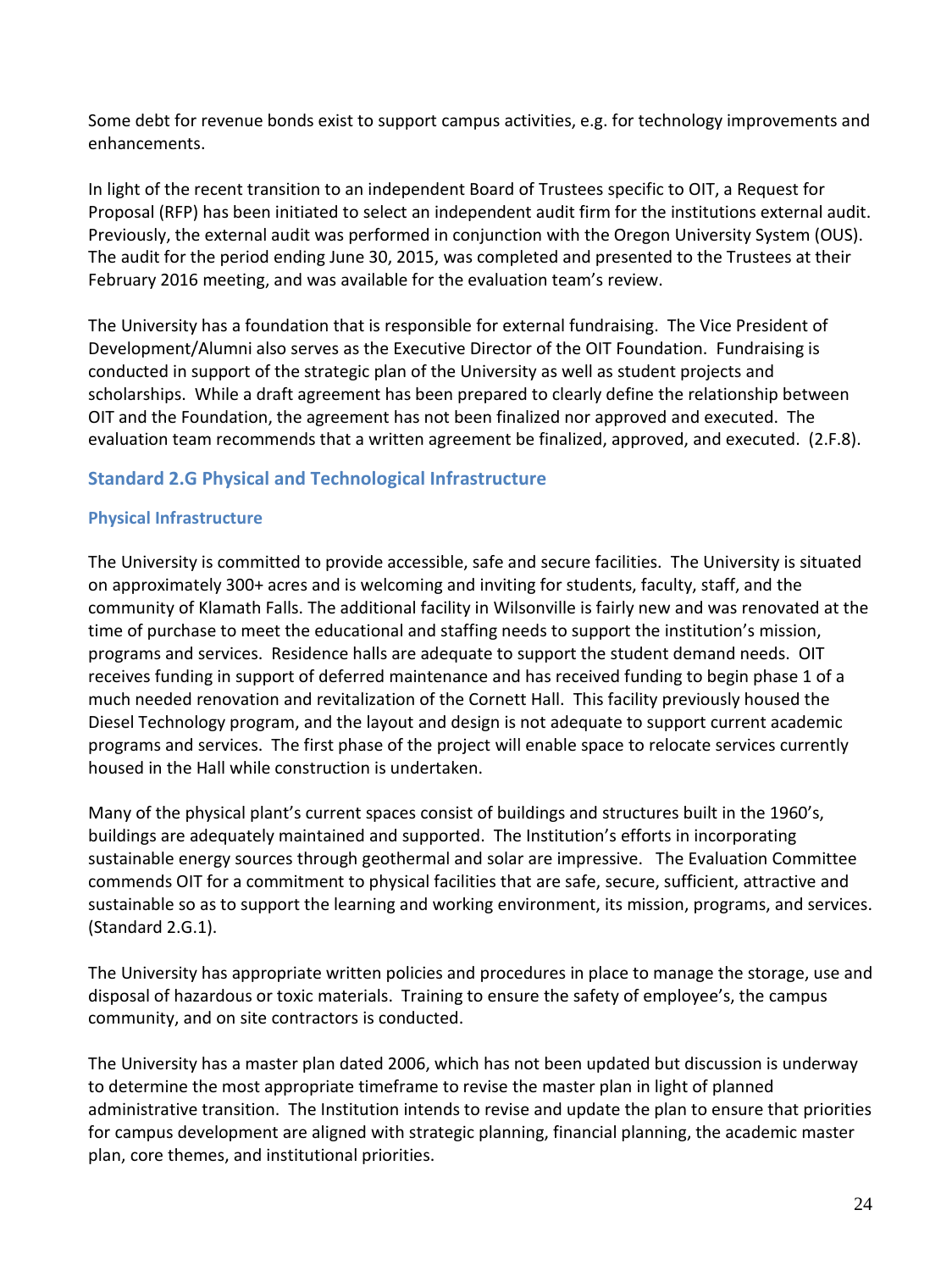Some debt for revenue bonds exist to support campus activities, e.g. for technology improvements and enhancements.

In light of the recent transition to an independent Board of Trustees specific to OIT, a Request for Proposal (RFP) has been initiated to select an independent audit firm for the institutions external audit. Previously, the external audit was performed in conjunction with the Oregon University System (OUS). The audit for the period ending June 30, 2015, was completed and presented to the Trustees at their February 2016 meeting, and was available for the evaluation team's review.

The University has a foundation that is responsible for external fundraising. The Vice President of Development/Alumni also serves as the Executive Director of the OIT Foundation. Fundraising is conducted in support of the strategic plan of the University as well as student projects and scholarships. While a draft agreement has been prepared to clearly define the relationship between OIT and the Foundation, the agreement has not been finalized nor approved and executed. The evaluation team recommends that a written agreement be finalized, approved, and executed. (2.F.8).

# **Standard 2.G Physical and Technological Infrastructure**

#### **Physical Infrastructure**

The University is committed to provide accessible, safe and secure facilities. The University is situated on approximately 300+ acres and is welcoming and inviting for students, faculty, staff, and the community of Klamath Falls. The additional facility in Wilsonville is fairly new and was renovated at the time of purchase to meet the educational and staffing needs to support the institution's mission, programs and services. Residence halls are adequate to support the student demand needs. OIT receives funding in support of deferred maintenance and has received funding to begin phase 1 of a much needed renovation and revitalization of the Cornett Hall. This facility previously housed the Diesel Technology program, and the layout and design is not adequate to support current academic programs and services. The first phase of the project will enable space to relocate services currently housed in the Hall while construction is undertaken.

Many of the physical plant's current spaces consist of buildings and structures built in the 1960's, buildings are adequately maintained and supported. The Institution's efforts in incorporating sustainable energy sources through geothermal and solar are impressive. The Evaluation Committee commends OIT for a commitment to physical facilities that are safe, secure, sufficient, attractive and sustainable so as to support the learning and working environment, its mission, programs, and services. (Standard 2.G.1).

The University has appropriate written policies and procedures in place to manage the storage, use and disposal of hazardous or toxic materials. Training to ensure the safety of employee's, the campus community, and on site contractors is conducted.

The University has a master plan dated 2006, which has not been updated but discussion is underway to determine the most appropriate timeframe to revise the master plan in light of planned administrative transition. The Institution intends to revise and update the plan to ensure that priorities for campus development are aligned with strategic planning, financial planning, the academic master plan, core themes, and institutional priorities.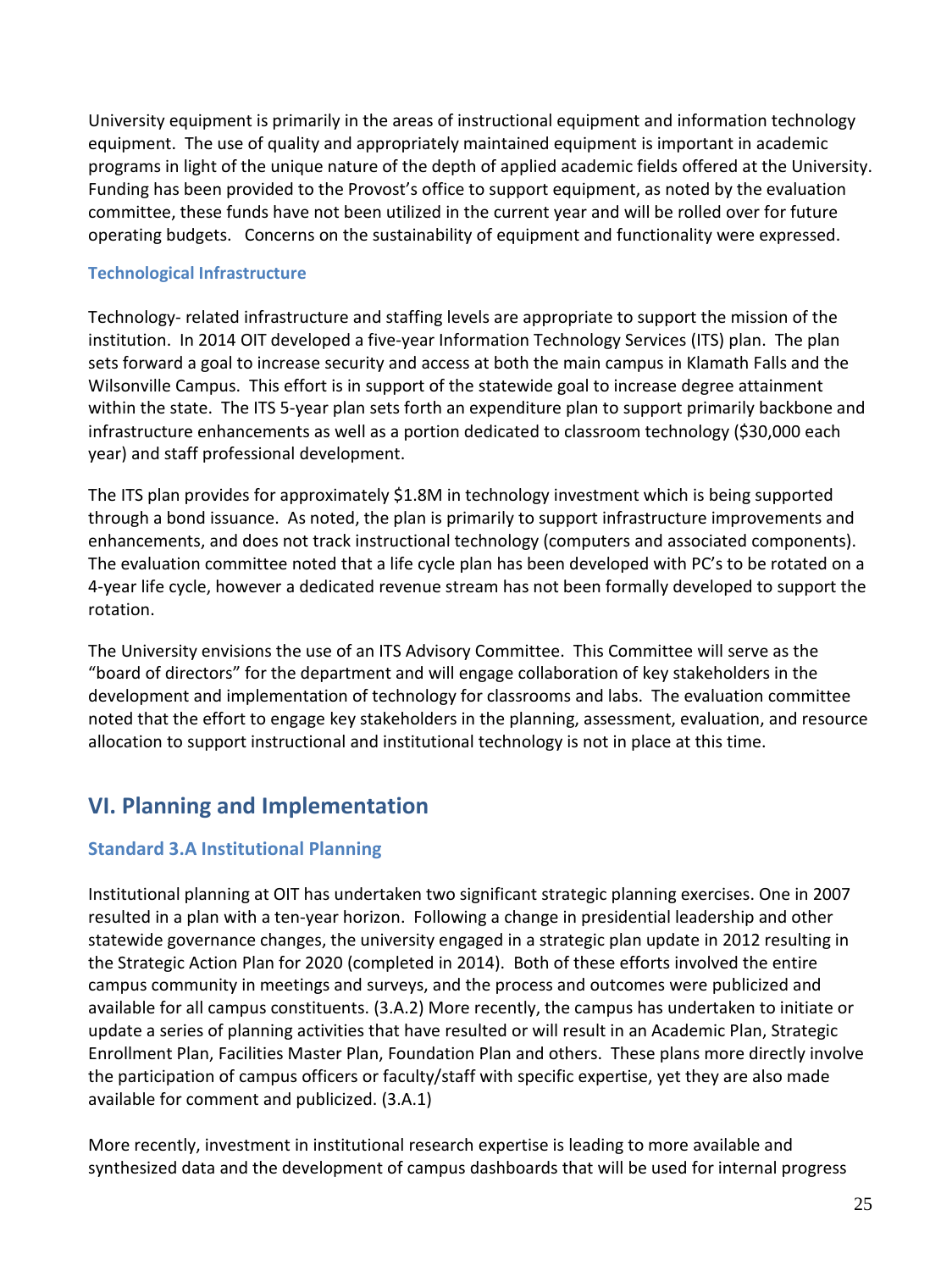University equipment is primarily in the areas of instructional equipment and information technology equipment. The use of quality and appropriately maintained equipment is important in academic programs in light of the unique nature of the depth of applied academic fields offered at the University. Funding has been provided to the Provost's office to support equipment, as noted by the evaluation committee, these funds have not been utilized in the current year and will be rolled over for future operating budgets. Concerns on the sustainability of equipment and functionality were expressed.

#### **Technological Infrastructure**

Technology- related infrastructure and staffing levels are appropriate to support the mission of the institution. In 2014 OIT developed a five-year Information Technology Services (ITS) plan. The plan sets forward a goal to increase security and access at both the main campus in Klamath Falls and the Wilsonville Campus. This effort is in support of the statewide goal to increase degree attainment within the state. The ITS 5-year plan sets forth an expenditure plan to support primarily backbone and infrastructure enhancements as well as a portion dedicated to classroom technology (\$30,000 each year) and staff professional development.

The ITS plan provides for approximately \$1.8M in technology investment which is being supported through a bond issuance. As noted, the plan is primarily to support infrastructure improvements and enhancements, and does not track instructional technology (computers and associated components). The evaluation committee noted that a life cycle plan has been developed with PC's to be rotated on a 4-year life cycle, however a dedicated revenue stream has not been formally developed to support the rotation.

The University envisions the use of an ITS Advisory Committee. This Committee will serve as the "board of directors" for the department and will engage collaboration of key stakeholders in the development and implementation of technology for classrooms and labs. The evaluation committee noted that the effort to engage key stakeholders in the planning, assessment, evaluation, and resource allocation to support instructional and institutional technology is not in place at this time.

# **VI. Planning and Implementation**

# **Standard 3.A Institutional Planning**

Institutional planning at OIT has undertaken two significant strategic planning exercises. One in 2007 resulted in a plan with a ten-year horizon. Following a change in presidential leadership and other statewide governance changes, the university engaged in a strategic plan update in 2012 resulting in the Strategic Action Plan for 2020 (completed in 2014). Both of these efforts involved the entire campus community in meetings and surveys, and the process and outcomes were publicized and available for all campus constituents. (3.A.2) More recently, the campus has undertaken to initiate or update a series of planning activities that have resulted or will result in an Academic Plan, Strategic Enrollment Plan, Facilities Master Plan, Foundation Plan and others. These plans more directly involve the participation of campus officers or faculty/staff with specific expertise, yet they are also made available for comment and publicized. (3.A.1)

More recently, investment in institutional research expertise is leading to more available and synthesized data and the development of campus dashboards that will be used for internal progress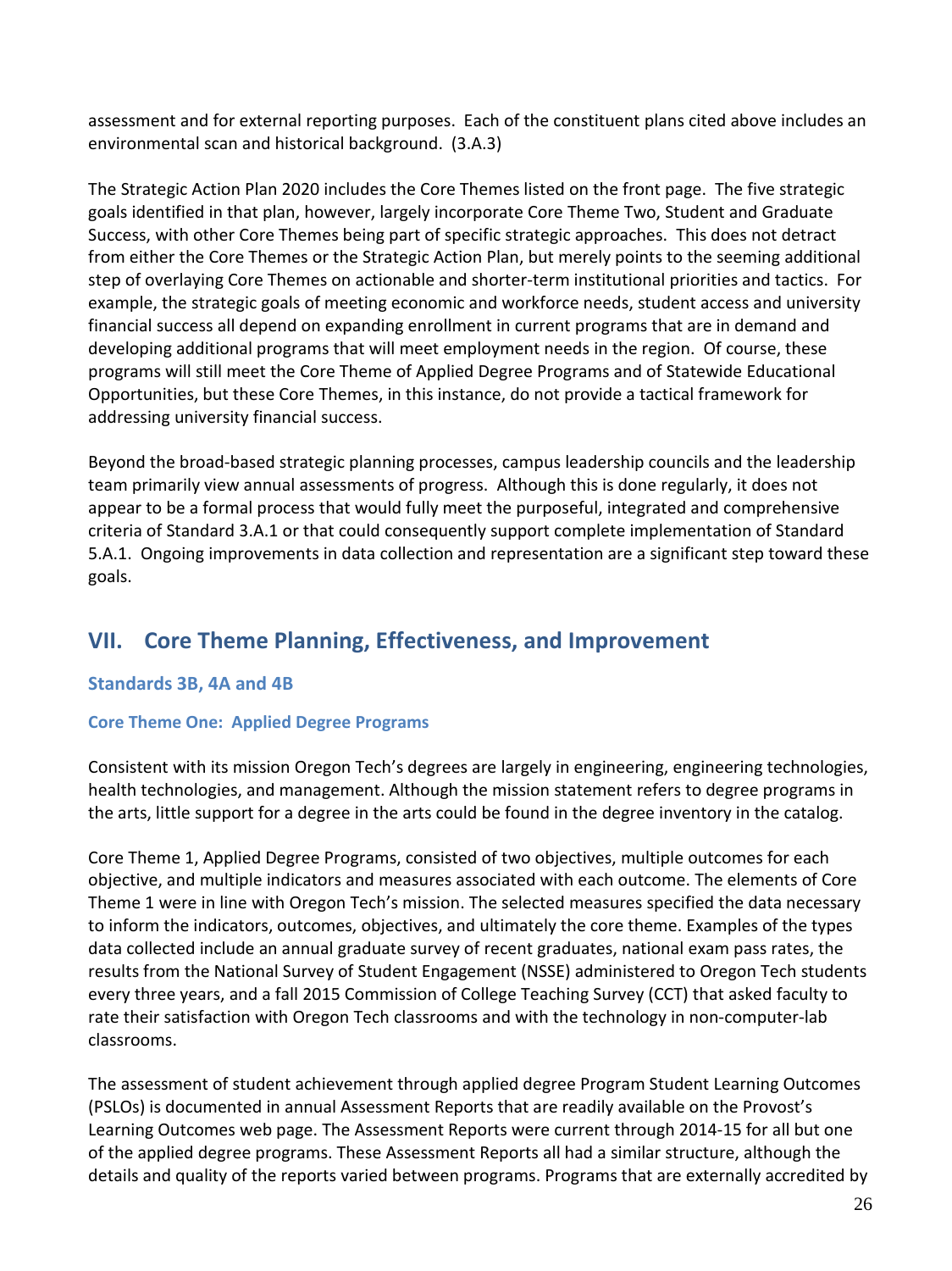assessment and for external reporting purposes. Each of the constituent plans cited above includes an environmental scan and historical background. (3.A.3)

The Strategic Action Plan 2020 includes the Core Themes listed on the front page. The five strategic goals identified in that plan, however, largely incorporate Core Theme Two, Student and Graduate Success, with other Core Themes being part of specific strategic approaches. This does not detract from either the Core Themes or the Strategic Action Plan, but merely points to the seeming additional step of overlaying Core Themes on actionable and shorter-term institutional priorities and tactics. For example, the strategic goals of meeting economic and workforce needs, student access and university financial success all depend on expanding enrollment in current programs that are in demand and developing additional programs that will meet employment needs in the region. Of course, these programs will still meet the Core Theme of Applied Degree Programs and of Statewide Educational Opportunities, but these Core Themes, in this instance, do not provide a tactical framework for addressing university financial success.

Beyond the broad-based strategic planning processes, campus leadership councils and the leadership team primarily view annual assessments of progress. Although this is done regularly, it does not appear to be a formal process that would fully meet the purposeful, integrated and comprehensive criteria of Standard 3.A.1 or that could consequently support complete implementation of Standard 5.A.1. Ongoing improvements in data collection and representation are a significant step toward these goals.

# **VII. Core Theme Planning, Effectiveness, and Improvement**

# **Standards 3B, 4A and 4B**

# **Core Theme One: Applied Degree Programs**

Consistent with its mission Oregon Tech's degrees are largely in engineering, engineering technologies, health technologies, and management. Although the mission statement refers to degree programs in the arts, little support for a degree in the arts could be found in the degree inventory in the catalog.

Core Theme 1, Applied Degree Programs, consisted of two objectives, multiple outcomes for each objective, and multiple indicators and measures associated with each outcome. The elements of Core Theme 1 were in line with Oregon Tech's mission. The selected measures specified the data necessary to inform the indicators, outcomes, objectives, and ultimately the core theme. Examples of the types data collected include an annual graduate survey of recent graduates, national exam pass rates, the results from the National Survey of Student Engagement (NSSE) administered to Oregon Tech students every three years, and a fall 2015 Commission of College Teaching Survey (CCT) that asked faculty to rate their satisfaction with Oregon Tech classrooms and with the technology in non-computer-lab classrooms.

The assessment of student achievement through applied degree Program Student Learning Outcomes (PSLOs) is documented in annual Assessment Reports that are readily available on the Provost's Learning Outcomes web page. The Assessment Reports were current through 2014-15 for all but one of the applied degree programs. These Assessment Reports all had a similar structure, although the details and quality of the reports varied between programs. Programs that are externally accredited by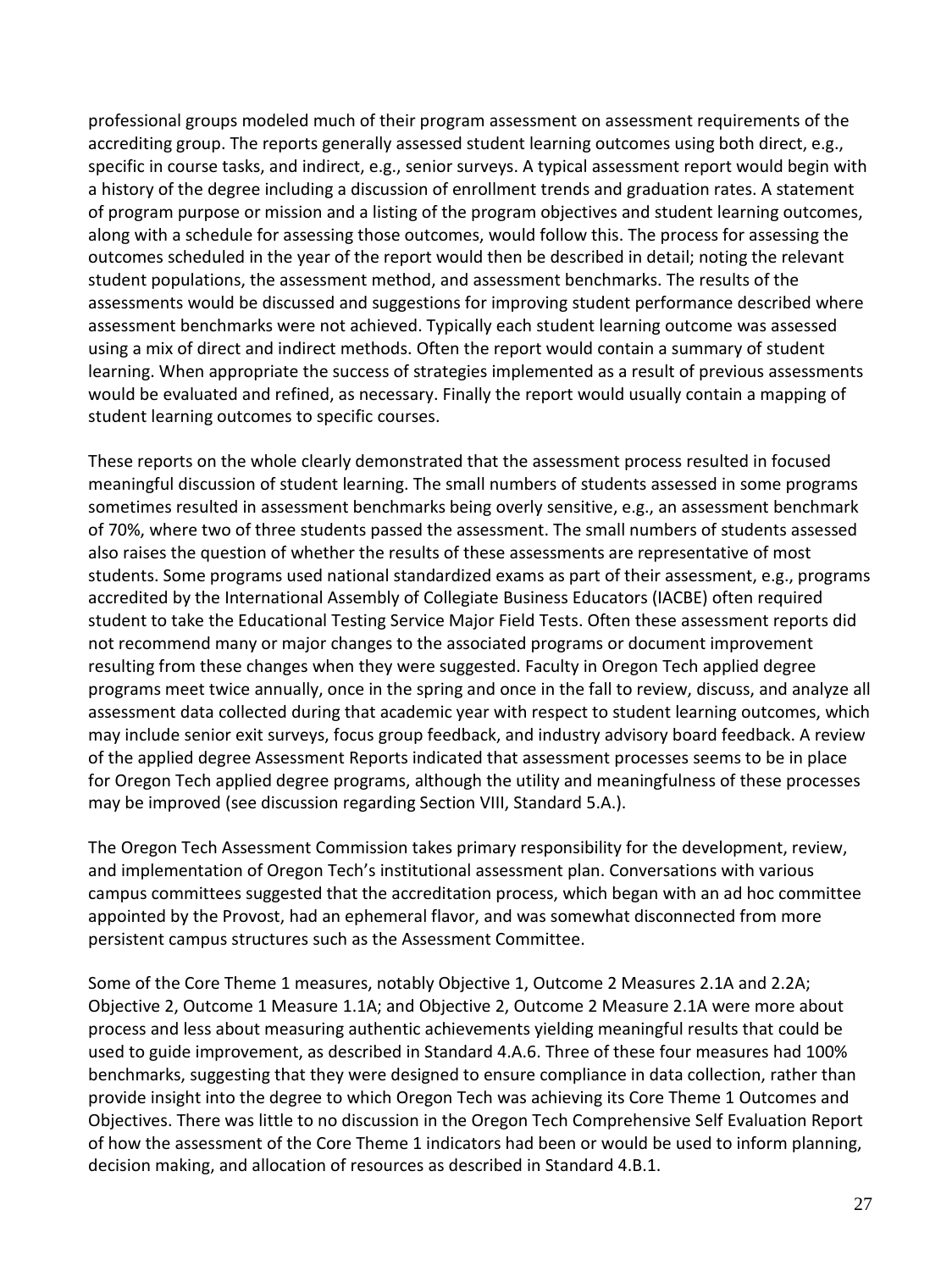professional groups modeled much of their program assessment on assessment requirements of the accrediting group. The reports generally assessed student learning outcomes using both direct, e.g., specific in course tasks, and indirect, e.g., senior surveys. A typical assessment report would begin with a history of the degree including a discussion of enrollment trends and graduation rates. A statement of program purpose or mission and a listing of the program objectives and student learning outcomes, along with a schedule for assessing those outcomes, would follow this. The process for assessing the outcomes scheduled in the year of the report would then be described in detail; noting the relevant student populations, the assessment method, and assessment benchmarks. The results of the assessments would be discussed and suggestions for improving student performance described where assessment benchmarks were not achieved. Typically each student learning outcome was assessed using a mix of direct and indirect methods. Often the report would contain a summary of student learning. When appropriate the success of strategies implemented as a result of previous assessments would be evaluated and refined, as necessary. Finally the report would usually contain a mapping of student learning outcomes to specific courses.

These reports on the whole clearly demonstrated that the assessment process resulted in focused meaningful discussion of student learning. The small numbers of students assessed in some programs sometimes resulted in assessment benchmarks being overly sensitive, e.g., an assessment benchmark of 70%, where two of three students passed the assessment. The small numbers of students assessed also raises the question of whether the results of these assessments are representative of most students. Some programs used national standardized exams as part of their assessment, e.g., programs accredited by the International Assembly of Collegiate Business Educators (IACBE) often required student to take the Educational Testing Service Major Field Tests. Often these assessment reports did not recommend many or major changes to the associated programs or document improvement resulting from these changes when they were suggested. Faculty in Oregon Tech applied degree programs meet twice annually, once in the spring and once in the fall to review, discuss, and analyze all assessment data collected during that academic year with respect to student learning outcomes, which may include senior exit surveys, focus group feedback, and industry advisory board feedback. A review of the applied degree Assessment Reports indicated that assessment processes seems to be in place for Oregon Tech applied degree programs, although the utility and meaningfulness of these processes may be improved (see discussion regarding Section VIII, Standard 5.A.).

The Oregon Tech Assessment Commission takes primary responsibility for the development, review, and implementation of Oregon Tech's institutional assessment plan. Conversations with various campus committees suggested that the accreditation process, which began with an ad hoc committee appointed by the Provost, had an ephemeral flavor, and was somewhat disconnected from more persistent campus structures such as the Assessment Committee.

Some of the Core Theme 1 measures, notably Objective 1, Outcome 2 Measures 2.1A and 2.2A; Objective 2, Outcome 1 Measure 1.1A; and Objective 2, Outcome 2 Measure 2.1A were more about process and less about measuring authentic achievements yielding meaningful results that could be used to guide improvement, as described in Standard 4.A.6. Three of these four measures had 100% benchmarks, suggesting that they were designed to ensure compliance in data collection, rather than provide insight into the degree to which Oregon Tech was achieving its Core Theme 1 Outcomes and Objectives. There was little to no discussion in the Oregon Tech Comprehensive Self Evaluation Report of how the assessment of the Core Theme 1 indicators had been or would be used to inform planning, decision making, and allocation of resources as described in Standard 4.B.1.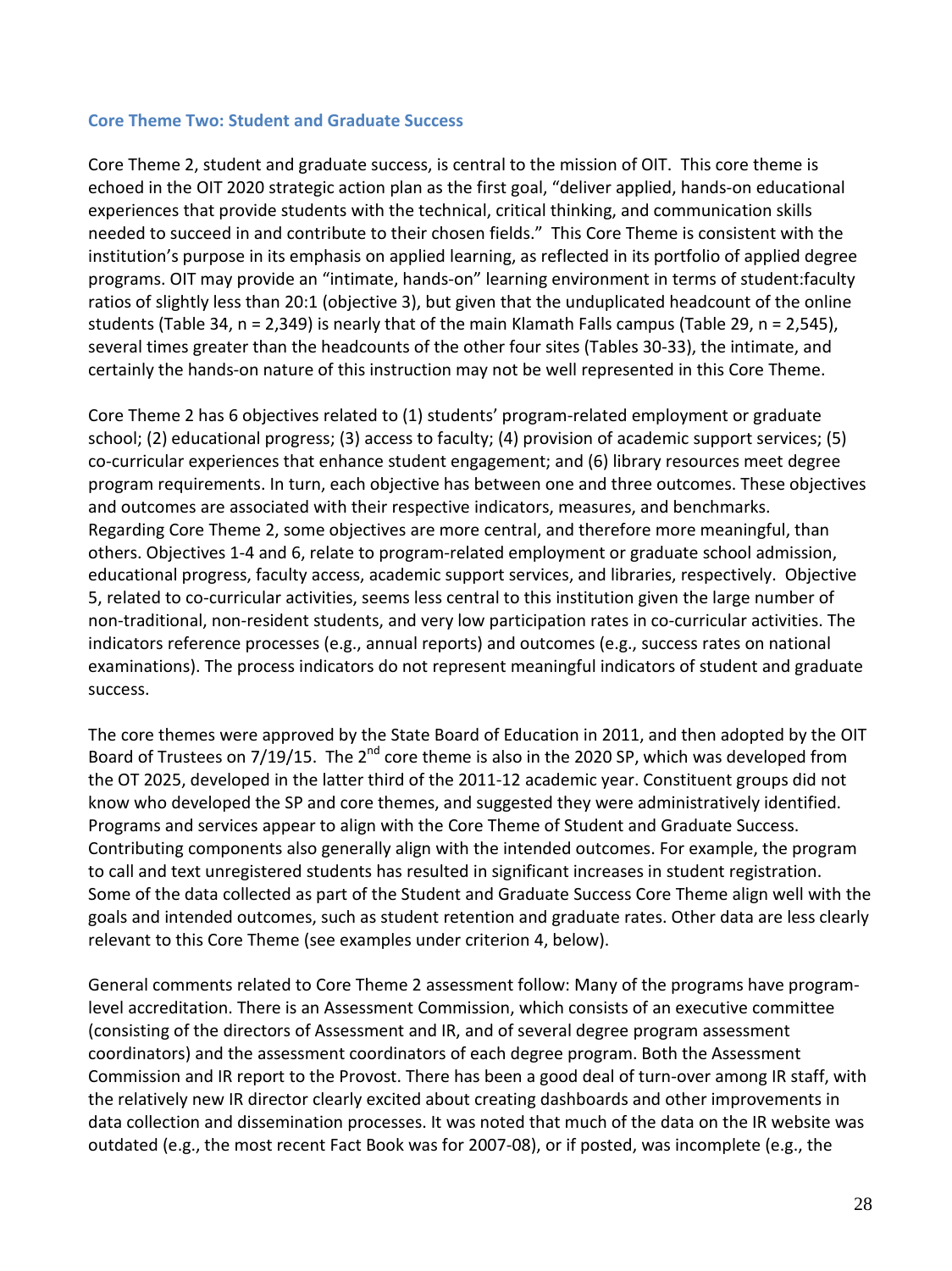#### **Core Theme Two: Student and Graduate Success**

Core Theme 2, student and graduate success, is central to the mission of OIT. This core theme is echoed in the OIT 2020 strategic action plan as the first goal, "deliver applied, hands-on educational experiences that provide students with the technical, critical thinking, and communication skills needed to succeed in and contribute to their chosen fields." This Core Theme is consistent with the institution's purpose in its emphasis on applied learning, as reflected in its portfolio of applied degree programs. OIT may provide an "intimate, hands-on" learning environment in terms of student:faculty ratios of slightly less than 20:1 (objective 3), but given that the unduplicated headcount of the online students (Table 34, n = 2,349) is nearly that of the main Klamath Falls campus (Table 29, n = 2,545), several times greater than the headcounts of the other four sites (Tables 30-33), the intimate, and certainly the hands-on nature of this instruction may not be well represented in this Core Theme.

Core Theme 2 has 6 objectives related to (1) students' program-related employment or graduate school; (2) educational progress; (3) access to faculty; (4) provision of academic support services; (5) co-curricular experiences that enhance student engagement; and (6) library resources meet degree program requirements. In turn, each objective has between one and three outcomes. These objectives and outcomes are associated with their respective indicators, measures, and benchmarks. Regarding Core Theme 2, some objectives are more central, and therefore more meaningful, than others. Objectives 1-4 and 6, relate to program-related employment or graduate school admission, educational progress, faculty access, academic support services, and libraries, respectively. Objective 5, related to co-curricular activities, seems less central to this institution given the large number of non-traditional, non-resident students, and very low participation rates in co-curricular activities. The indicators reference processes (e.g., annual reports) and outcomes (e.g., success rates on national examinations). The process indicators do not represent meaningful indicators of student and graduate success.

The core themes were approved by the State Board of Education in 2011, and then adopted by the OIT Board of Trustees on 7/19/15. The  $2^{nd}$  core theme is also in the 2020 SP, which was developed from the OT 2025, developed in the latter third of the 2011-12 academic year. Constituent groups did not know who developed the SP and core themes, and suggested they were administratively identified. Programs and services appear to align with the Core Theme of Student and Graduate Success. Contributing components also generally align with the intended outcomes. For example, the program to call and text unregistered students has resulted in significant increases in student registration. Some of the data collected as part of the Student and Graduate Success Core Theme align well with the goals and intended outcomes, such as student retention and graduate rates. Other data are less clearly relevant to this Core Theme (see examples under criterion 4, below).

General comments related to Core Theme 2 assessment follow: Many of the programs have programlevel accreditation. There is an Assessment Commission, which consists of an executive committee (consisting of the directors of Assessment and IR, and of several degree program assessment coordinators) and the assessment coordinators of each degree program. Both the Assessment Commission and IR report to the Provost. There has been a good deal of turn-over among IR staff, with the relatively new IR director clearly excited about creating dashboards and other improvements in data collection and dissemination processes. It was noted that much of the data on the IR website was outdated (e.g., the most recent Fact Book was for 2007-08), or if posted, was incomplete (e.g., the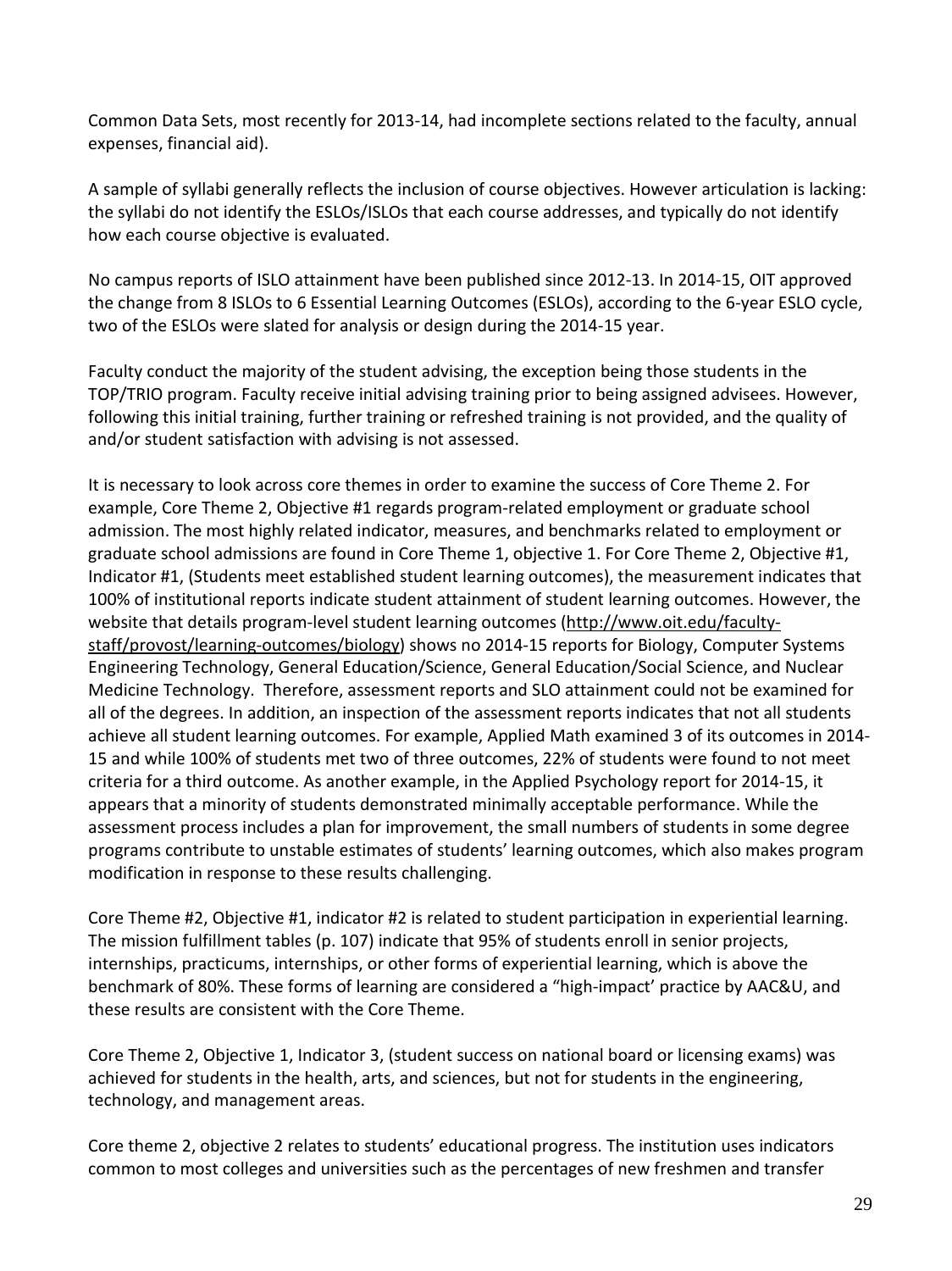Common Data Sets, most recently for 2013-14, had incomplete sections related to the faculty, annual expenses, financial aid).

A sample of syllabi generally reflects the inclusion of course objectives. However articulation is lacking: the syllabi do not identify the ESLOs/ISLOs that each course addresses, and typically do not identify how each course objective is evaluated.

No campus reports of ISLO attainment have been published since 2012-13. In 2014-15, OIT approved the change from 8 ISLOs to 6 Essential Learning Outcomes (ESLOs), according to the 6-year ESLO cycle, two of the ESLOs were slated for analysis or design during the 2014-15 year.

Faculty conduct the majority of the student advising, the exception being those students in the TOP/TRIO program. Faculty receive initial advising training prior to being assigned advisees. However, following this initial training, further training or refreshed training is not provided, and the quality of and/or student satisfaction with advising is not assessed.

It is necessary to look across core themes in order to examine the success of Core Theme 2. For example, Core Theme 2, Objective #1 regards program-related employment or graduate school admission. The most highly related indicator, measures, and benchmarks related to employment or graduate school admissions are found in Core Theme 1, objective 1. For Core Theme 2, Objective #1, Indicator #1, (Students meet established student learning outcomes), the measurement indicates that 100% of institutional reports indicate student attainment of student learning outcomes. However, the website that details program-level student learning outcomes [\(http://www.oit.edu/faculty](http://www.oit.edu/faculty-staff/provost/learning-outcomes/biology)[staff/provost/learning-outcomes/biology\)](http://www.oit.edu/faculty-staff/provost/learning-outcomes/biology) shows no 2014-15 reports for Biology, Computer Systems Engineering Technology, General Education/Science, General Education/Social Science, and Nuclear Medicine Technology. Therefore, assessment reports and SLO attainment could not be examined for all of the degrees. In addition, an inspection of the assessment reports indicates that not all students achieve all student learning outcomes. For example, Applied Math examined 3 of its outcomes in 2014- 15 and while 100% of students met two of three outcomes, 22% of students were found to not meet criteria for a third outcome. As another example, in the Applied Psychology report for 2014-15, it appears that a minority of students demonstrated minimally acceptable performance. While the assessment process includes a plan for improvement, the small numbers of students in some degree programs contribute to unstable estimates of students' learning outcomes, which also makes program modification in response to these results challenging.

Core Theme #2, Objective #1, indicator #2 is related to student participation in experiential learning. The mission fulfillment tables (p. 107) indicate that 95% of students enroll in senior projects, internships, practicums, internships, or other forms of experiential learning, which is above the benchmark of 80%. These forms of learning are considered a "high-impact' practice by AAC&U, and these results are consistent with the Core Theme.

Core Theme 2, Objective 1, Indicator 3, (student success on national board or licensing exams) was achieved for students in the health, arts, and sciences, but not for students in the engineering, technology, and management areas.

Core theme 2, objective 2 relates to students' educational progress. The institution uses indicators common to most colleges and universities such as the percentages of new freshmen and transfer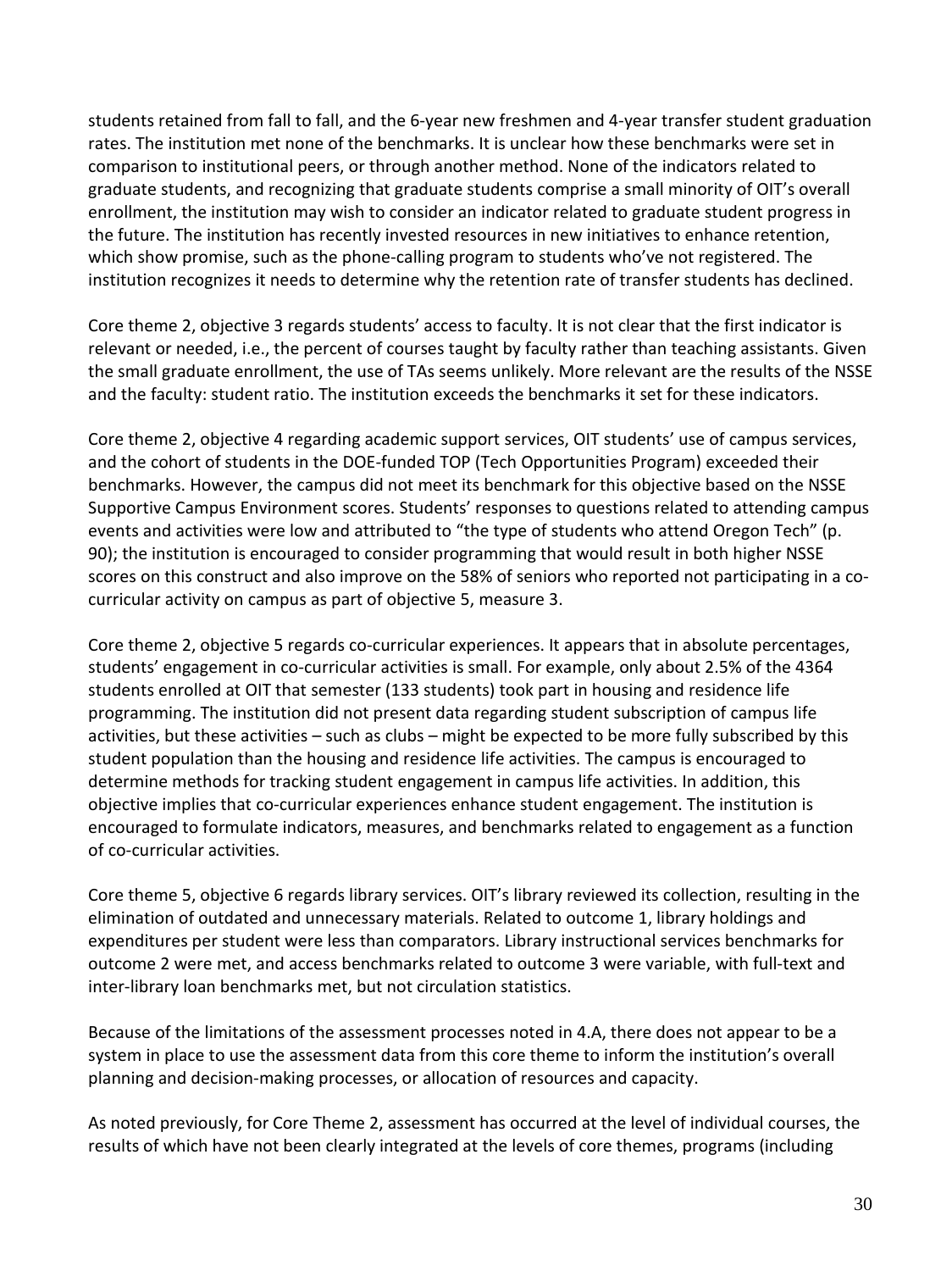students retained from fall to fall, and the 6-year new freshmen and 4-year transfer student graduation rates. The institution met none of the benchmarks. It is unclear how these benchmarks were set in comparison to institutional peers, or through another method. None of the indicators related to graduate students, and recognizing that graduate students comprise a small minority of OIT's overall enrollment, the institution may wish to consider an indicator related to graduate student progress in the future. The institution has recently invested resources in new initiatives to enhance retention, which show promise, such as the phone-calling program to students who've not registered. The institution recognizes it needs to determine why the retention rate of transfer students has declined.

Core theme 2, objective 3 regards students' access to faculty. It is not clear that the first indicator is relevant or needed, i.e., the percent of courses taught by faculty rather than teaching assistants. Given the small graduate enrollment, the use of TAs seems unlikely. More relevant are the results of the NSSE and the faculty: student ratio. The institution exceeds the benchmarks it set for these indicators.

Core theme 2, objective 4 regarding academic support services, OIT students' use of campus services, and the cohort of students in the DOE-funded TOP (Tech Opportunities Program) exceeded their benchmarks. However, the campus did not meet its benchmark for this objective based on the NSSE Supportive Campus Environment scores. Students' responses to questions related to attending campus events and activities were low and attributed to "the type of students who attend Oregon Tech" (p. 90); the institution is encouraged to consider programming that would result in both higher NSSE scores on this construct and also improve on the 58% of seniors who reported not participating in a cocurricular activity on campus as part of objective 5, measure 3.

Core theme 2, objective 5 regards co-curricular experiences. It appears that in absolute percentages, students' engagement in co-curricular activities is small. For example, only about 2.5% of the 4364 students enrolled at OIT that semester (133 students) took part in housing and residence life programming. The institution did not present data regarding student subscription of campus life activities, but these activities – such as clubs – might be expected to be more fully subscribed by this student population than the housing and residence life activities. The campus is encouraged to determine methods for tracking student engagement in campus life activities. In addition, this objective implies that co-curricular experiences enhance student engagement. The institution is encouraged to formulate indicators, measures, and benchmarks related to engagement as a function of co-curricular activities.

Core theme 5, objective 6 regards library services. OIT's library reviewed its collection, resulting in the elimination of outdated and unnecessary materials. Related to outcome 1, library holdings and expenditures per student were less than comparators. Library instructional services benchmarks for outcome 2 were met, and access benchmarks related to outcome 3 were variable, with full-text and inter-library loan benchmarks met, but not circulation statistics.

Because of the limitations of the assessment processes noted in 4.A, there does not appear to be a system in place to use the assessment data from this core theme to inform the institution's overall planning and decision-making processes, or allocation of resources and capacity.

As noted previously, for Core Theme 2, assessment has occurred at the level of individual courses, the results of which have not been clearly integrated at the levels of core themes, programs (including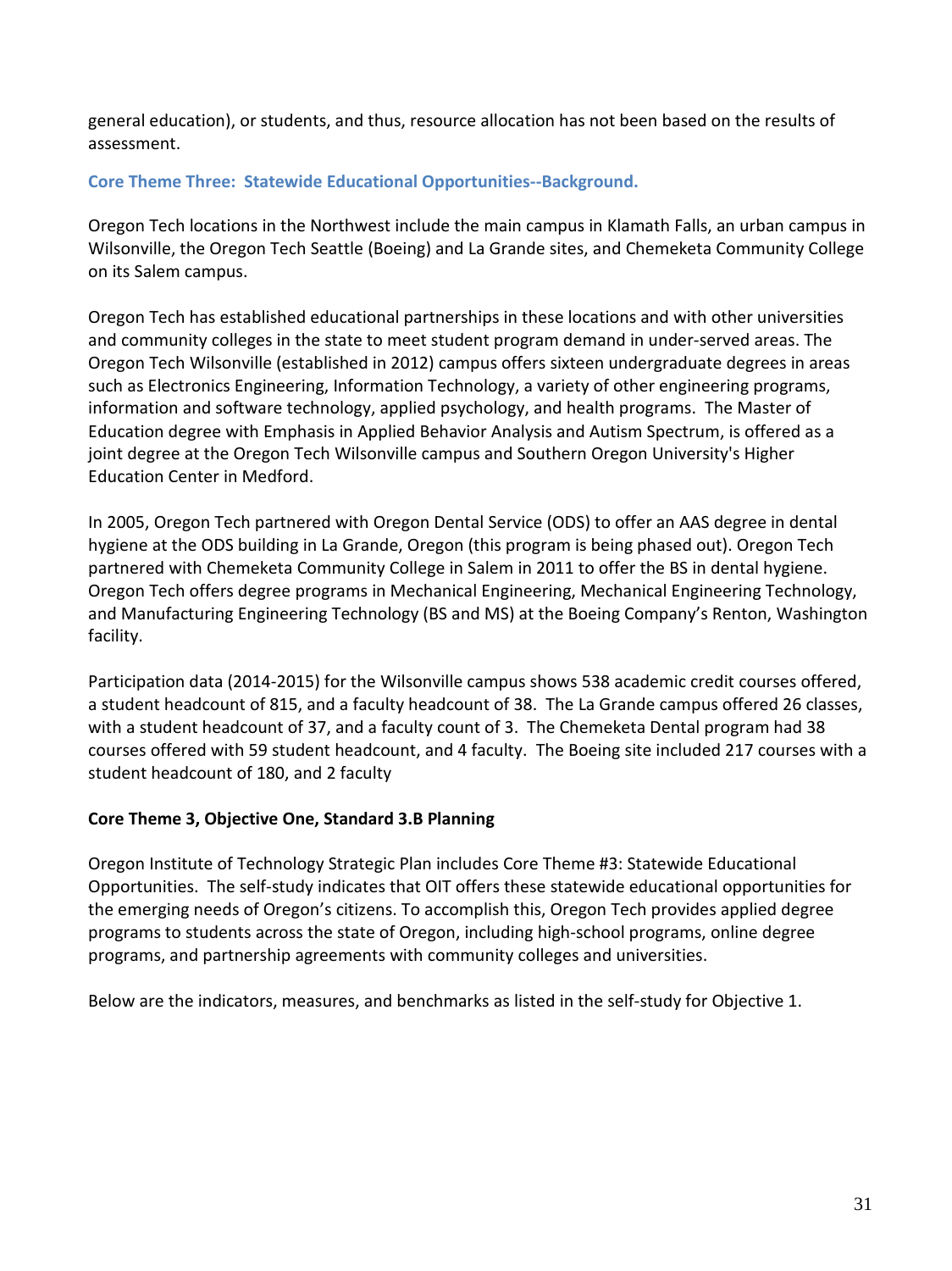general education), or students, and thus, resource allocation has not been based on the results of assessment.

#### **Core Theme Three: Statewide Educational Opportunities--Background.**

Oregon Tech locations in the Northwest include the main campus in Klamath Falls, an urban campus in Wilsonville, the Oregon Tech Seattle (Boeing) and La Grande sites, and Chemeketa Community College on its Salem campus.

Oregon Tech has established educational partnerships in these locations and with other universities and community colleges in the state to meet student program demand in under-served areas. The Oregon Tech Wilsonville (established in 2012) campus offers sixteen undergraduate degrees in areas such as Electronics Engineering, Information Technology, a variety of other engineering programs, information and software technology, applied psychology, and health programs. The Master of Education degree with Emphasis in Applied Behavior Analysis and Autism Spectrum, is offered as a joint degree at the Oregon Tech Wilsonville campus and Southern Oregon University's Higher Education Center in Medford.

In 2005, Oregon Tech partnered with Oregon Dental Service (ODS) to offer an AAS degree in dental hygiene at the ODS building in La Grande, Oregon (this program is being phased out). Oregon Tech partnered with Chemeketa Community College in Salem in 2011 to offer the BS in dental hygiene. Oregon Tech offers degree programs in Mechanical Engineering, Mechanical Engineering Technology, and Manufacturing Engineering Technology (BS and MS) at the Boeing Company's Renton, Washington facility.

Participation data (2014-2015) for the Wilsonville campus shows 538 academic credit courses offered, a student headcount of 815, and a faculty headcount of 38. The La Grande campus offered 26 classes, with a student headcount of 37, and a faculty count of 3. The Chemeketa Dental program had 38 courses offered with 59 student headcount, and 4 faculty. The Boeing site included 217 courses with a student headcount of 180, and 2 faculty

# **Core Theme 3, Objective One, Standard 3.B Planning**

Oregon Institute of Technology Strategic Plan includes Core Theme #3: Statewide Educational Opportunities. The self-study indicates that OIT offers these statewide educational opportunities for the emerging needs of Oregon's citizens. To accomplish this, Oregon Tech provides applied degree programs to students across the state of Oregon, including high-school programs, online degree programs, and partnership agreements with community colleges and universities.

Below are the indicators, measures, and benchmarks as listed in the self-study for Objective 1.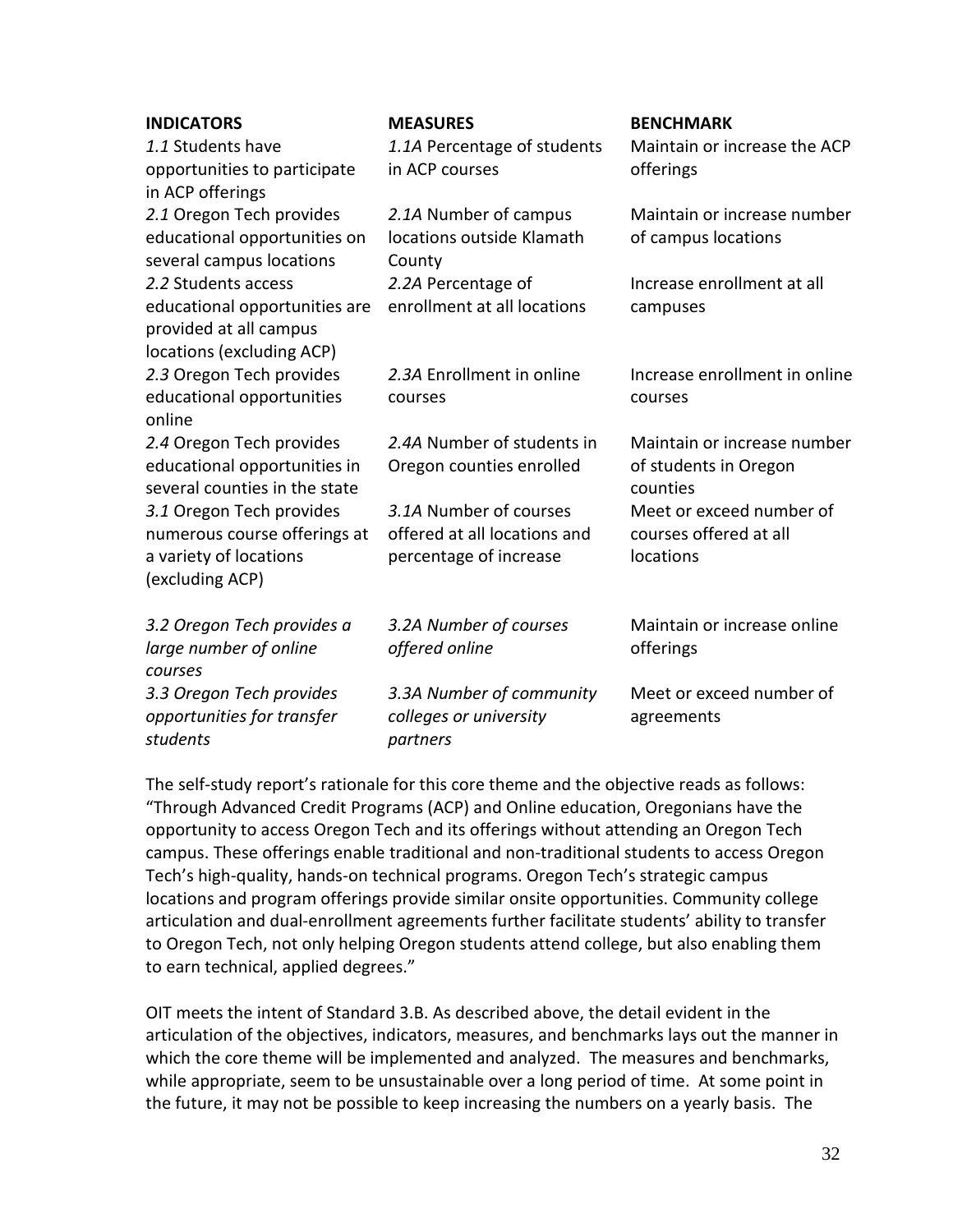| <b>INDICATORS</b><br>1.1 Students have<br>opportunities to participate<br>in ACP offerings                  | <b>MEASURES</b><br>1.1A Percentage of students<br>in ACP courses                 | <b>BENCHMARK</b><br>Maintain or increase the ACP<br>offerings    |
|-------------------------------------------------------------------------------------------------------------|----------------------------------------------------------------------------------|------------------------------------------------------------------|
| 2.1 Oregon Tech provides<br>educational opportunities on<br>several campus locations                        | 2.1A Number of campus<br>locations outside Klamath<br>County                     | Maintain or increase number<br>of campus locations               |
| 2.2 Students access<br>educational opportunities are<br>provided at all campus<br>locations (excluding ACP) | 2.2A Percentage of<br>enrollment at all locations                                | Increase enrollment at all<br>campuses                           |
| 2.3 Oregon Tech provides<br>educational opportunities<br>online                                             | 2.3A Enrollment in online<br>courses                                             | Increase enrollment in online<br>courses                         |
| 2.4 Oregon Tech provides<br>educational opportunities in<br>several counties in the state                   | 2.4A Number of students in<br>Oregon counties enrolled                           | Maintain or increase number<br>of students in Oregon<br>counties |
| 3.1 Oregon Tech provides<br>numerous course offerings at<br>a variety of locations<br>(excluding ACP)       | 3.1A Number of courses<br>offered at all locations and<br>percentage of increase | Meet or exceed number of<br>courses offered at all<br>locations  |
| 3.2 Oregon Tech provides a<br>large number of online<br>courses                                             | 3.2A Number of courses<br>offered online                                         | Maintain or increase online<br>offerings                         |
| 3.3 Oregon Tech provides<br>opportunities for transfer<br>students                                          | 3.3A Number of community<br>colleges or university<br>partners                   | Meet or exceed number of<br>agreements                           |

The self-study report's rationale for this core theme and the objective reads as follows: "Through Advanced Credit Programs (ACP) and Online education, Oregonians have the opportunity to access Oregon Tech and its offerings without attending an Oregon Tech campus. These offerings enable traditional and non-traditional students to access Oregon Tech's high-quality, hands-on technical programs. Oregon Tech's strategic campus locations and program offerings provide similar onsite opportunities. Community college articulation and dual-enrollment agreements further facilitate students' ability to transfer to Oregon Tech, not only helping Oregon students attend college, but also enabling them to earn technical, applied degrees."

OIT meets the intent of Standard 3.B. As described above, the detail evident in the articulation of the objectives, indicators, measures, and benchmarks lays out the manner in which the core theme will be implemented and analyzed. The measures and benchmarks, while appropriate, seem to be unsustainable over a long period of time. At some point in the future, it may not be possible to keep increasing the numbers on a yearly basis. The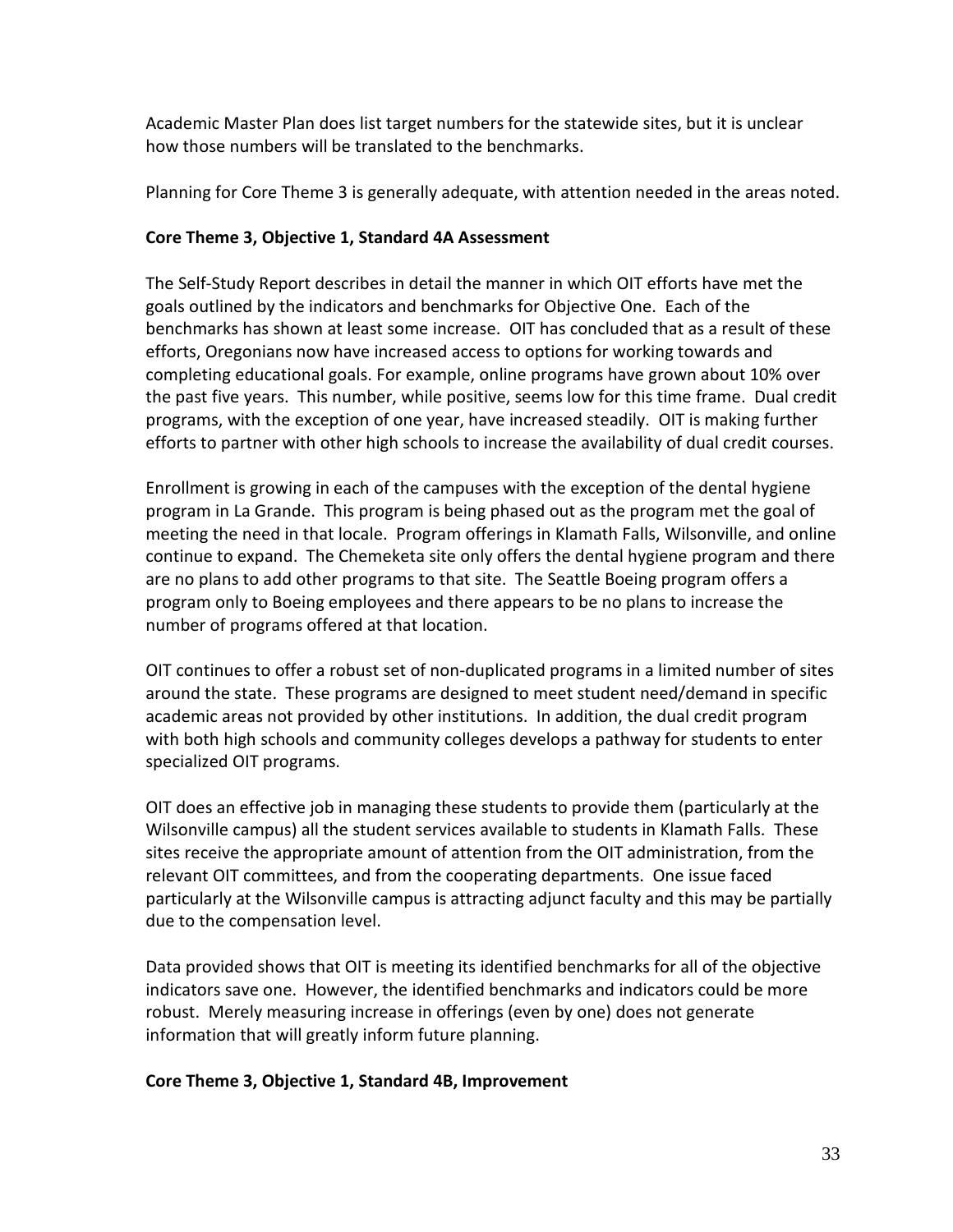Academic Master Plan does list target numbers for the statewide sites, but it is unclear how those numbers will be translated to the benchmarks.

Planning for Core Theme 3 is generally adequate, with attention needed in the areas noted.

# **Core Theme 3, Objective 1, Standard 4A Assessment**

The Self-Study Report describes in detail the manner in which OIT efforts have met the goals outlined by the indicators and benchmarks for Objective One. Each of the benchmarks has shown at least some increase. OIT has concluded that as a result of these efforts, Oregonians now have increased access to options for working towards and completing educational goals. For example, online programs have grown about 10% over the past five years. This number, while positive, seems low for this time frame. Dual credit programs, with the exception of one year, have increased steadily. OIT is making further efforts to partner with other high schools to increase the availability of dual credit courses.

Enrollment is growing in each of the campuses with the exception of the dental hygiene program in La Grande. This program is being phased out as the program met the goal of meeting the need in that locale. Program offerings in Klamath Falls, Wilsonville, and online continue to expand. The Chemeketa site only offers the dental hygiene program and there are no plans to add other programs to that site. The Seattle Boeing program offers a program only to Boeing employees and there appears to be no plans to increase the number of programs offered at that location.

OIT continues to offer a robust set of non-duplicated programs in a limited number of sites around the state. These programs are designed to meet student need/demand in specific academic areas not provided by other institutions. In addition, the dual credit program with both high schools and community colleges develops a pathway for students to enter specialized OIT programs.

OIT does an effective job in managing these students to provide them (particularly at the Wilsonville campus) all the student services available to students in Klamath Falls. These sites receive the appropriate amount of attention from the OIT administration, from the relevant OIT committees, and from the cooperating departments. One issue faced particularly at the Wilsonville campus is attracting adjunct faculty and this may be partially due to the compensation level.

Data provided shows that OIT is meeting its identified benchmarks for all of the objective indicators save one. However, the identified benchmarks and indicators could be more robust. Merely measuring increase in offerings (even by one) does not generate information that will greatly inform future planning.

#### **Core Theme 3, Objective 1, Standard 4B, Improvement**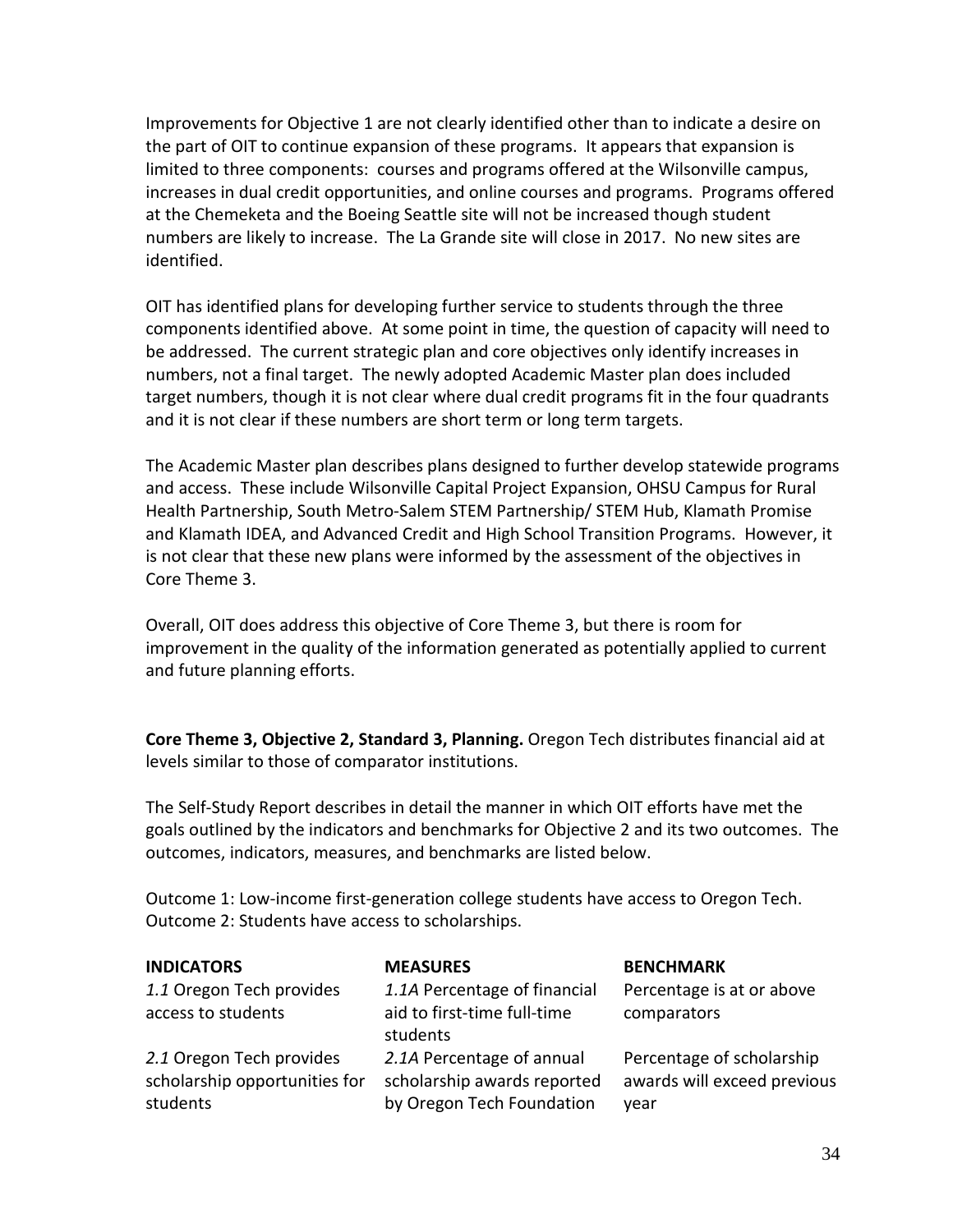Improvements for Objective 1 are not clearly identified other than to indicate a desire on the part of OIT to continue expansion of these programs. It appears that expansion is limited to three components: courses and programs offered at the Wilsonville campus, increases in dual credit opportunities, and online courses and programs. Programs offered at the Chemeketa and the Boeing Seattle site will not be increased though student numbers are likely to increase. The La Grande site will close in 2017. No new sites are identified.

OIT has identified plans for developing further service to students through the three components identified above. At some point in time, the question of capacity will need to be addressed. The current strategic plan and core objectives only identify increases in numbers, not a final target. The newly adopted Academic Master plan does included target numbers, though it is not clear where dual credit programs fit in the four quadrants and it is not clear if these numbers are short term or long term targets.

The Academic Master plan describes plans designed to further develop statewide programs and access. These include Wilsonville Capital Project Expansion, OHSU Campus for Rural Health Partnership, South Metro-Salem STEM Partnership/ STEM Hub, Klamath Promise and Klamath IDEA, and Advanced Credit and High School Transition Programs. However, it is not clear that these new plans were informed by the assessment of the objectives in Core Theme 3.

Overall, OIT does address this objective of Core Theme 3, but there is room for improvement in the quality of the information generated as potentially applied to current and future planning efforts.

**Core Theme 3, Objective 2, Standard 3, Planning.** Oregon Tech distributes financial aid at levels similar to those of comparator institutions.

The Self-Study Report describes in detail the manner in which OIT efforts have met the goals outlined by the indicators and benchmarks for Objective 2 and its two outcomes. The outcomes, indicators, measures, and benchmarks are listed below.

| Outcome 2: Students have access to scholarships.                      |                                                                                       |                                                                  |  |
|-----------------------------------------------------------------------|---------------------------------------------------------------------------------------|------------------------------------------------------------------|--|
| <b>INDICATORS</b>                                                     | <b>MEASURES</b>                                                                       | <b>BENCHMARK</b>                                                 |  |
| 1.1 Oregon Tech provides<br>access to students                        | 1.1A Percentage of financial<br>aid to first-time full-time<br>students               | Percentage is at or above<br>comparators                         |  |
| 2.1 Oregon Tech provides<br>scholarship opportunities for<br>students | 2.1A Percentage of annual<br>scholarship awards reported<br>by Oregon Tech Foundation | Percentage of scholarship<br>awards will exceed previous<br>year |  |

Outcome 1: Low-income first-generation college students have access to Oregon Tech.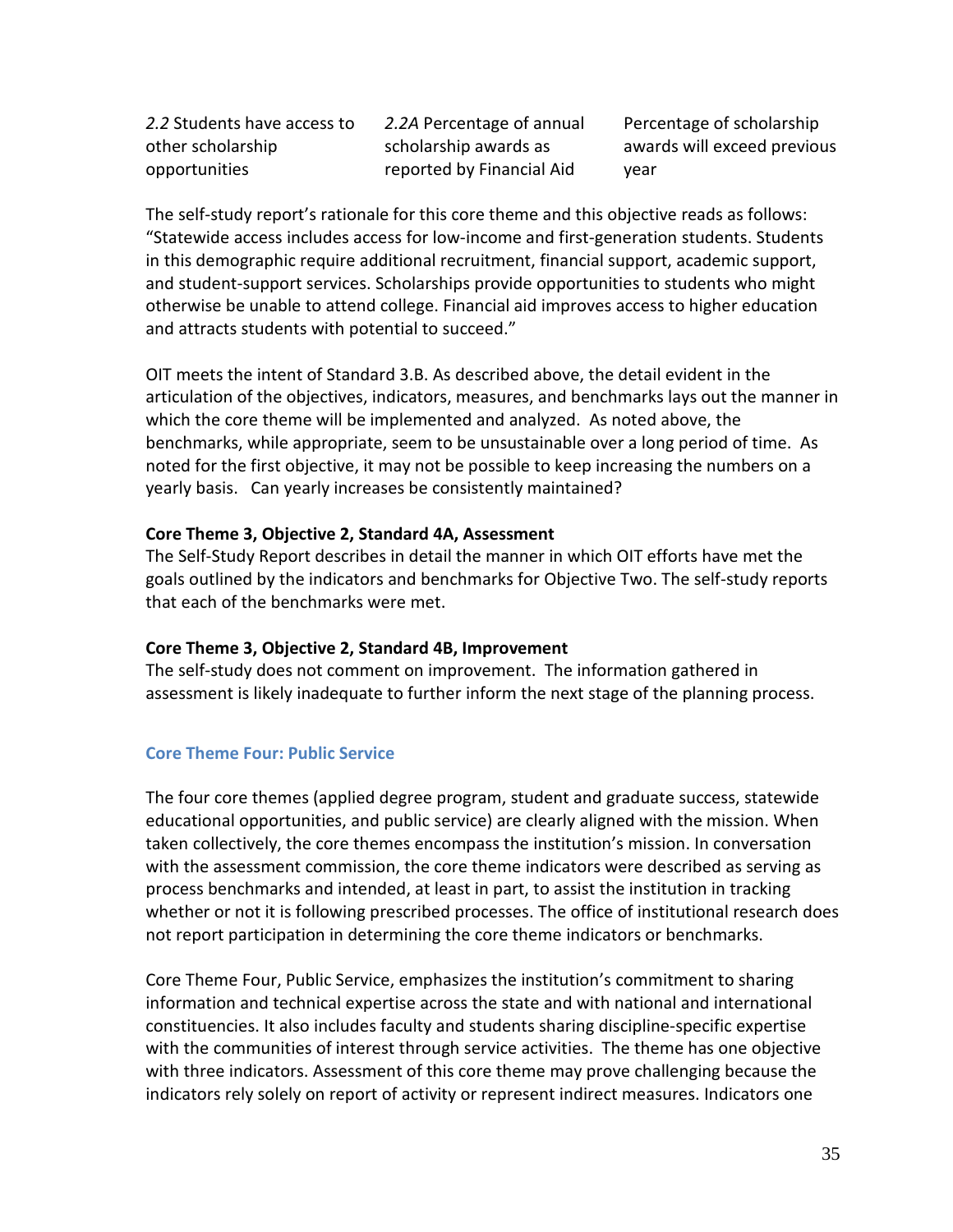*2.2* Students have access to other scholarship opportunities

*2.2A* Percentage of annual scholarship awards as reported by Financial Aid

Percentage of scholarship awards will exceed previous year

The self-study report's rationale for this core theme and this objective reads as follows: "Statewide access includes access for low-income and first-generation students. Students in this demographic require additional recruitment, financial support, academic support, and student-support services. Scholarships provide opportunities to students who might otherwise be unable to attend college. Financial aid improves access to higher education and attracts students with potential to succeed."

OIT meets the intent of Standard 3.B. As described above, the detail evident in the articulation of the objectives, indicators, measures, and benchmarks lays out the manner in which the core theme will be implemented and analyzed. As noted above, the benchmarks, while appropriate, seem to be unsustainable over a long period of time. As noted for the first objective, it may not be possible to keep increasing the numbers on a yearly basis. Can yearly increases be consistently maintained?

#### **Core Theme 3, Objective 2, Standard 4A, Assessment**

The Self-Study Report describes in detail the manner in which OIT efforts have met the goals outlined by the indicators and benchmarks for Objective Two. The self-study reports that each of the benchmarks were met.

#### **Core Theme 3, Objective 2, Standard 4B, Improvement**

The self-study does not comment on improvement. The information gathered in assessment is likely inadequate to further inform the next stage of the planning process.

#### **Core Theme Four: Public Service**

The four core themes (applied degree program, student and graduate success, statewide educational opportunities, and public service) are clearly aligned with the mission. When taken collectively, the core themes encompass the institution's mission. In conversation with the assessment commission, the core theme indicators were described as serving as process benchmarks and intended, at least in part, to assist the institution in tracking whether or not it is following prescribed processes. The office of institutional research does not report participation in determining the core theme indicators or benchmarks.

Core Theme Four, Public Service, emphasizes the institution's commitment to sharing information and technical expertise across the state and with national and international constituencies. It also includes faculty and students sharing discipline-specific expertise with the communities of interest through service activities. The theme has one objective with three indicators. Assessment of this core theme may prove challenging because the indicators rely solely on report of activity or represent indirect measures. Indicators one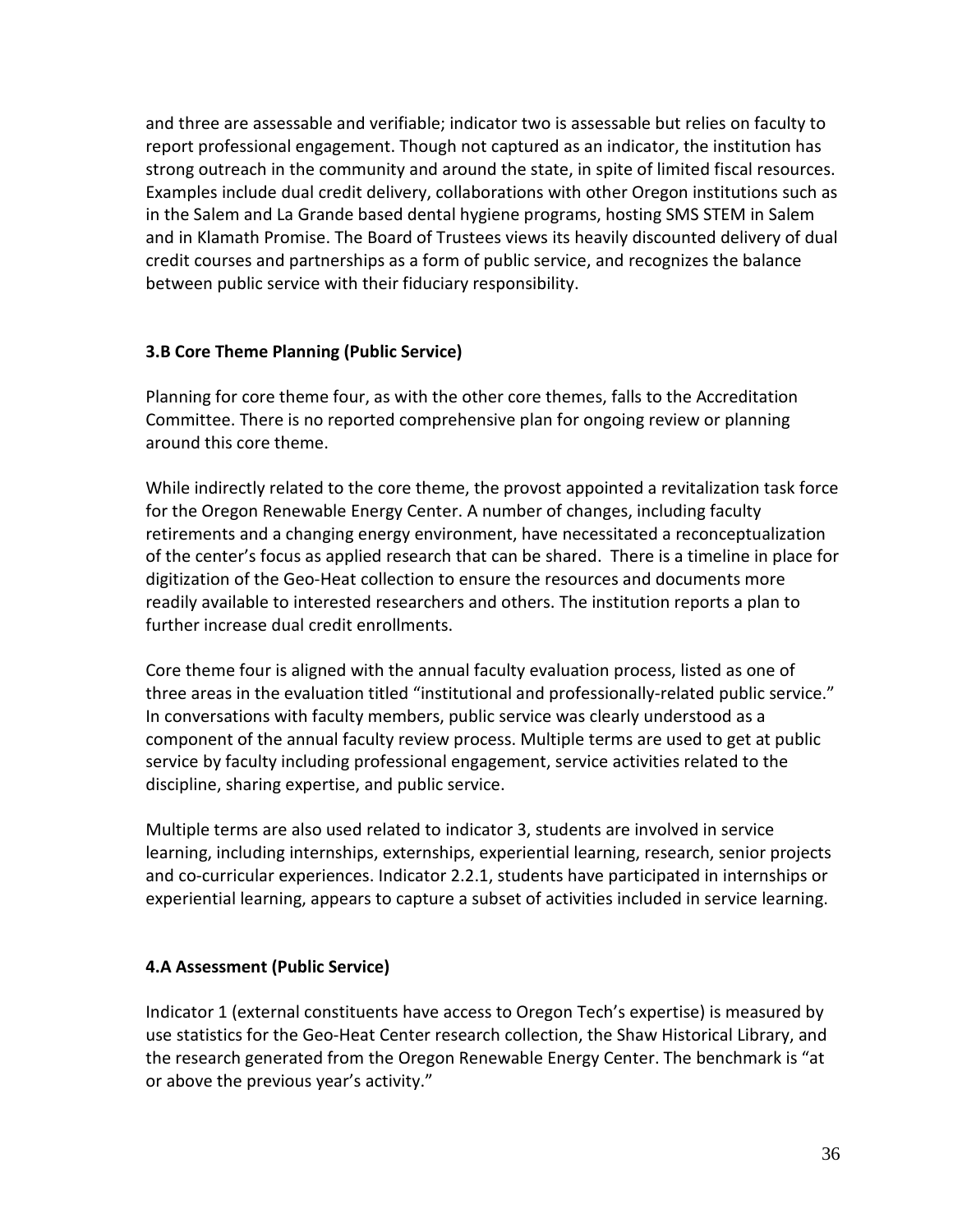and three are assessable and verifiable; indicator two is assessable but relies on faculty to report professional engagement. Though not captured as an indicator, the institution has strong outreach in the community and around the state, in spite of limited fiscal resources. Examples include dual credit delivery, collaborations with other Oregon institutions such as in the Salem and La Grande based dental hygiene programs, hosting SMS STEM in Salem and in Klamath Promise. The Board of Trustees views its heavily discounted delivery of dual credit courses and partnerships as a form of public service, and recognizes the balance between public service with their fiduciary responsibility.

#### **3.B Core Theme Planning (Public Service)**

Planning for core theme four, as with the other core themes, falls to the Accreditation Committee. There is no reported comprehensive plan for ongoing review or planning around this core theme.

While indirectly related to the core theme, the provost appointed a revitalization task force for the Oregon Renewable Energy Center. A number of changes, including faculty retirements and a changing energy environment, have necessitated a reconceptualization of the center's focus as applied research that can be shared. There is a timeline in place for digitization of the Geo-Heat collection to ensure the resources and documents more readily available to interested researchers and others. The institution reports a plan to further increase dual credit enrollments.

Core theme four is aligned with the annual faculty evaluation process, listed as one of three areas in the evaluation titled "institutional and professionally-related public service." In conversations with faculty members, public service was clearly understood as a component of the annual faculty review process. Multiple terms are used to get at public service by faculty including professional engagement, service activities related to the discipline, sharing expertise, and public service.

Multiple terms are also used related to indicator 3, students are involved in service learning, including internships, externships, experiential learning, research, senior projects and co-curricular experiences. Indicator 2.2.1, students have participated in internships or experiential learning, appears to capture a subset of activities included in service learning.

# **4.A Assessment (Public Service)**

Indicator 1 (external constituents have access to Oregon Tech's expertise) is measured by use statistics for the Geo-Heat Center research collection, the Shaw Historical Library, and the research generated from the Oregon Renewable Energy Center. The benchmark is "at or above the previous year's activity."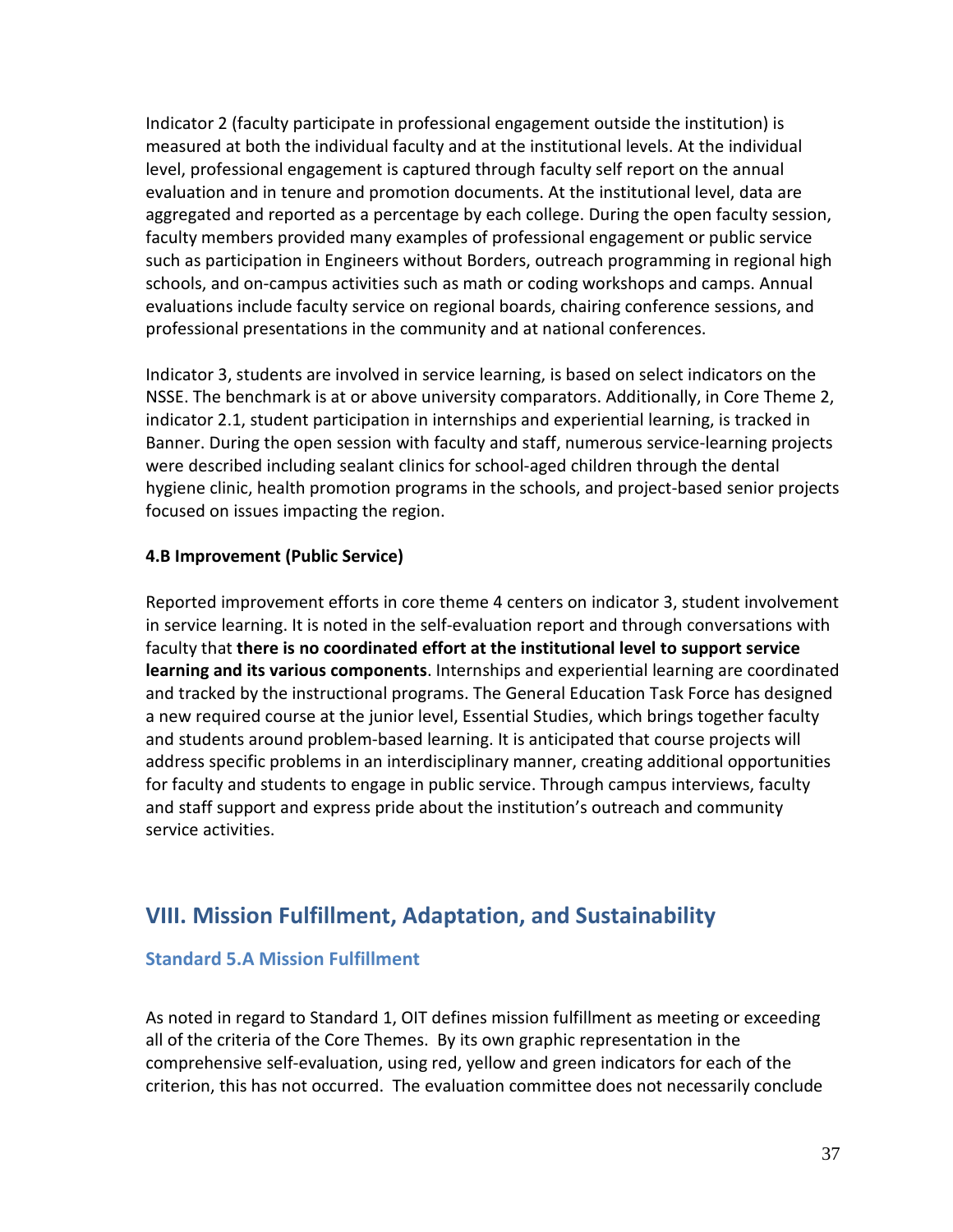Indicator 2 (faculty participate in professional engagement outside the institution) is measured at both the individual faculty and at the institutional levels. At the individual level, professional engagement is captured through faculty self report on the annual evaluation and in tenure and promotion documents. At the institutional level, data are aggregated and reported as a percentage by each college. During the open faculty session, faculty members provided many examples of professional engagement or public service such as participation in Engineers without Borders, outreach programming in regional high schools, and on-campus activities such as math or coding workshops and camps. Annual evaluations include faculty service on regional boards, chairing conference sessions, and professional presentations in the community and at national conferences.

Indicator 3, students are involved in service learning, is based on select indicators on the NSSE. The benchmark is at or above university comparators. Additionally, in Core Theme 2, indicator 2.1, student participation in internships and experiential learning, is tracked in Banner. During the open session with faculty and staff, numerous service-learning projects were described including sealant clinics for school-aged children through the dental hygiene clinic, health promotion programs in the schools, and project-based senior projects focused on issues impacting the region.

#### **4.B Improvement (Public Service)**

Reported improvement efforts in core theme 4 centers on indicator 3, student involvement in service learning. It is noted in the self-evaluation report and through conversations with faculty that **there is no coordinated effort at the institutional level to support service learning and its various components**. Internships and experiential learning are coordinated and tracked by the instructional programs. The General Education Task Force has designed a new required course at the junior level, Essential Studies, which brings together faculty and students around problem-based learning. It is anticipated that course projects will address specific problems in an interdisciplinary manner, creating additional opportunities for faculty and students to engage in public service. Through campus interviews, faculty and staff support and express pride about the institution's outreach and community service activities.

# **VIII. Mission Fulfillment, Adaptation, and Sustainability**

#### **Standard 5.A Mission Fulfillment**

As noted in regard to Standard 1, OIT defines mission fulfillment as meeting or exceeding all of the criteria of the Core Themes. By its own graphic representation in the comprehensive self-evaluation, using red, yellow and green indicators for each of the criterion, this has not occurred. The evaluation committee does not necessarily conclude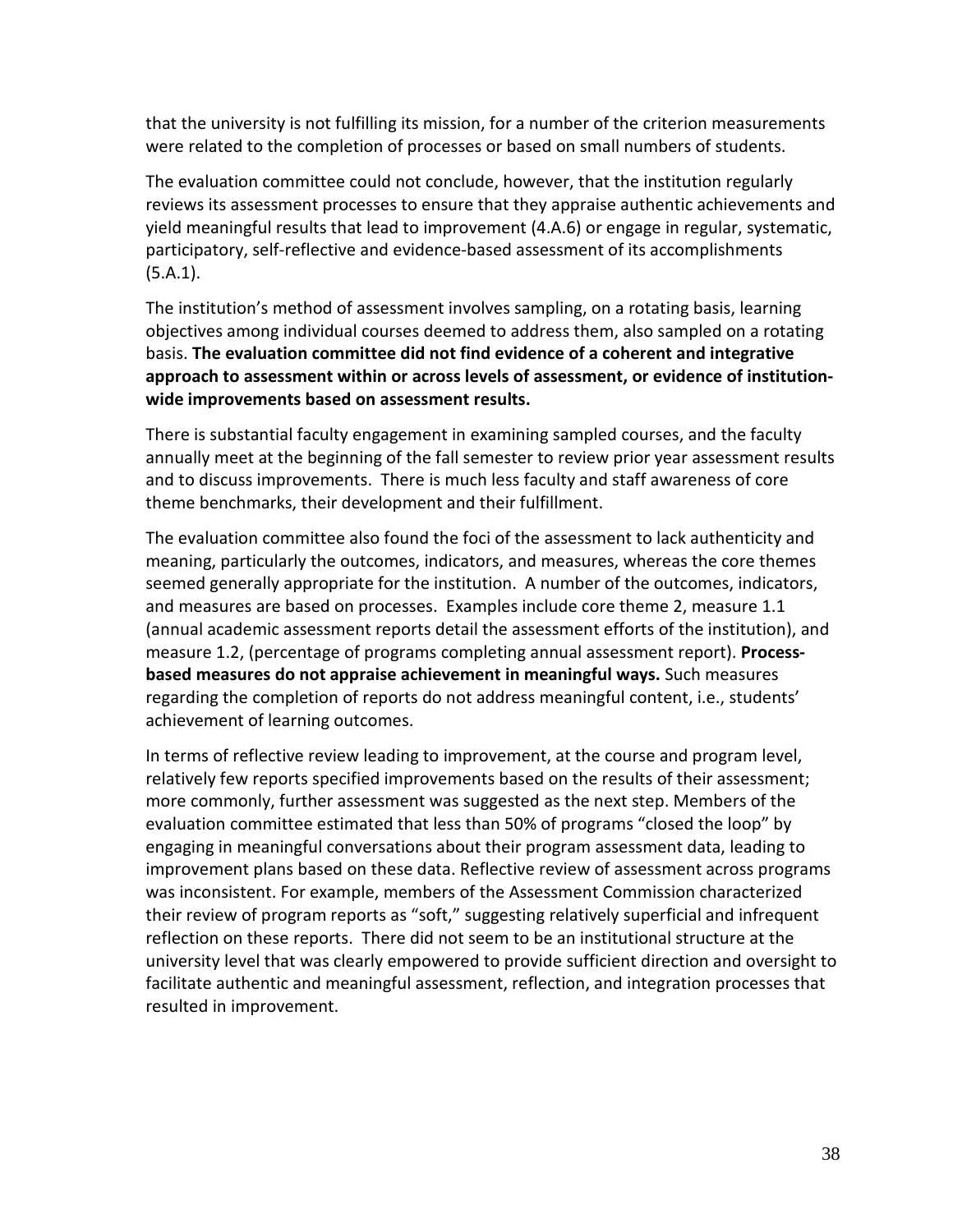that the university is not fulfilling its mission, for a number of the criterion measurements were related to the completion of processes or based on small numbers of students.

The evaluation committee could not conclude, however, that the institution regularly reviews its assessment processes to ensure that they appraise authentic achievements and yield meaningful results that lead to improvement (4.A.6) or engage in regular, systematic, participatory, self-reflective and evidence-based assessment of its accomplishments (5.A.1).

The institution's method of assessment involves sampling, on a rotating basis, learning objectives among individual courses deemed to address them, also sampled on a rotating basis. **The evaluation committee did not find evidence of a coherent and integrative approach to assessment within or across levels of assessment, or evidence of institutionwide improvements based on assessment results.**

There is substantial faculty engagement in examining sampled courses, and the faculty annually meet at the beginning of the fall semester to review prior year assessment results and to discuss improvements. There is much less faculty and staff awareness of core theme benchmarks, their development and their fulfillment.

The evaluation committee also found the foci of the assessment to lack authenticity and meaning, particularly the outcomes, indicators, and measures, whereas the core themes seemed generally appropriate for the institution. A number of the outcomes, indicators, and measures are based on processes. Examples include core theme 2, measure 1.1 (annual academic assessment reports detail the assessment efforts of the institution), and measure 1.2, (percentage of programs completing annual assessment report). **Processbased measures do not appraise achievement in meaningful ways.** Such measures regarding the completion of reports do not address meaningful content, i.e., students' achievement of learning outcomes.

In terms of reflective review leading to improvement, at the course and program level, relatively few reports specified improvements based on the results of their assessment; more commonly, further assessment was suggested as the next step. Members of the evaluation committee estimated that less than 50% of programs "closed the loop" by engaging in meaningful conversations about their program assessment data, leading to improvement plans based on these data. Reflective review of assessment across programs was inconsistent. For example, members of the Assessment Commission characterized their review of program reports as "soft," suggesting relatively superficial and infrequent reflection on these reports. There did not seem to be an institutional structure at the university level that was clearly empowered to provide sufficient direction and oversight to facilitate authentic and meaningful assessment, reflection, and integration processes that resulted in improvement.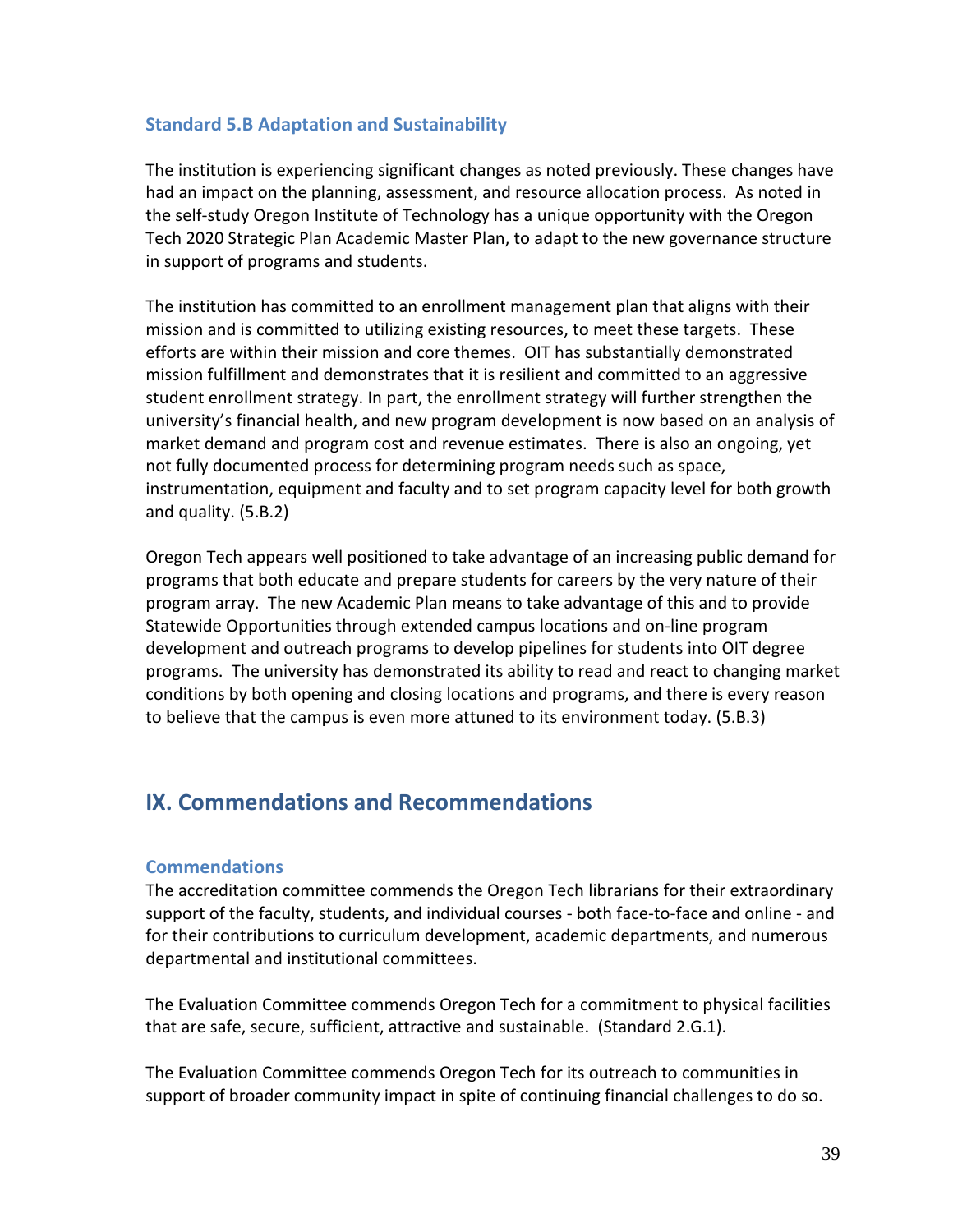### **Standard 5.B Adaptation and Sustainability**

The institution is experiencing significant changes as noted previously. These changes have had an impact on the planning, assessment, and resource allocation process. As noted in the self-study Oregon Institute of Technology has a unique opportunity with the Oregon Tech 2020 Strategic Plan Academic Master Plan, to adapt to the new governance structure in support of programs and students.

The institution has committed to an enrollment management plan that aligns with their mission and is committed to utilizing existing resources, to meet these targets. These efforts are within their mission and core themes. OIT has substantially demonstrated mission fulfillment and demonstrates that it is resilient and committed to an aggressive student enrollment strategy. In part, the enrollment strategy will further strengthen the university's financial health, and new program development is now based on an analysis of market demand and program cost and revenue estimates. There is also an ongoing, yet not fully documented process for determining program needs such as space, instrumentation, equipment and faculty and to set program capacity level for both growth and quality. (5.B.2)

Oregon Tech appears well positioned to take advantage of an increasing public demand for programs that both educate and prepare students for careers by the very nature of their program array. The new Academic Plan means to take advantage of this and to provide Statewide Opportunities through extended campus locations and on-line program development and outreach programs to develop pipelines for students into OIT degree programs. The university has demonstrated its ability to read and react to changing market conditions by both opening and closing locations and programs, and there is every reason to believe that the campus is even more attuned to its environment today. (5.B.3)

# **IX. Commendations and Recommendations**

#### **Commendations**

The accreditation committee commends the Oregon Tech librarians for their extraordinary support of the faculty, students, and individual courses - both face-to-face and online - and for their contributions to curriculum development, academic departments, and numerous departmental and institutional committees.

The Evaluation Committee commends Oregon Tech for a commitment to physical facilities that are safe, secure, sufficient, attractive and sustainable. (Standard 2.G.1).

The Evaluation Committee commends Oregon Tech for its outreach to communities in support of broader community impact in spite of continuing financial challenges to do so.